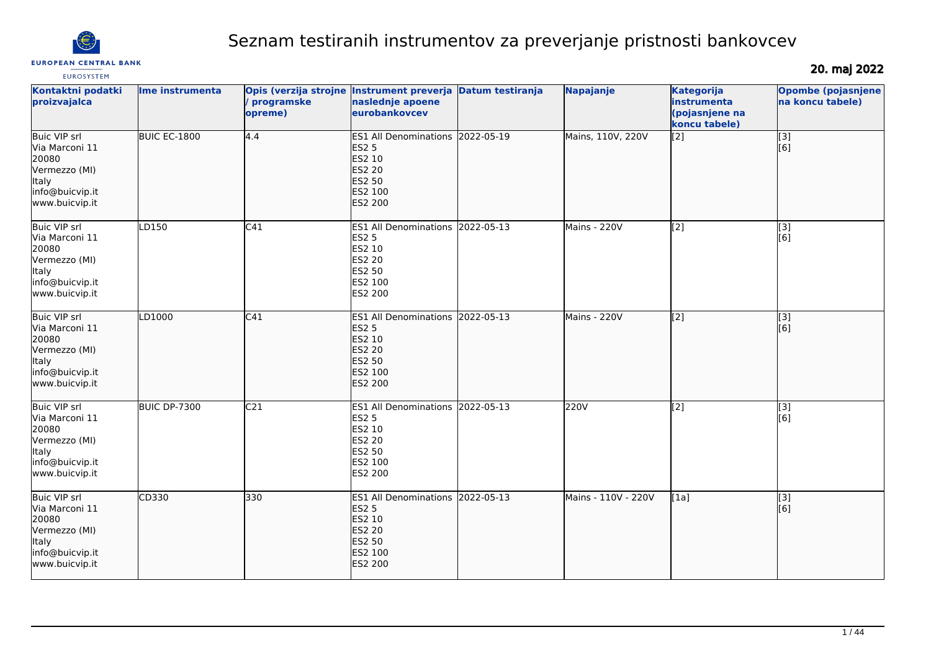

# Seznam testiranih instrumentov za preverjanje pristnosti bankovcev

**EUROSYSTEM** 

20. maj 2022

| Kontaktni podatki<br>proizvajalca                                                                                    | Ime instrumenta | programske<br>opreme) | Opis (verzija strojne Instrument preverja Datum testiranja<br>naslednje apoene<br>eurobankovcev                    |            | Napajanje           | <b>Kategorija</b><br>instrumenta<br>(pojasnjene na<br>koncu tabele) | <b>Opombe (pojasnjene</b><br>na koncu tabele) |
|----------------------------------------------------------------------------------------------------------------------|-----------------|-----------------------|--------------------------------------------------------------------------------------------------------------------|------------|---------------------|---------------------------------------------------------------------|-----------------------------------------------|
| <b>Buic VIP srl</b><br>Via Marconi 11<br>20080<br>Vermezzo (MI)<br>Italy<br>info@buicvip.it<br>www.buicvip.it        | BUIC EC-1800    | 4.4                   | ES1 All Denominations 2022-05-19<br><b>ES2 5</b><br>ES2 10<br><b>ES2 20</b><br>ES2 50<br>ES2 100<br>ES2 200        |            | Mains, 110V, 220V   | $\overline{[2]}$                                                    | [3]<br>[6]                                    |
| Buic VIP srl<br>Via Marconi 11<br>20080<br>Vermezzo (MI)<br>Italy<br>info@buicvip.it<br>www.buicvip.it               | LD150           | C41                   | <b>ES1 All Denominations</b><br><b>ES2 5</b><br>ES2 10<br><b>ES2 20</b><br><b>ES2 50</b><br>ES2 100<br>ES2 200     | 2022-05-13 | Mains - 220V        | $\left[2\right]$                                                    | [3]<br>[6]                                    |
| Buic VIP srl<br>Via Marconi 11<br>20080<br>Vermezzo (MI)<br>Italy<br>info@buicvip.it<br>www.buicvip.it               | LD1000          | C41                   | ES1 All Denominations 2022-05-13<br><b>ES2 5</b><br>ES2 10<br><b>ES2 20</b><br>ES2 50<br>ES2 100<br><b>ES2 200</b> |            | Mains - 220V        | $\overline{[2]}$                                                    | $\overline{[}3]$<br>[6]                       |
| <b>Buic VIP srl</b><br>Via Marconi 11<br>20080<br>Vermezzo (MI)<br><b>Italy</b><br>info@buicvip.it<br>www.buicvip.it | BUIC DP-7300    | C <sub>21</sub>       | ES1 All Denominations 2022-05-13<br><b>ES2 5</b><br>ES2 10<br><b>ES2 20</b><br>ES2 50<br>ES2 100<br>ES2 200        |            | 220V                | $\sqrt{2}$                                                          | [3]<br>[6]                                    |
| <b>Buic VIP srl</b><br>Via Marconi 11<br>20080<br>Vermezzo (MI)<br>Italy<br>info@buicvip.it<br>www.buicvip.it        | CD330           | 330                   | ES1 All Denominations 2022-05-13<br><b>ES2 5</b><br>ES2 10<br><b>ES2 20</b><br>ES2 50<br>ES2 100<br>ES2 200        |            | Mains - 110V - 220V | [1a]                                                                | [3]<br>[6]                                    |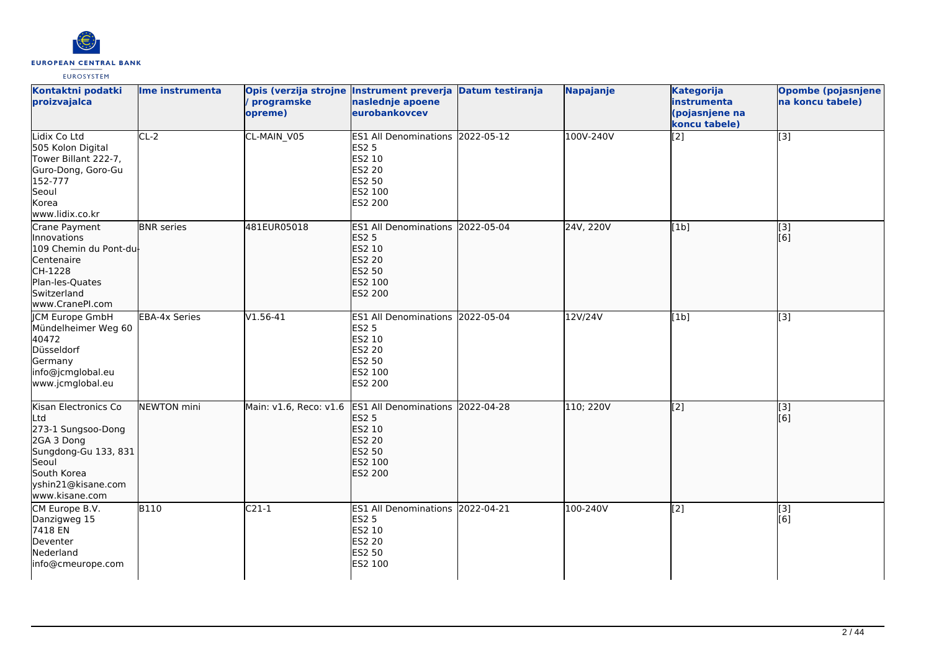

| Kontaktni podatki<br>proizvajalca                                                                                                                       | Ime instrumenta      | programske<br>opreme)  | Opis (verzija strojne Instrument preverja Datum testiranja<br>naslednje apoene<br>eurobankovcev             |            | Napajanje | <b>Kategorija</b><br>instrumenta<br>(pojasnjene na<br>koncu tabele) | <b>Opombe (pojasnjene</b><br>na koncu tabele) |
|---------------------------------------------------------------------------------------------------------------------------------------------------------|----------------------|------------------------|-------------------------------------------------------------------------------------------------------------|------------|-----------|---------------------------------------------------------------------|-----------------------------------------------|
| Lidix Co Ltd<br>505 Kolon Digital<br>Tower Billant 222-7,<br>Guro-Dong, Goro-Gu<br>152-777<br>Seoul<br>Korea<br>www.lidix.co.kr                         | $CL-2$               | CL-MAIN_V05            | ES1 All Denominations 2022-05-12<br><b>ES2 5</b><br>ES2 10<br>ES2 20<br>ES2 50<br>ES2 100<br>ES2 200        |            | 100V-240V | [2]                                                                 | $[3]$                                         |
| Crane Payment<br>Innovations<br>109 Chemin du Pont-du<br>Centenaire<br>CH-1228<br>Plan-les-Quates<br>Switzerland<br>www.CranePI.com                     | <b>BNR</b> series    | 481EUR05018            | ES1 All Denominations 2022-05-04<br><b>ES2 5</b><br>ES2 10<br>ES2 20<br><b>ES2 50</b><br>ES2 100<br>ES2 200 |            | 24V, 220V | [[1b]                                                               | [3]<br>[6]                                    |
| JCM Europe GmbH<br>Mündelheimer Weg 60<br>40472<br>Düsseldorf<br>Germany<br>info@jcmglobal.eu<br>www.jcmglobal.eu                                       | <b>EBA-4x Series</b> | $V1.56-41$             | <b>ES1 All Denominations</b><br><b>ES2 5</b><br>ES2 10<br>ES2 20<br>ES2 50<br>ES2 100<br>ES2 200            | 2022-05-04 | 12V/24V   | [1b]                                                                | $\overline{[3]}$                              |
| Kisan Electronics Co<br>Ltd<br>273-1 Sungsoo-Dong<br>2GA 3 Dong<br>Sungdong-Gu 133, 831<br>Seoul<br>South Korea<br>yshin21@kisane.com<br>www.kisane.com | NEWTON mini          | Main: v1.6, Reco: v1.6 | ES1 All Denominations 2022-04-28<br><b>ES2 5</b><br>ES2 10<br><b>ES2 20</b><br>ES2 50<br>ES2 100<br>ES2 200 |            | 110; 220V | $\overline{[2]}$                                                    | $\overline{[}3]$<br>[6]                       |
| CM Europe B.V.<br>Danzigweg 15<br>7418 EN<br>Deventer<br>Nederland<br>info@cmeurope.com                                                                 | <b>B110</b>          | $C21-1$                | ES1 All Denominations 2022-04-21<br>ES2 5<br>ES2 10<br>ES2 20<br>ES2 50<br>ES2 100                          |            | 100-240V  | [2]                                                                 | $\overline{[3]}$<br>[6]                       |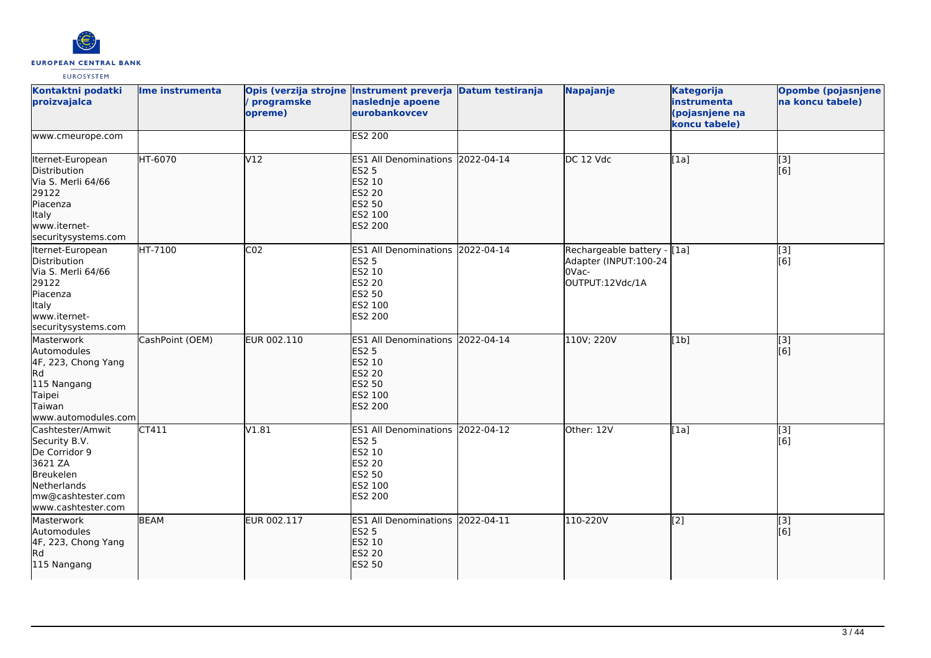

| Kontaktni podatki<br>proizvajalca                                                                                                    | Ime instrumenta | programske<br>opreme) | Opis (verzija strojne Instrument preverja Datum testiranja<br>naslednje apoene<br>eurobankovcev                |            | Napajanje                                                                        | <b>Kategorija</b><br>instrumenta<br>(pojasnjene na<br>koncu tabele) | <b>Opombe (pojasnjene</b><br>na koncu tabele) |
|--------------------------------------------------------------------------------------------------------------------------------------|-----------------|-----------------------|----------------------------------------------------------------------------------------------------------------|------------|----------------------------------------------------------------------------------|---------------------------------------------------------------------|-----------------------------------------------|
| www.cmeurope.com                                                                                                                     |                 |                       | <b>ES2 200</b>                                                                                                 |            |                                                                                  |                                                                     |                                               |
| Iternet-European<br>Distribution<br>Via S. Merli 64/66<br>29122<br>Piacenza<br>Italy<br>www.iternet-<br>securitysystems.com          | HT-6070         | V12                   | ES1 All Denominations 2022-04-14<br><b>ES2 5</b><br>ES2 10<br>ES2 20<br>ES2 50<br>ES2 100<br>ES2 200           |            | DC 12 Vdc                                                                        | [1a]                                                                | $\overline{[3]}$<br>[6]                       |
| Iternet-European<br>Distribution<br>Via S. Merli 64/66<br>29122<br>Piacenza<br><b>Italy</b><br>www.iternet-<br>securitysystems.com   | HT-7100         | CO <sub>2</sub>       | <b>ES1 All Denominations</b><br><b>ES2 5</b><br>ES2 10<br>ES2 20<br>ES2 50<br>ES2 100<br>ES2 200               | 2022-04-14 | Rechargeable battery - [1a]<br>Adapter (INPUT:100-24<br>OVac-<br>OUTPUT:12Vdc/1A |                                                                     | [3]<br>[6]                                    |
| Masterwork<br>Automodules<br>4F, 223, Chong Yang<br>R <sub>d</sub><br>115 Nangang<br>Taipei<br>Taiwan<br>www.automodules.com         | CashPoint (OEM) | EUR 002.110           | <b>ES1 All Denominations</b><br><b>ES2 5</b><br>ES2 10<br><b>ES2 20</b><br>ES2 50<br>ES2 100<br><b>ES2 200</b> | 2022-04-14 | 110V; 220V                                                                       | [1b]                                                                | [3]<br>[6]                                    |
| Cashtester/Amwit<br>Security B.V.<br>De Corridor 9<br>3621 ZA<br>Breukelen<br>Netherlands<br>mw@cashtester.com<br>www.cashtester.com | CT411           | V1.81                 | <b>ES1 All Denominations</b><br><b>ES2 5</b><br>ES2 10<br>ES2 20<br>ES2 50<br>ES2 100<br>ES2 200               | 2022-04-12 | Other: 12V                                                                       | [1a]                                                                | [3]<br>[6]                                    |
| Masterwork<br>Automodules<br>4F, 223, Chong Yang<br>R <sub>d</sub><br>115 Nangang                                                    | <b>BEAM</b>     | EUR 002.117           | ES1 All Denominations 2022-04-11<br><b>ES2 5</b><br>ES2 10<br><b>ES2 20</b><br><b>ES2 50</b>                   |            | 110-220V                                                                         | $\vert$ [2]                                                         | $\overline{[}3]$<br>[6]                       |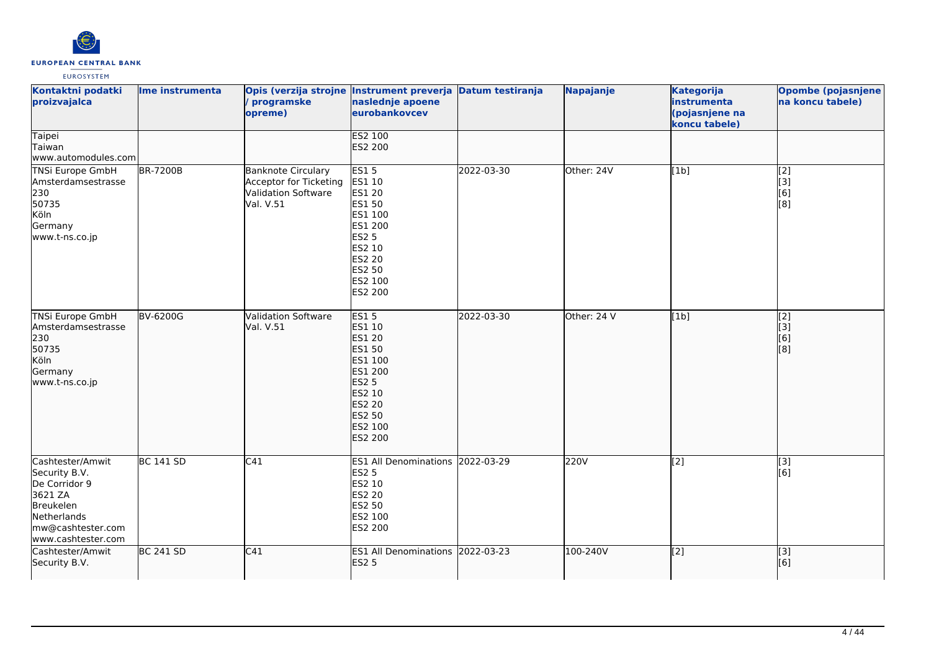

| Kontaktni podatki<br>proizvajalca                                                                                                    | Ime instrumenta  | / programske<br>opreme)                                                                 | Opis (verzija strojne Instrument preverja Datum testiranja<br>naslednje apoene<br>eurobankovcev                                                          |            | Napajanje   | <b>Kategorija</b><br>instrumenta<br>(pojasnjene na<br>koncu tabele) | <b>Opombe (pojasnjene</b><br>na koncu tabele) |
|--------------------------------------------------------------------------------------------------------------------------------------|------------------|-----------------------------------------------------------------------------------------|----------------------------------------------------------------------------------------------------------------------------------------------------------|------------|-------------|---------------------------------------------------------------------|-----------------------------------------------|
| <b>Taipei</b><br>Taiwan<br>www.automodules.com                                                                                       |                  |                                                                                         | ES2 100<br>ES2 200                                                                                                                                       |            |             |                                                                     |                                               |
| <b>TNSi Europe GmbH</b><br>Amsterdamsestrasse<br>230<br>50735<br>Köln<br>Germany<br>www.t-ns.co.jp                                   | <b>BR-7200B</b>  | <b>Banknote Circulary</b><br>Acceptor for Ticketing<br>Validation Software<br>Val. V.51 | <b>ES15</b><br><b>ES1 10</b><br>ES1 20<br>ES1 50<br>ES1 100<br>ES1 200<br><b>ES2 5</b><br>ES2 10<br>ES2 20<br>ES2 50<br>ES2 100<br>ES2 200               | 2022-03-30 | Other: 24V  | [1b]                                                                | [2]<br>[3]<br>[6]<br>[8]                      |
| <b>TNSi Europe GmbH</b><br>Amsterdamsestrasse<br>230<br>50735<br>Köln<br>Germany<br>www.t-ns.co.jp                                   | <b>BV-6200G</b>  | <b>Validation Software</b><br>Val. V.51                                                 | <b>ES15</b><br>ES1 10<br><b>ES1 20</b><br><b>ES1 50</b><br>ES1 100<br>ES1 200<br><b>ES2 5</b><br>ES2 10<br><b>ES2 20</b><br>ES2 50<br>ES2 100<br>ES2 200 | 2022-03-30 | Other: 24 V | [1b]                                                                | $\overline{[2]}$<br>[3]<br>[6]<br>[8]         |
| Cashtester/Amwit<br>Security B.V.<br>De Corridor 9<br>3621 ZA<br>Breukelen<br>Netherlands<br>mw@cashtester.com<br>www.cashtester.com | <b>BC 141 SD</b> | C41                                                                                     | ES1 All Denominations 2022-03-29<br><b>ES2 5</b><br>ES2 10<br>ES2 20<br>ES2 50<br>ES2 100<br>ES2 200                                                     |            | 220V        | $\overline{[2]}$                                                    | $\overline{[3]}$<br>[6]                       |
| Cashtester/Amwit<br>Security B.V.                                                                                                    | <b>BC 241 SD</b> | C41                                                                                     | ES1 All Denominations 2022-03-23<br><b>ES2 5</b>                                                                                                         |            | 100-240V    | $\overline{[2]}$                                                    | [3]<br>[6]                                    |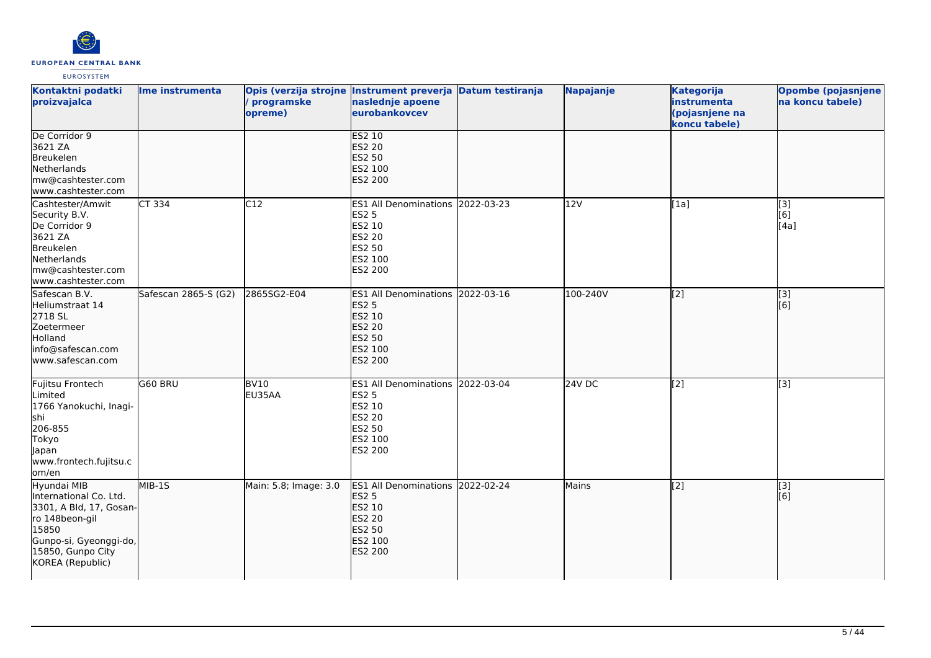

| Kontaktni podatki<br>proizvajalca                                                                                                                              | Ime instrumenta      | programske<br>opreme)       | Opis (verzija strojne Instrument preverja Datum testiranja<br>naslednje apoene<br>eurobankovcev                    | Napajanje | <b>Kategorija</b><br>instrumenta<br>(pojasnjene na<br>koncu tabele) | <b>Opombe (pojasnjene</b><br>na koncu tabele) |
|----------------------------------------------------------------------------------------------------------------------------------------------------------------|----------------------|-----------------------------|--------------------------------------------------------------------------------------------------------------------|-----------|---------------------------------------------------------------------|-----------------------------------------------|
| De Corridor 9<br>3621 ZA<br>Breukelen<br>Netherlands<br>mw@cashtester.com<br>www.cashtester.com                                                                |                      |                             | <b>ES2 10</b><br><b>ES2 20</b><br><b>ES2 50</b><br>ES2 100<br><b>ES2 200</b>                                       |           |                                                                     |                                               |
| Cashtester/Amwit<br>Security B.V.<br>De Corridor 9<br>3621 ZA<br>Breukelen<br>Netherlands<br>mw@cashtester.com<br>www.cashtester.com                           | CT 334               | C12                         | ES1 All Denominations 2022-03-23<br><b>ES2 5</b><br>ES2 10<br><b>ES2 20</b><br><b>ES2 50</b><br>ES2 100<br>ES2 200 | 12V       | [1a]                                                                | $[3]$<br>[6]<br>[4a]                          |
| Safescan B.V.<br>Heliumstraat 14<br>2718 SL<br>Zoetermeer<br>Holland<br>info@safescan.com<br>lwww.safescan.com                                                 | Safescan 2865-S (G2) | 2865SG2-E04                 | ES1 All Denominations 2022-03-16<br><b>ES2 5</b><br>ES2 10<br><b>ES2 20</b><br>ES2 50<br>ES2 100<br><b>ES2 200</b> | 100-240V  | $\left[2\right]$                                                    | $\overline{[3]}$<br>[6]                       |
| Fujitsu Frontech<br>Limited<br>1766 Yanokuchi, Inagi-<br>shi<br>206-855<br>Tokyo<br>Japan<br>www.frontech.fujitsu.c<br>lom/en                                  | G60 BRU              | $\overline{B}V10$<br>EU35AA | ES1 All Denominations 2022-03-04<br><b>ES2 5</b><br>ES2 10<br><b>ES2 20</b><br>ES2 50<br>ES2 100<br>ES2 200        | 24V DC    | $\left[ \begin{matrix} 2 \end{matrix} \right]$                      | $\overline{[3]}$                              |
| Hyundai MIB<br>International Co. Ltd.<br>3301, A Bld, 17, Gosan-<br>ro 148beon-gil<br>15850<br>Gunpo-si, Gyeonggi-do,<br>15850, Gunpo City<br>KOREA (Republic) | $MIB-15$             | Main: 5.8; Image: 3.0       | ES1 All Denominations 2022-02-24<br><b>ES2 5</b><br>ES2 10<br><b>ES2 20</b><br><b>ES2 50</b><br>ES2 100<br>ES2 200 | Mains     | $\overline{[2]}$                                                    | $\overline{[}3]$<br>[6]                       |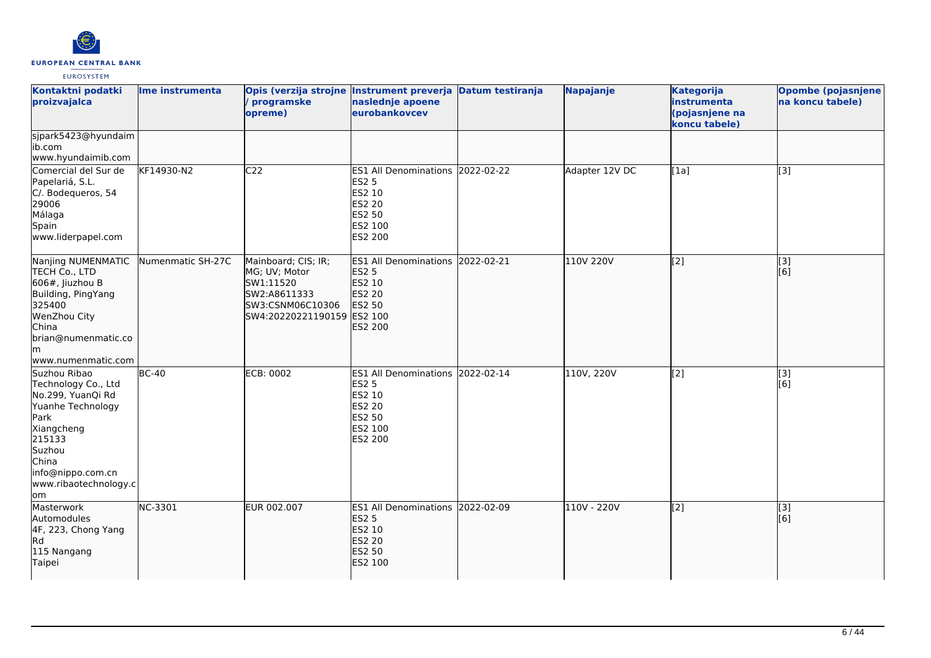

| Kontaktni podatki<br>proizvajalca                                                                                                                                                            | Ime instrumenta   | programske<br>opreme)                                                                                               | Opis (verzija strojne Instrument preverja Datum testiranja<br>naslednje apoene<br>eurobankovcev                    | Napajanje      | <b>Kategorija</b><br>instrumenta<br>(pojasnjene na<br>koncu tabele) | <b>Opombe (pojasnjene</b><br>na koncu tabele) |
|----------------------------------------------------------------------------------------------------------------------------------------------------------------------------------------------|-------------------|---------------------------------------------------------------------------------------------------------------------|--------------------------------------------------------------------------------------------------------------------|----------------|---------------------------------------------------------------------|-----------------------------------------------|
| sjpark5423@hyundaim<br>ib.com<br>www.hyundaimib.com                                                                                                                                          |                   |                                                                                                                     |                                                                                                                    |                |                                                                     |                                               |
| Comercial del Sur de<br>Papelariá, S.L.<br>C/. Bodequeros, 54<br>29006<br>Málaga<br>Spain<br>www.liderpapel.com                                                                              | KF14930-N2        | C <sub>22</sub>                                                                                                     | ES1 All Denominations 2022-02-22<br><b>ES2 5</b><br>ES2 10<br><b>ES2 20</b><br><b>ES2 50</b><br>ES2 100<br>ES2 200 | Adapter 12V DC | [1a]                                                                | $\overline{[3]}$                              |
| Nanjing NUMENMATIC<br>TECH Co., LTD<br>$606$ #, Jiuzhou B<br>Building, PingYang<br>325400<br>WenZhou City<br>China<br>brian@numenmatic.co<br>lm.<br>www.numenmatic.com                       | Numenmatic SH-27C | Mainboard; CIS; IR;<br>MG; UV; Motor<br>SW1:11520<br>SW2:A8611333<br>SW3:CSNM06C10306<br>SW4:20220221190159 ES2 100 | ES1 All Denominations 2022-02-21<br><b>ES2 5</b><br>ES2 10<br><b>ES2 20</b><br><b>ES2 50</b><br>ES2 200            | 110V 220V      | $\overline{[2]}$                                                    | $\overline{[3]}$<br>[6]                       |
| Suzhou Ribao<br>Technology Co., Ltd<br>No.299, YuanQi Rd<br>Yuanhe Technology<br><b>Park</b><br>Xiangcheng<br>215133<br>Suzhou<br>China<br>info@nippo.com.cn<br>www.ribaotechnology.c<br>lom | $BC-40$           | <b>ECB: 0002</b>                                                                                                    | ES1 All Denominations 2022-02-14<br><b>ES2 5</b><br>ES2 10<br><b>ES2 20</b><br>ES2 50<br>ES2 100<br>ES2 200        | 110V, 220V     | [2]                                                                 | [3]<br>[6]                                    |
| Masterwork<br>Automodules<br>4F, 223, Chong Yang<br>Rd<br>115 Nangang<br>Taipei                                                                                                              | NC-3301           | EUR 002.007                                                                                                         | ES1 All Denominations 2022-02-09<br><b>ES2 5</b><br>ES2 10<br><b>ES2 20</b><br><b>ES2 50</b><br>ES2 100            | 110V - 220V    | $\left[ \begin{matrix} 2 \end{matrix} \right]$                      | $\overline{[}3]$<br>[6]                       |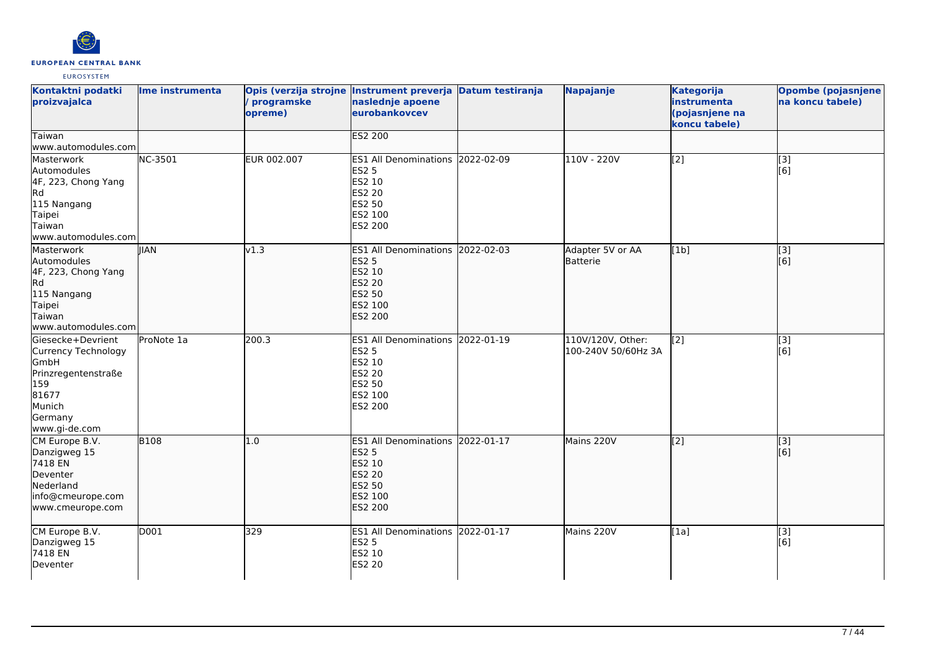

| Kontaktni podatki<br>proizvajalca                                                                                                    | Ime instrumenta | programske<br>opreme) | Opis (verzija strojne Instrument preverja Datum testiranja<br>naslednje apoene<br>eurobankovcev             | Napajanje                                | <b>Kategorija</b><br>instrumenta<br>(pojasnjene na<br>koncu tabele) | Opombe (pojasnjene<br>na koncu tabele) |
|--------------------------------------------------------------------------------------------------------------------------------------|-----------------|-----------------------|-------------------------------------------------------------------------------------------------------------|------------------------------------------|---------------------------------------------------------------------|----------------------------------------|
| Taiwan<br>www.automodules.com                                                                                                        |                 |                       | <b>ES2 200</b>                                                                                              |                                          |                                                                     |                                        |
| Masterwork<br>Automodules<br>4F, 223, Chong Yang<br>Rd<br>115 Nangang<br>Taipei<br>lTaiwan<br>www.automodules.com                    | <b>NC-3501</b>  | EUR 002.007           | ES1 All Denominations 2022-02-09<br><b>ES2 5</b><br>ES2 10<br>ES2 20<br>ES2 50<br>ES2 100<br>ES2 200        | 110V - 220V                              | $\overline{[2]}$                                                    | [3]<br>[6]                             |
| Masterwork<br>Automodules<br>4F, 223, Chong Yang<br>Rd.<br>115 Nangang<br>Taipei<br>Taiwan<br>www.automodules.com                    | <b>IIAN</b>     | v1.3                  | ES1 All Denominations 2022-02-03<br><b>ES2 5</b><br>ES2 10<br>ES2 20<br>ES2 50<br>ES2 100<br>ES2 200        | Adapter 5V or AA<br>Batterie             | [1b]                                                                | $\overline{[3]}$<br>[6]                |
| Giesecke+Devrient<br><b>Currency Technology</b><br>GmbH<br>Prinzregentenstraße<br>159<br>81677<br>Munich<br>Germany<br>www.gi-de.com | ProNote 1a      | 200.3                 | ES1 All Denominations 2022-01-19<br><b>ES2 5</b><br>ES2 10<br>ES2 20<br><b>ES2 50</b><br>ES2 100<br>ES2 200 | 110V/120V, Other:<br>100-240V 50/60Hz 3A | [2]                                                                 | [3]<br>[6]                             |
| CM Europe B.V.<br>Danzigweg 15<br>7418 EN<br>Deventer<br>Nederland<br>info@cmeurope.com<br>www.cmeurope.com                          | <b>B108</b>     | 1.0                   | ES1 All Denominations 2022-01-17<br><b>ES2 5</b><br>ES2 10<br><b>ES2 20</b><br>ES2 50<br>ES2 100<br>ES2 200 | Mains 220V                               | $\overline{[2]}$                                                    | $\overline{[}3]$<br>[6]                |
| CM Europe B.V.<br>Danzigweg 15<br>7418 EN<br>Deventer                                                                                | D001            | 329                   | ES1 All Denominations 2022-01-17<br><b>ES2 5</b><br>ES2 10<br><b>ES2 20</b>                                 | Mains 220V                               | [1a]                                                                | $[3]$<br>[6]                           |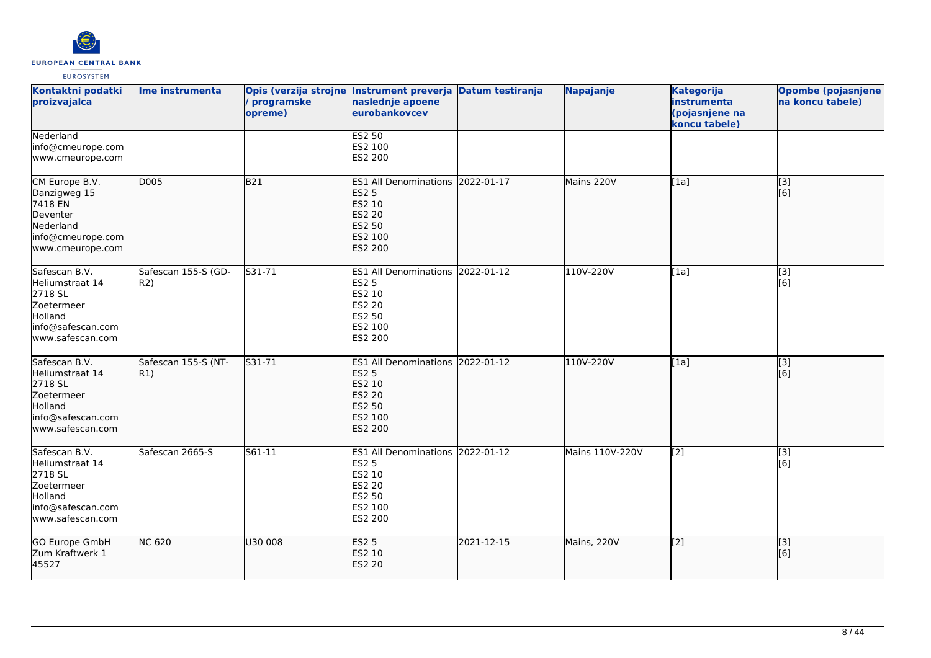

| Kontaktni podatki<br>proizvajalca                                                                             | Ime instrumenta             | programske<br>opreme) | Opis (verzija strojne Instrument preverja Datum testiranja<br>naslednje apoene<br>eurobankovcev             |            | Napajanje       | <b>Kategorija</b><br>instrumenta<br>(pojasnjene na<br>koncu tabele) | <b>Opombe (pojasnjene</b><br>na koncu tabele) |
|---------------------------------------------------------------------------------------------------------------|-----------------------------|-----------------------|-------------------------------------------------------------------------------------------------------------|------------|-----------------|---------------------------------------------------------------------|-----------------------------------------------|
| Nederland<br>info@cmeurope.com<br>www.cmeurope.com                                                            |                             |                       | <b>ES2 50</b><br>ES2 100<br>ES2 200                                                                         |            |                 |                                                                     |                                               |
| CM Europe B.V.<br>Danzigweg 15<br>7418 EN<br>Deventer<br>Nederland<br>info@cmeurope.com<br>www.cmeurope.com   | D005                        | <b>B21</b>            | <b>ES1 All Denominations</b><br><b>ES2 5</b><br>ES2 10<br>ES2 20<br>ES2 50<br>ES2 100<br>ES2 200            | 2022-01-17 | Mains 220V      | [1a]                                                                | [3]<br>[6]                                    |
| Safescan B.V.<br>Heliumstraat 14<br>2718 SL<br>Zoetermeer<br>Holland<br>info@safescan.com<br>www.safescan.com | Safescan 155-S (GD-<br>R2)  | S31-71                | <b>ES1 All Denominations</b><br><b>ES2 5</b><br>ES2 10<br>ES2 20<br>ES2 50<br>ES2 100<br>ES2 200            | 2022-01-12 | 110V-220V       | [1a]                                                                | [3]<br>[6]                                    |
| Safescan B.V.<br>Heliumstraat 14<br>2718 SL<br>Zoetermeer<br>Holland<br>info@safescan.com<br>www.safescan.com | Safescan 155-S (NT-<br> R1) | S31-71                | ES1 All Denominations 2022-01-12<br><b>ES2 5</b><br>ES2 10<br><b>ES2 20</b><br>ES2 50<br>ES2 100<br>ES2 200 |            | 110V-220V       | [1a]                                                                | $\overline{[}3]$<br>[6]                       |
| Safescan B.V.<br>Heliumstraat 14<br>2718 SL<br>Zoetermeer<br>Holland<br>info@safescan.com<br>www.safescan.com | Safescan 2665-S             | S61-11                | ES1 All Denominations 2022-01-12<br><b>ES2 5</b><br>ES2 10<br>ES2 20<br>ES2 50<br>ES2 100<br>ES2 200        |            | Mains 110V-220V | [2]                                                                 | $\overline{[3]}$<br>[6]                       |
| GO Europe GmbH<br>Zum Kraftwerk 1<br>45527                                                                    | <b>NC 620</b>               | U30 008               | <b>ES2 5</b><br>ES2 10<br>ES2 20                                                                            | 2021-12-15 | Mains, 220V     | $\left[2\right]$                                                    | [3]<br>[6]                                    |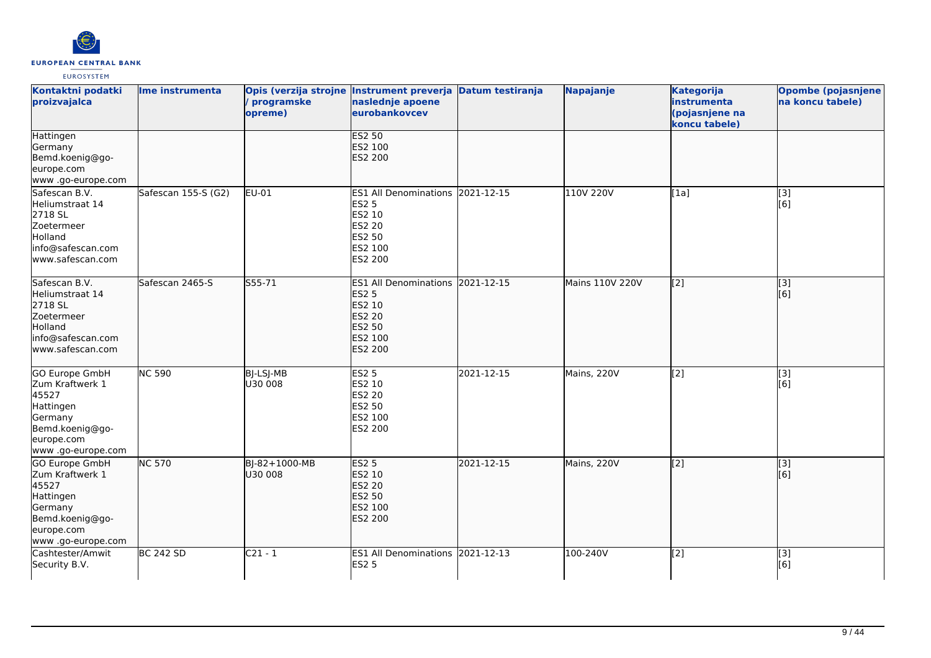

| Kontaktni podatki<br>proizvajalca                                                                                                | Ime instrumenta     | / programske<br>opreme)  | Opis (verzija strojne Instrument preverja Datum testiranja<br>naslednje apoene<br>eurobankovcev                    |            | Napajanje       | <b>Kategorija</b><br>instrumenta<br>(pojasnjene na<br>koncu tabele) | <b>Opombe (pojasnjene</b><br>na koncu tabele) |
|----------------------------------------------------------------------------------------------------------------------------------|---------------------|--------------------------|--------------------------------------------------------------------------------------------------------------------|------------|-----------------|---------------------------------------------------------------------|-----------------------------------------------|
| Hattingen<br>Germany<br>Bemd.koenig@go-<br>europe.com<br>www .go-europe.com                                                      |                     |                          | <b>ES2 50</b><br>ES2 100<br><b>ES2 200</b>                                                                         |            |                 |                                                                     |                                               |
| Safescan B.V.<br>Heliumstraat 14<br>2718 SL<br>Zoetermeer<br>Holland<br>info@safescan.com<br>www.safescan.com                    | Safescan 155-S (G2) | EU-01                    | ES1 All Denominations 2021-12-15<br><b>ES2 5</b><br>ES2 10<br>ES2 20<br><b>ES2 50</b><br>ES2 100<br>ES2 200        |            | 110V 220V       | [1a]                                                                | [3]<br>[6]                                    |
| Safescan B.V.<br>Heliumstraat 14<br>2718 SL<br>Zoetermeer<br>Holland<br>info@safescan.com<br>www.safescan.com                    | Safescan 2465-S     | S55-71                   | ES1 All Denominations 2021-12-15<br><b>ES2 5</b><br>ES2 10<br><b>ES2 20</b><br><b>ES2 50</b><br>ES2 100<br>ES2 200 |            | Mains 110V 220V | $\left[ \begin{matrix} 2 \end{matrix} \right]$                      | $\overline{[3]}$<br>[6]                       |
| <b>GO Europe GmbH</b><br>Zum Kraftwerk 1<br>45527<br>Hattingen<br>Germany<br>Bemd.koenig@go-<br>europe.com<br>www .go-europe.com | <b>NC 590</b>       | BJ-LSJ-MB<br>U30 008     | <b>ES2 5</b><br>ES2 10<br><b>ES2 20</b><br>ES2 50<br>ES2 100<br>ES2 200                                            | 2021-12-15 | Mains, 220V     | $\overline{[2]}$                                                    | $\overline{[3]}$<br>[6]                       |
| GO Europe GmbH<br>Zum Kraftwerk 1<br>45527<br>Hattingen<br>Germany<br>Bemd.koenig@go-<br>europe.com<br>www .go-europe.com        | <b>NC 570</b>       | BJ-82+1000-MB<br>U30 008 | <b>ES2 5</b><br>ES2 10<br><b>ES2 20</b><br><b>ES2 50</b><br>ES2 100<br>ES2 200                                     | 2021-12-15 | Mains, 220V     | $\left[2\right]$                                                    | [3]<br>[[6]                                   |
| Cashtester/Amwit<br>Security B.V.                                                                                                | <b>BC 242 SD</b>    | $C21 - 1$                | ES1 All Denominations 2021-12-13<br><b>ES2 5</b>                                                                   |            | 100-240V        | $\overline{[2]}$                                                    | $[3]$<br>[6]                                  |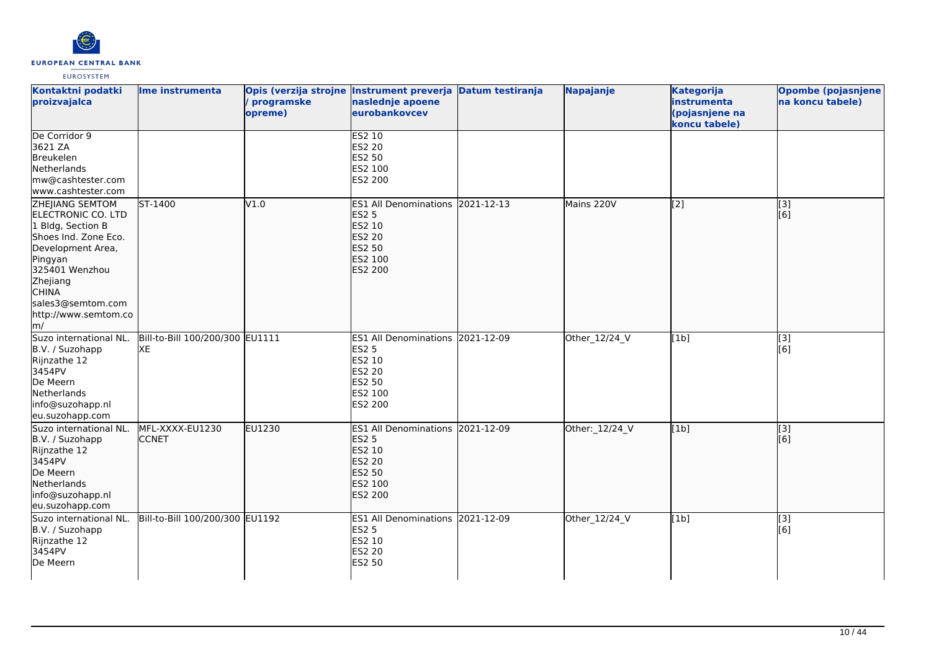

| Kontaktni podatki<br>proizvajalca                                                                                                                                                                                    | Ime instrumenta                       | Opis (verzija strojne Instrument preverja Datum testiranja<br>programske<br>opreme) | naslednje apoene<br>eurobankovcev                                                                           |            | Napajanje      | <b>Kategorija</b><br>instrumenta<br>(pojasnjene na<br>koncu tabele) | <b>Opombe (pojasnjene</b><br>na koncu tabele) |
|----------------------------------------------------------------------------------------------------------------------------------------------------------------------------------------------------------------------|---------------------------------------|-------------------------------------------------------------------------------------|-------------------------------------------------------------------------------------------------------------|------------|----------------|---------------------------------------------------------------------|-----------------------------------------------|
| De Corridor 9<br>3621 ZA<br>Breukelen<br>Netherlands<br>mw@cashtester.com<br>www.cashtester.com                                                                                                                      |                                       |                                                                                     | <b>ES2 10</b><br>ES2 20<br>ES2 50<br>ES2 100<br>ES2 200                                                     |            |                |                                                                     |                                               |
| ZHEJIANG SEMTOM<br>ELECTRONIC CO. LTD<br>1 Bldg, Section B<br>Shoes Ind. Zone Eco.<br>Development Area,<br>Pingyan<br>325401 Wenzhou<br>Zhejiang<br><b>CHINA</b><br>sales3@semtom.com<br>http://www.semtom.co<br>lm/ | ST-1400                               | V1.0                                                                                | ES1 All Denominations 2021-12-13<br><b>ES2 5</b><br>ES2 10<br><b>ES2 20</b><br>ES2 50<br>ES2 100<br>ES2 200 |            | Mains 220V     | [2]                                                                 | [3]<br>[6]                                    |
| Suzo international NL.<br>B.V. / Suzohapp<br>Rijnzathe 12<br>3454PV<br>De Meern<br>Netherlands<br>info@suzohapp.nl<br>eu.suzohapp.com                                                                                | Bill-to-Bill 100/200/300 EU1111<br>XE |                                                                                     | <b>ES1 All Denominations</b><br><b>ES2 5</b><br>ES2 10<br><b>ES2 20</b><br>ES2 50<br>ES2 100<br>ES2 200     | 2021-12-09 | Other_12/24_V  | [1b]                                                                | [3]<br>[6]                                    |
| Suzo international NL.<br>B.V. / Suzohapp<br>Rijnzathe 12<br>3454PV<br>De Meern<br>Netherlands<br>info@suzohapp.nl<br>eu.suzohapp.com                                                                                | MFL-XXXX-EU1230<br><b>CCNET</b>       | <b>EU1230</b>                                                                       | ES1 All Denominations 2021-12-09<br><b>ES2 5</b><br>ES2 10<br><b>ES2 20</b><br>ES2 50<br>ES2 100<br>ES2 200 |            | Other:_12/24_V | [1b]                                                                | $\overline{[}$ [3]<br>[6]                     |
| Suzo international NL.<br>B.V. / Suzohapp<br>Rijnzathe 12<br>3454PV<br>De Meern                                                                                                                                      | Bill-to-Bill 100/200/300 EU1192       |                                                                                     | ES1 All Denominations 2021-12-09<br><b>ES2 5</b><br>ES2 10<br>ES2 20<br><b>ES2 50</b>                       |            | Other_12/24_V  | [1b]                                                                | $\overline{[}3]$<br>[6]                       |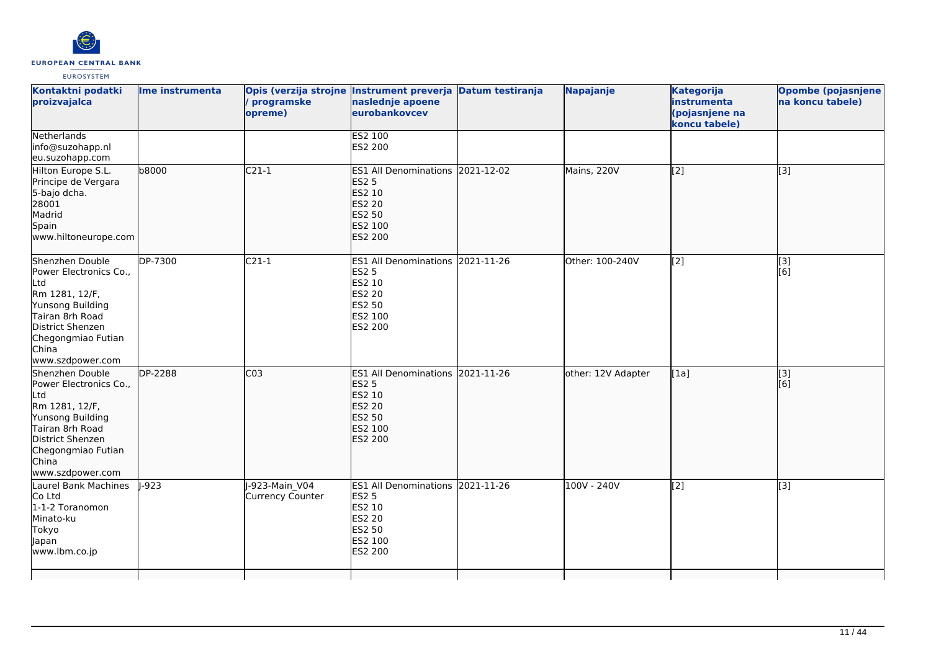

| Kontaktni podatki<br>proizvajalca                                                                                                                                                | Ime instrumenta | programske<br>opreme)                    | Opis (verzija strojne Instrument preverja Datum testiranja<br>naslednje apoene<br>eurobankovcev             | Napajanje          | <b>Kategorija</b><br>instrumenta<br>(pojasnjene na<br>koncu tabele) | <b>Opombe (pojasnjene</b><br>na koncu tabele) |
|----------------------------------------------------------------------------------------------------------------------------------------------------------------------------------|-----------------|------------------------------------------|-------------------------------------------------------------------------------------------------------------|--------------------|---------------------------------------------------------------------|-----------------------------------------------|
| Netherlands<br>info@suzohapp.nl<br>eu.suzohapp.com                                                                                                                               |                 |                                          | <b>ES2 100</b><br>ES2 200                                                                                   |                    |                                                                     |                                               |
| Hilton Europe S.L.<br>Principe de Vergara<br>5-bajo dcha.<br>28001<br>Madrid<br>Spain<br>www.hiltoneurope.com                                                                    | b8000           | $\overline{C21-1}$                       | ES1 All Denominations 2021-12-02<br><b>ES2 5</b><br>ES2 10<br><b>ES2 20</b><br>ES2 50<br>ES2 100<br>ES2 200 | Mains, 220V        | $\sqrt{2}$                                                          | $\overline{[3]}$                              |
| Shenzhen Double<br>Power Electronics Co.,<br>Ltd<br>Rm 1281, 12/F,<br>Yunsong Building<br>Tairan 8rh Road<br>District Shenzen<br>Chegongmiao Futian<br>China<br>www.szdpower.com | DP-7300         | $C21-1$                                  | ES1 All Denominations 2021-11-26<br><b>ES2 5</b><br>ES2 10<br><b>ES2 20</b><br>ES2 50<br>ES2 100<br>ES2 200 | Other: 100-240V    | $\overline{[2]}$                                                    | [3]<br>[6]                                    |
| Shenzhen Double<br>Power Electronics Co.,<br>Ltd<br>Rm 1281, 12/F,<br>Yunsong Building<br>Tairan 8rh Road<br>District Shenzen<br>Chegongmiao Futian<br>China<br>www.szdpower.com | DP-2288         | CO <sub>3</sub>                          | ES1 All Denominations 2021-11-26<br><b>ES2 5</b><br>ES2 10<br><b>ES2 20</b><br>ES2 50<br>ES2 100<br>ES2 200 | other: 12V Adapter | [1a]                                                                | $\overline{[}3]$<br>[6]                       |
| Laurel Bank Machines<br>Co Ltd<br>1-1-2 Toranomon<br>Minato-ku<br>Tokyo<br>Japan<br>www.lbm.co.jp                                                                                | $-923$          | -923-Main V04<br><b>Currency Counter</b> | ES1 All Denominations 2021-11-26<br><b>ES2 5</b><br>ES2 10<br><b>ES2 20</b><br>ES2 50<br>ES2 100<br>ES2 200 | 100V - 240V        | $\overline{[2]}$                                                    | $\overline{[3]}$                              |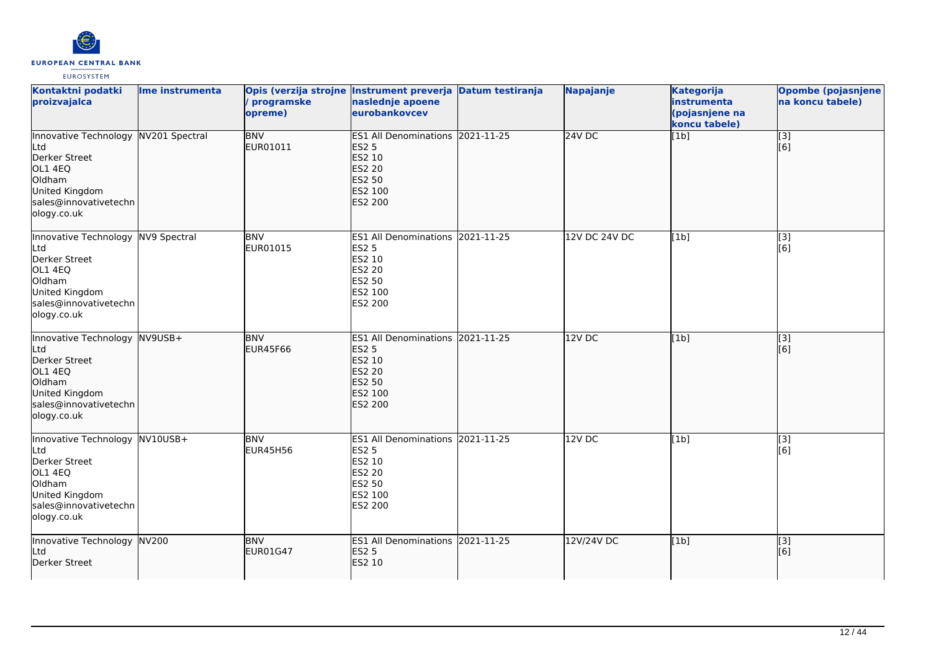

| Kontaktni podatki<br>proizvajalca                                                                                                           | Ime instrumenta | programske<br>opreme)         | Opis (verzija strojne Instrument preverja Datum testiranja<br>naslednje apoene<br>eurobankovcev                    | <b>Napajanje</b>     | <b>Kategorija</b><br>instrumenta<br>(pojasnjene na<br>koncu tabele) | <b>Opombe (pojasnjene)</b><br>na koncu tabele) |
|---------------------------------------------------------------------------------------------------------------------------------------------|-----------------|-------------------------------|--------------------------------------------------------------------------------------------------------------------|----------------------|---------------------------------------------------------------------|------------------------------------------------|
| Innovative Technology NV201 Spectral<br>Ltd<br>Derker Street<br>OL1 4EQ<br>Oldham<br>United Kingdom<br>sales@innovativetechn<br>ology.co.uk |                 | <b>BNV</b><br>EUR01011        | ES1 All Denominations 2021-11-25<br><b>ES2 5</b><br>ES2 10<br>ES2 20<br>ES2 50<br>ES2 100<br><b>ES2 200</b>        | $24V$ DC             | [1b]                                                                | $\overline{[}3]$<br>[6]                        |
| Innovative Technology NV9 Spectral<br>Ltd<br>Derker Street<br>OL1 4EQ<br>Oldham<br>United Kingdom<br>sales@innovativetechn<br>ology.co.uk   |                 | <b>BNV</b><br>EUR01015        | ES1 All Denominations 2021-11-25<br><b>ES2 5</b><br>ES2 10<br>ES2 20<br>ES2 50<br>ES2 100<br>ES2 200               | <b>12V DC 24V DC</b> | [1b]                                                                | $\overline{[3]}$<br>[6]                        |
| Innovative Technology NV9USB+<br>Ltd<br>Derker Street<br>OL1 4EQ<br>Oldham<br>United Kingdom<br>sales@innovativetechn<br>ology.co.uk        |                 | <b>BNV</b><br><b>EUR45F66</b> | ES1 All Denominations 2021-11-25<br><b>ES2 5</b><br>ES2 10<br>ES2 20<br><b>ES2 50</b><br>ES2 100<br><b>ES2 200</b> | 12V DC               | [1b]                                                                | [[3]<br>[[6]                                   |
| Innovative Technology NV10USB+<br>Ltd<br>Derker Street<br>OL1 4EQ<br>Oldham<br>United Kingdom<br>sales@innovativetechn<br>ology.co.uk       |                 | <b>BNV</b><br><b>EUR45H56</b> | ES1 All Denominations 2021-11-25<br><b>ES2 5</b><br>ES2 10<br>ES2 20<br>ES2 50<br>ES2 100<br>ES2 200               | 12VDC                | [1b]                                                                | [3]<br>[6]                                     |
| Innovative Technology NV200<br>Ltd<br>Derker Street                                                                                         |                 | <b>BNV</b><br><b>EUR01G47</b> | ES1 All Denominations 2021-11-25<br><b>ES2 5</b><br>ES2 10                                                         | 12V/24V DC           | [1b]                                                                | $\overline{[3]}$<br>[6]                        |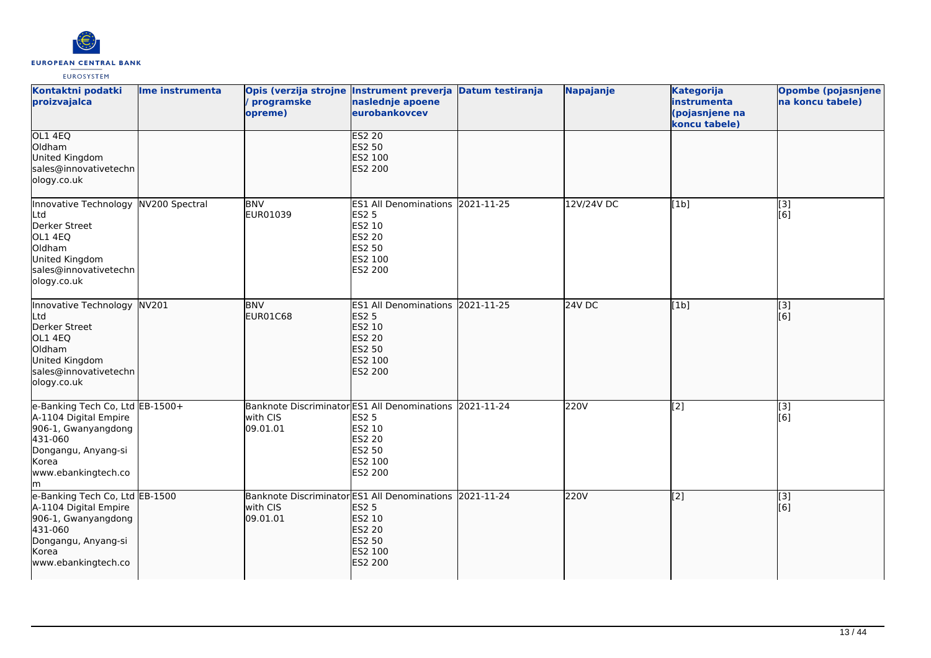

| Kontaktni podatki<br>proizvajalca                                                                                                                        | Ime instrumenta | Opis (verzija strojne Instrument preverja Datum testiranja<br>programske<br>opreme) | naslednje apoene<br>eurobankovcev                                                                                  |            | Napajanje  | <b>Kategorija</b><br>instrumenta<br>(pojasnjene na<br>koncu tabele) | <b>Opombe (pojasnjene</b><br>na koncu tabele) |
|----------------------------------------------------------------------------------------------------------------------------------------------------------|-----------------|-------------------------------------------------------------------------------------|--------------------------------------------------------------------------------------------------------------------|------------|------------|---------------------------------------------------------------------|-----------------------------------------------|
| OL1 4EQ<br>Oldham<br>United Kingdom<br>sales@innovativetechn<br>ology.co.uk                                                                              |                 |                                                                                     | <b>ES2 20</b><br><b>ES2 50</b><br>ES2 100<br><b>ES2 200</b>                                                        |            |            |                                                                     |                                               |
| Innovative Technology NV200 Spectral<br>Ltd<br>Derker Street<br>OL1 4EQ<br>Oldham<br>United Kingdom<br>sales@innovativetechn<br>ology.co.uk              |                 | <b>BNV</b><br>EUR01039                                                              | ES1 All Denominations 2021-11-25<br><b>ES2 5</b><br>ES2 10<br><b>ES2 20</b><br><b>ES2 50</b><br>ES2 100<br>ES2 200 |            | 12V/24V DC | [1b]                                                                | [3]<br>[6]                                    |
| Innovative Technology NV201<br>Ltd<br>Derker Street<br>OL1 4EQ<br>Oldham<br>United Kingdom<br>sales@innovativetechn<br>ology.co.uk                       |                 | <b>BNV</b><br>EUR01C68                                                              | ES1 All Denominations 2021-11-25<br><b>ES2 5</b><br>ES2 10<br><b>ES2 20</b><br>ES2 50<br>ES2 100<br><b>ES2 200</b> |            | 24V DC     | [1b]                                                                | [3]<br>[6]                                    |
| e-Banking Tech Co, Ltd EB-1500+<br>A-1104 Digital Empire<br>906-1, Gwanyangdong<br>431-060<br>Dongangu, Anyang-si<br>Korea<br>www.ebankingtech.co<br>lm. |                 | Banknote Discriminator ES1 All Denominations 2021-11-24<br>with CIS<br>09.01.01     | <b>ES2 5</b><br>ES2 10<br><b>ES2 20</b><br>ES2 50<br>ES2 100<br>ES2 200                                            |            | 220V       | $\overline{[2]}$                                                    | $\overline{[3]}$<br>[6]                       |
| e-Banking Tech Co, Ltd EB-1500<br>A-1104 Digital Empire<br>906-1, Gwanyangdong<br>431-060<br>Dongangu, Anyang-si<br>Korea<br>www.ebankingtech.co         |                 | Banknote Discriminator ES1 All Denominations<br>with CIS<br>09.01.01                | <b>ES2 5</b><br>ES2 10<br><b>ES2 20</b><br><b>ES2 50</b><br>ES2 100<br>ES2 200                                     | 2021-11-24 | 220V       | $\left[ \begin{matrix} 2 \end{matrix} \right]$                      | [3]<br>[6]                                    |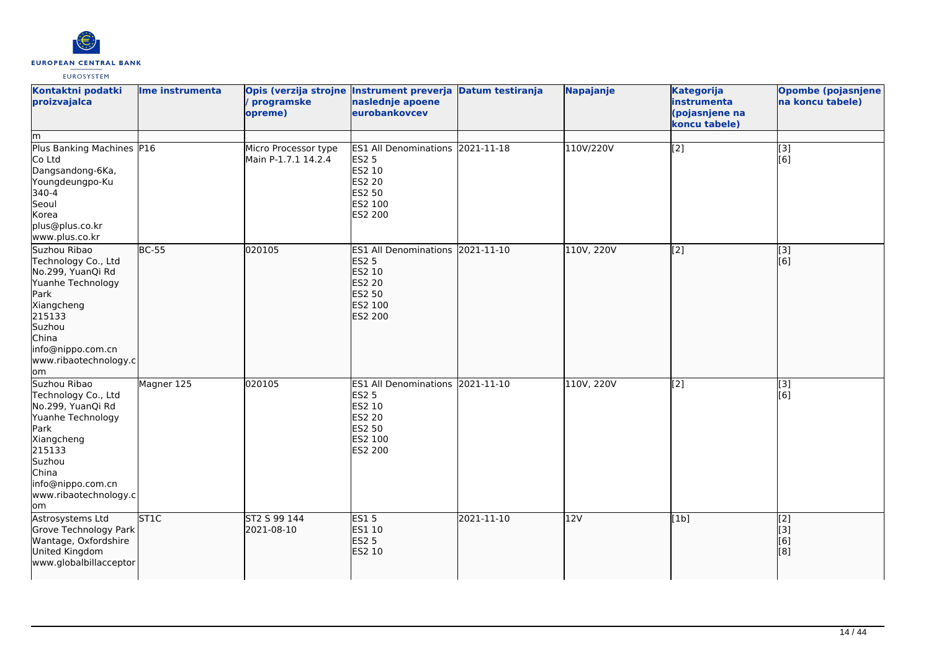

| Kontaktni podatki<br>proizvajalca<br>lm.                                                                                                                                              | Ime instrumenta | programske<br>opreme)                       | Opis (verzija strojne Instrument preverja Datum testiranja<br>naslednje apoene<br>eurobankovcev                       |            | Napajanje  | <b>Kategorija</b><br>instrumenta<br>(pojasnjene na<br>koncu tabele) | <b>Opombe (pojasnjene</b><br>na koncu tabele) |
|---------------------------------------------------------------------------------------------------------------------------------------------------------------------------------------|-----------------|---------------------------------------------|-----------------------------------------------------------------------------------------------------------------------|------------|------------|---------------------------------------------------------------------|-----------------------------------------------|
| Plus Banking Machines P16<br>Co Ltd<br>Dangsandong-6Ka,<br>Youngdeungpo-Ku<br>340-4<br>Seoul<br>Korea<br>plus@plus.co.kr<br>www.plus.co.kr                                            |                 | Micro Processor type<br>Main P-1.7.1 14.2.4 | ES1 All Denominations 2021-11-18<br><b>ES2 5</b><br>ES2 10<br><b>ES2 20</b><br>ES2 50<br>ES2 100<br>ES2 200           |            | 110V/220V  | $\overline{[2]}$                                                    | $\overline{[3]}$<br>[6]                       |
| Suzhou Ribao<br>Technology Co., Ltd<br>No.299, YuanQi Rd<br>Yuanhe Technology<br>Park<br>Xiangcheng<br>215133<br>Suzhou<br>China<br>info@nippo.com.cn<br>www.ribaotechnology.c<br>lom | <b>BC-55</b>    | 020105                                      | <b>ES1 All Denominations</b><br><b>ES2 5</b><br>ES2 10<br><b>ES2 20</b><br><b>ES2 50</b><br>ES2 100<br><b>ES2 200</b> | 2021-11-10 | 110V, 220V | $\overline{[2]}$                                                    | $\overline{[}3]$<br>[6]                       |
| Suzhou Ribao<br>Technology Co., Ltd<br>No.299, YuanQi Rd<br>Yuanhe Technology<br>Park<br>Xiangcheng<br>215133<br>Suzhou<br>China<br>info@nippo.com.cn<br>www.ribaotechnology.c<br>lom | Magner 125      | 020105                                      | <b>ES1 All Denominations</b><br><b>ES2 5</b><br>ES2 10<br>ES2 20<br>ES2 50<br>ES2 100<br>ES2 200                      | 2021-11-10 | 110V, 220V | $\left[2\right]$                                                    | [3]<br>[6]                                    |
| Astrosystems Ltd<br>Grove Technology Park<br>Wantage, Oxfordshire<br>United Kingdom<br>www.globalbillacceptor                                                                         | <b>ST1C</b>     | ST2 S 99 144<br>2021-08-10                  | <b>ES15</b><br>ES1 10<br><b>ES2 5</b><br>ES2 10                                                                       | 2021-11-10 | 12V        | [1b]                                                                | [2]<br>[[3]<br>[6]<br>[8]                     |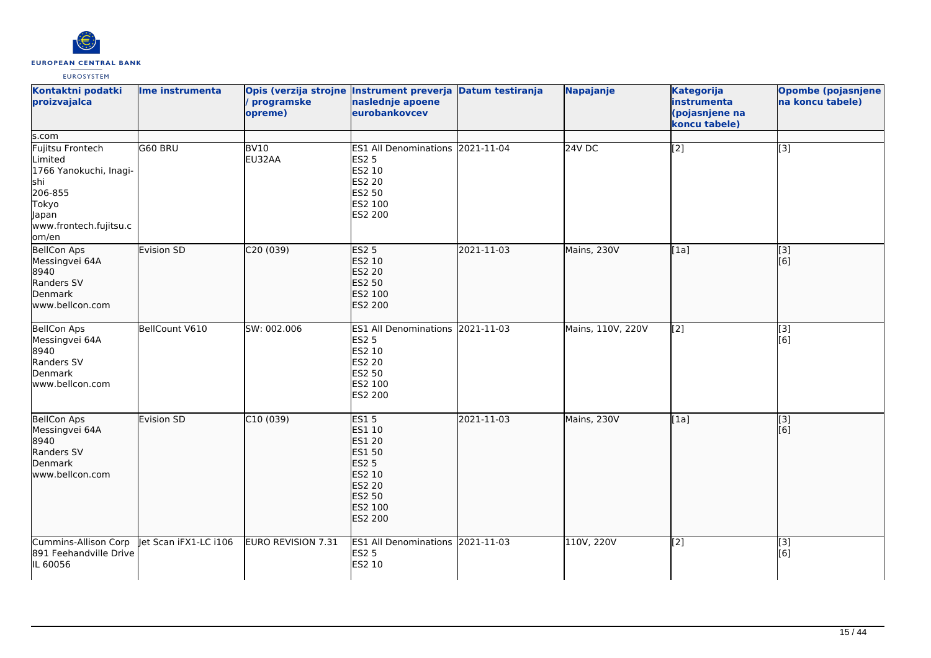

| Kontaktni podatki<br>proizvajalca                                                                                                      | Ime instrumenta       | / programske<br>opreme)    | Opis (verzija strojne Instrument preverja Datum testiranja<br>naslednje apoene<br>eurobankovcev                                                  |            | Napajanje         | <b>Kategorija</b><br>instrumenta<br>(pojasnjene na<br>koncu tabele) | <b>Opombe (pojasnjene</b><br>na koncu tabele) |
|----------------------------------------------------------------------------------------------------------------------------------------|-----------------------|----------------------------|--------------------------------------------------------------------------------------------------------------------------------------------------|------------|-------------------|---------------------------------------------------------------------|-----------------------------------------------|
| ls.com<br>Fujitsu Frontech<br>Limited<br>1766 Yanokuchi, Inagi-<br>shi<br>206-855<br>Tokyo<br>Japan<br>www.frontech.fujitsu.c<br>om/en | G60 BRU               | BV <sub>10</sub><br>EU32AA | <b>ES1 All Denominations</b><br><b>ES2 5</b><br>ES2 10<br><b>ES2 20</b><br>ES2 50<br>ES2 100<br>ES2 200                                          | 2021-11-04 | 24V <sub>DC</sub> | $\overline{[2]}$                                                    | $\overline{[3]}$                              |
| <b>BellCon Aps</b><br>Messingvei 64A<br>8940<br>Randers SV<br>Denmark<br>www.bellcon.com                                               | Evision SD            | C20(039)                   | <b>ES2 5</b><br>ES2 10<br><b>ES2 20</b><br><b>ES2 50</b><br>ES2 100<br>ES2 200                                                                   | 2021-11-03 | Mains, 230V       | [1a]                                                                | $\overline{[}3]$<br>[6]                       |
| <b>BellCon Aps</b><br>Messingvei 64A<br>8940<br>Randers SV<br>Denmark<br>www.bellcon.com                                               | BellCount V610        | SW: 002.006                | ES1 All Denominations 2021-11-03<br><b>ES2 5</b><br>ES2 10<br>ES2 20<br>ES2 50<br>ES2 100<br>ES2 200                                             |            | Mains, 110V, 220V | [2]                                                                 | $\overline{[3]}$<br>[6]                       |
| <b>BellCon Aps</b><br>Messingvei 64A<br>8940<br>Randers SV<br>Denmark<br>www.bellcon.com                                               | Evision SD            | C10(039)                   | <b>ES15</b><br>ES1 10<br><b>ES1 20</b><br><b>ES1 50</b><br><b>ES2 5</b><br>ES2 10<br><b>ES2 20</b><br><b>ES2 50</b><br>ES2 100<br><b>ES2 200</b> | 2021-11-03 | Mains, 230V       | [1a]                                                                | $\overline{[3]}$<br>[6]                       |
| Cummins-Allison Corp<br>891 Feehandville Drive<br>IL 60056                                                                             | Jet Scan iFX1-LC i106 | EURO REVISION 7.31         | ES1 All Denominations 2021-11-03<br><b>ES2 5</b><br>ES2 10                                                                                       |            | 110V, 220V        | [2]                                                                 | [3]<br>[6]                                    |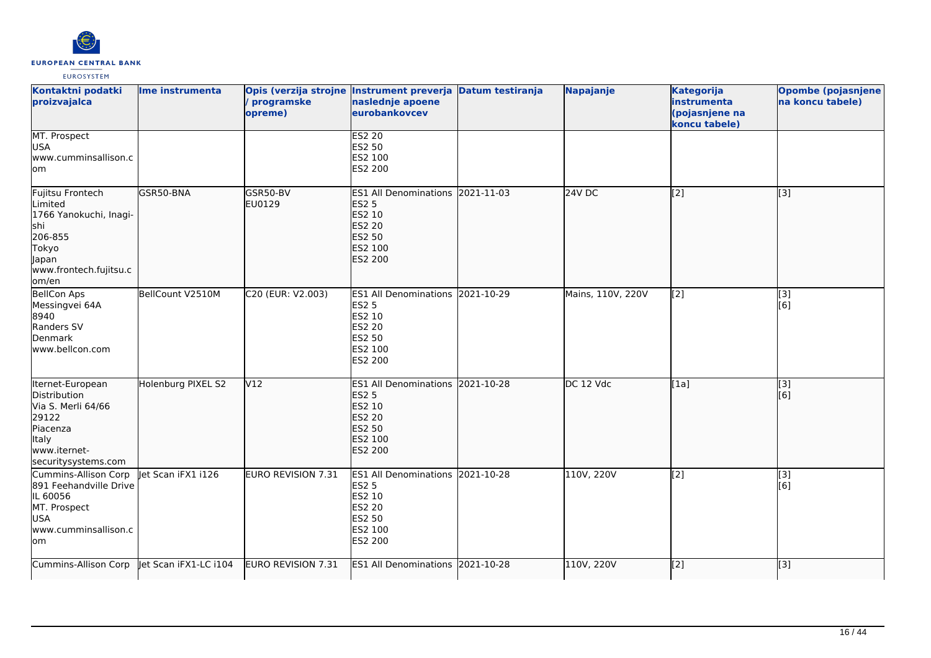

| Kontaktni podatki<br>proizvajalca                                                                                             | Ime instrumenta       | programske<br>opreme)     | Opis (verzija strojne Instrument preverja Datum testiranja<br>naslednje apoene<br>eurobankovcev                    | Napajanje         | <b>Kategorija</b><br>instrumenta<br>(pojasnjene na<br>koncu tabele) | Opombe (pojasnjene<br>na koncu tabele) |
|-------------------------------------------------------------------------------------------------------------------------------|-----------------------|---------------------------|--------------------------------------------------------------------------------------------------------------------|-------------------|---------------------------------------------------------------------|----------------------------------------|
| MT. Prospect<br><b>USA</b><br>www.cumminsallison.c<br>lom                                                                     |                       |                           | <b>ES2 20</b><br><b>ES2 50</b><br>ES2 100<br>ES2 200                                                               |                   |                                                                     |                                        |
| Fujitsu Frontech<br>Limited<br>1766 Yanokuchi, Inagi-<br>lshi<br>206-855<br>Tokyo<br>Japan<br>www.frontech.fujitsu.c<br>om/en | GSR50-BNA             | GSR50-BV<br>EU0129        | ES1 All Denominations 2021-11-03<br><b>ES2 5</b><br>ES2 10<br><b>ES2 20</b><br><b>ES2 50</b><br>ES2 100<br>ES2 200 | 24V <sub>DC</sub> | $\left[ \begin{matrix} 2 \end{matrix} \right]$                      | [3]                                    |
| <b>BellCon Aps</b><br>Messingvei 64A<br>8940<br>Randers SV<br>Denmark<br>www.bellcon.com                                      | BellCount V2510M      | C20 (EUR: V2.003)         | ES1 All Denominations 2021-10-29<br><b>ES2 5</b><br>ES2 10<br>ES2 20<br>ES2 50<br>ES2 100<br>ES2 200               | Mains, 110V, 220V | [2]                                                                 | $\overline{[3]}$<br>[6]                |
| Iternet-European<br>Distribution<br>Via S. Merli 64/66<br>29122<br>Piacenza<br>Italy<br>www.iternet-<br>securitysystems.com   | Holenburg PIXEL S2    | V <sub>12</sub>           | ES1 All Denominations 2021-10-28<br><b>ES2 5</b><br>ES2 10<br><b>ES2 20</b><br><b>ES2 50</b><br>ES2 100<br>ES2 200 | DC 12 Vdc         | [1a]                                                                | [[3]<br>[6]                            |
| Cummins-Allison Corp<br>891 Feehandville Drive<br>IL 60056<br>MT. Prospect<br><b>USA</b><br>www.cumminsallison.c<br>lom       | let Scan iFX1 i126    | <b>EURO REVISION 7.31</b> | ES1 All Denominations 2021-10-28<br><b>ES2 5</b><br>ES2 10<br><b>ES2 20</b><br><b>ES2 50</b><br>ES2 100<br>ES2 200 | 110V, 220V        | [2]                                                                 | [3]<br>[6]                             |
| Cummins-Allison Corp                                                                                                          | Jet Scan iFX1-LC i104 | EURO REVISION 7.31        | ES1 All Denominations 2021-10-28                                                                                   | 110V, 220V        | $\sqrt{2}$                                                          | [3]                                    |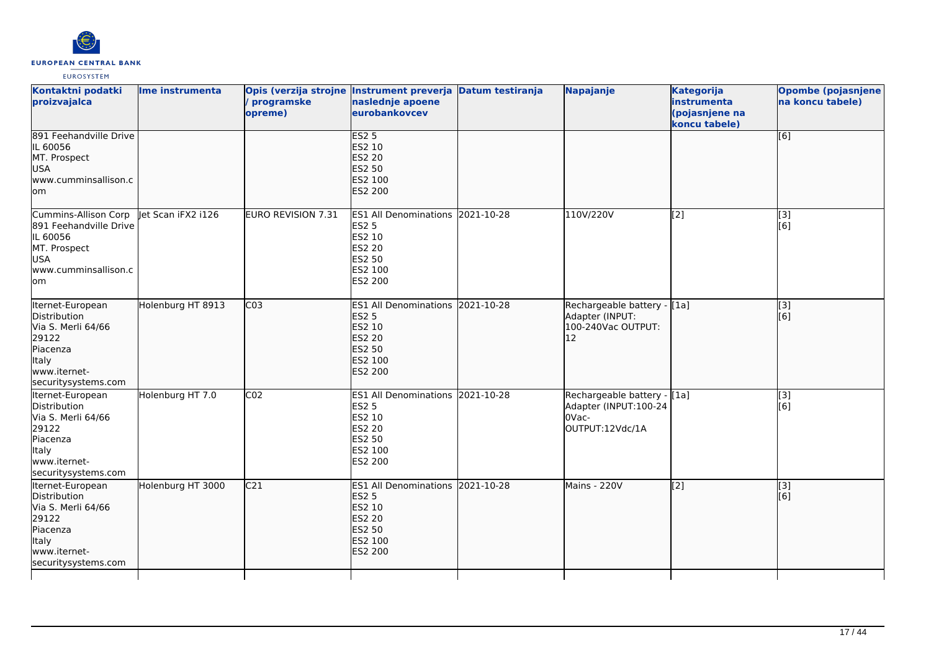

| Kontaktni podatki<br>proizvajalca                                                                                                  | Ime instrumenta    | programske<br>opreme)     | Opis (verzija strojne Instrument preverja Datum testiranja<br>naslednje apoene<br>eurobankovcev                    |            | Napajanje                                                                        | <b>Kategorija</b><br>instrumenta<br>(pojasnjene na<br>koncu tabele) | Opombe (pojasnjene)<br>na koncu tabele) |
|------------------------------------------------------------------------------------------------------------------------------------|--------------------|---------------------------|--------------------------------------------------------------------------------------------------------------------|------------|----------------------------------------------------------------------------------|---------------------------------------------------------------------|-----------------------------------------|
| 891 Feehandville Drive<br>IL 60056<br>MT. Prospect<br><b>USA</b><br>www.cumminsallison.c<br>lom                                    |                    |                           | <b>ES2 5</b><br>ES2 10<br><b>ES2 20</b><br><b>ES2 50</b><br>ES2 100<br>ES2 200                                     |            |                                                                                  |                                                                     | $\overline{[6]}$                        |
| Cummins-Allison Corp<br>891 Feehandville Drive<br>IL 60056<br>MT. Prospect<br><b>USA</b><br>www.cumminsallison.c<br>lom            | let Scan iFX2 i126 | <b>EURO REVISION 7.31</b> | ES1 All Denominations 2021-10-28<br><b>ES2 5</b><br>ES2 10<br><b>ES2 20</b><br>ES2 50<br>ES2 100<br>ES2 200        |            | 110V/220V                                                                        | $\overline{[2]}$                                                    | $\overline{[}3]$<br>[6]                 |
| Iternet-European<br>Distribution<br>Via S. Merli 64/66<br>29122<br>Piacenza<br><b>Italy</b><br>www.iternet-<br>securitysystems.com | Holenburg HT 8913  | CO <sub>3</sub>           | ES1 All Denominations 2021-10-28<br><b>ES2 5</b><br>ES2 10<br><b>ES2 20</b><br>ES2 50<br>ES2 100<br>ES2 200        |            | Rechargeable battery - [[1a]<br>Adapter (INPUT:<br>100-240Vac OUTPUT:<br>12      |                                                                     | [[3]<br>[6]                             |
| Iternet-European<br>Distribution<br>Via S. Merli 64/66<br>29122<br>Piacenza<br>Italy<br>www.iternet-<br>securitysystems.com        | Holenburg HT 7.0   | CO <sub>2</sub>           | ES1 All Denominations 2021-10-28<br><b>ES2 5</b><br>ES2 10<br><b>ES2 20</b><br><b>ES2 50</b><br>ES2 100<br>ES2 200 |            | Rechargeable battery - [1a]<br>Adapter (INPUT:100-24<br>0Vac-<br>OUTPUT:12Vdc/1A |                                                                     | $\overline{[3]}$<br>[6]                 |
| Iternet-European<br>Distribution<br>Via S. Merli 64/66<br>29122<br>Piacenza<br>Italy<br>www.iternet-<br>securitysystems.com        | Holenburg HT 3000  | C <sub>21</sub>           | <b>ES1 All Denominations</b><br><b>ES2 5</b><br>ES2 10<br><b>ES2 20</b><br><b>ES2 50</b><br>ES2 100<br>ES2 200     | 2021-10-28 | Mains - 220V                                                                     | $\overline{[2]}$                                                    | $\overline{[}$ [3]<br>[6]               |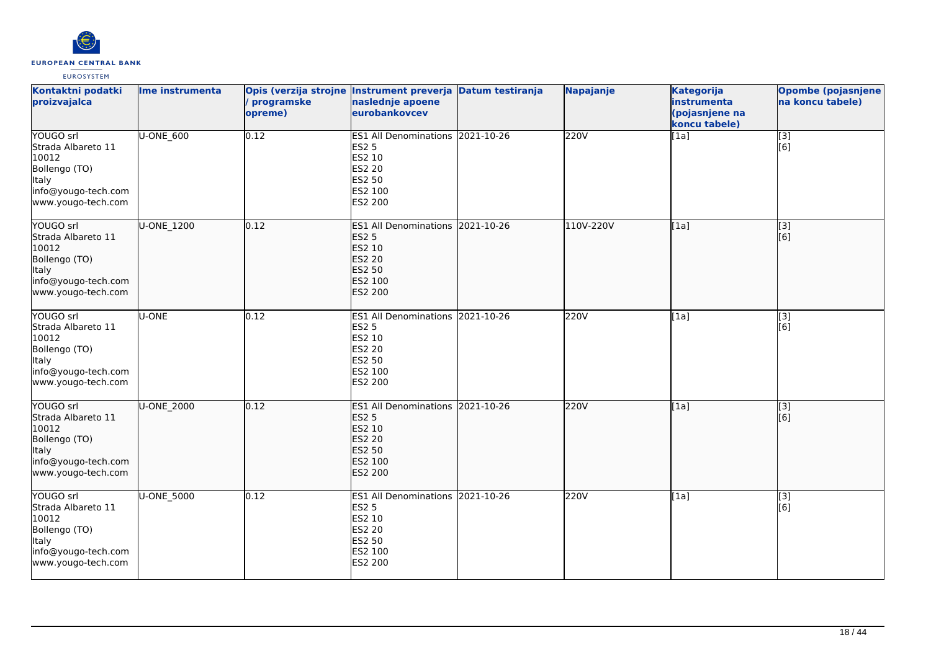

| Kontaktni podatki<br>proizvajalca                                                                                      | Ime instrumenta | programske<br>opreme) | Opis (verzija strojne Instrument preverja Datum testiranja<br>naslednje apoene<br>eurobankovcev                           |            | Napajanje | <b>Kategorija</b><br>instrumenta<br>(pojasnjene na<br>koncu tabele) | Opombe (pojasnjene<br>na koncu tabele) |
|------------------------------------------------------------------------------------------------------------------------|-----------------|-----------------------|---------------------------------------------------------------------------------------------------------------------------|------------|-----------|---------------------------------------------------------------------|----------------------------------------|
| YOUGO srl<br>Strada Albareto 11<br>10012<br>Bollengo (TO)<br><b>Italy</b><br>info@yougo-tech.com<br>www.yougo-tech.com | U-ONE_600       | 0.12                  | ES1 All Denominations 2021-10-26<br><b>ES2 5</b><br>ES2 10<br>ES2 20<br><b>ES2 50</b><br>ES2 100<br><b>ES2 200</b>        |            | 220V      | [1a]                                                                | $\overline{[}3]$<br>[6]                |
| YOUGO srl<br>Strada Albareto 11<br>10012<br>Bollengo (TO)<br>Italy<br>info@yougo-tech.com<br>www.yougo-tech.com        | U-ONE 1200      | 0.12                  | <b>ES1 All Denominations</b><br><b>ES2 5</b><br>ES2 10<br><b>ES2 20</b><br>ES2 50<br>ES2 100<br><b>ES2 200</b>            | 2021-10-26 | 110V-220V | [1a]                                                                | [3]<br>[6]                             |
| YOUGO srl<br>Strada Albareto 11<br>10012<br>Bollengo (TO)<br><b>Italy</b><br>info@yougo-tech.com<br>www.yougo-tech.com | U-ONE           | 0.12                  | ES1 All Denominations 2021-10-26<br><b>ES2 5</b><br>ES2 10<br>ES2 20<br>ES2 50<br>ES2 100<br>ES2 200                      |            | 220V      | [1a]                                                                | [3]<br>[6]                             |
| YOUGO srl<br>Strada Albareto 11<br>10012<br>Bollengo (TO)<br><b>Italy</b><br>info@yougo-tech.com<br>www.yougo-tech.com | U-ONE_2000      | 0.12                  | ES1 All Denominations 2021-10-26<br><b>ES2 5</b><br>ES2 10<br><b>ES2 20</b><br><b>ES2 50</b><br>ES2 100<br><b>ES2 200</b> |            | 220V      | [1a]                                                                | $\overline{[}3]$<br>[6]                |
| YOUGO srl<br>Strada Albareto 11<br>10012<br>Bollengo (TO)<br><b>Italy</b><br>info@yougo-tech.com<br>www.yougo-tech.com | U-ONE_5000      | 0.12                  | ES1 All Denominations 2021-10-26<br><b>ES2 5</b><br>ES2 10<br>ES2 20<br>ES2 50<br>ES2 100<br>ES2 200                      |            | 220V      | [1a]                                                                | [3]<br>[6]                             |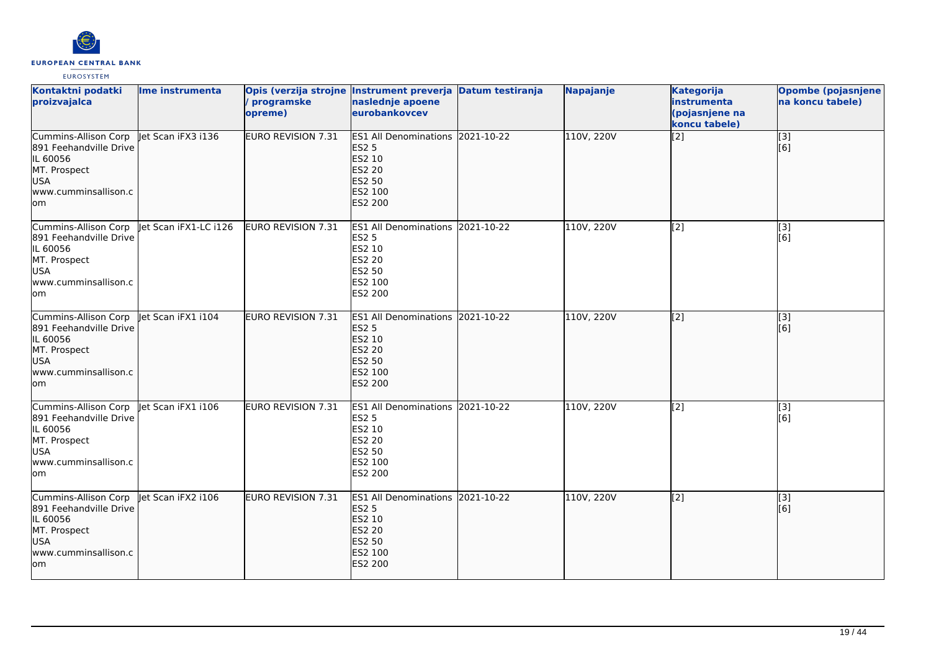

| Kontaktni podatki<br>proizvajalca                                                                                        | Ime instrumenta      | programske<br>opreme)     | Opis (verzija strojne Instrument preverja Datum testiranja<br>naslednje apoene<br>eurobankovcev             | Napajanje  | <b>Kategorija</b><br>instrumenta<br>(pojasnjene na<br>koncu tabele) | <b>Opombe (pojasnjene)</b><br>na koncu tabele) |
|--------------------------------------------------------------------------------------------------------------------------|----------------------|---------------------------|-------------------------------------------------------------------------------------------------------------|------------|---------------------------------------------------------------------|------------------------------------------------|
| Cummins-Allison Corp<br>891 Feehandville Drive<br>IL 60056<br>MT. Prospect<br><b>USA</b><br>www.cumminsallison.c<br>lom  | let Scan iFX3 i136   | <b>EURO REVISION 7.31</b> | ES1 All Denominations 2021-10-22<br><b>ES2 5</b><br>ES2 10<br><b>ES2 20</b><br>ES2 50<br>ES2 100<br>ES2 200 | 110V, 220V | $\left[2\right]$                                                    | [3]<br>[6]                                     |
| Cummins-Allison Corp<br>891 Feehandville Drive<br>IL 60056<br>MT. Prospect<br><b>USA</b><br>lwww.cumminsallison.c<br>lom | et Scan iFX1-LC i126 | EURO REVISION 7.31        | ES1 All Denominations 2021-10-22<br><b>ES2 5</b><br>ES2 10<br><b>ES2 20</b><br>ES2 50<br>ES2 100<br>ES2 200 | 110V, 220V | $\left[$ [2]                                                        | $\overline{[3]}$<br>[6]                        |
| Cummins-Allison Corp<br>891 Feehandville Drive<br>IL 60056<br>MT. Prospect<br><b>USA</b><br>www.cumminsallison.c<br>lom  | let Scan iFX1 i104   | <b>EURO REVISION 7.31</b> | ES1 All Denominations 2021-10-22<br><b>ES2 5</b><br>ES2 10<br><b>ES2 20</b><br>ES2 50<br>ES2 100<br>ES2 200 | 110V, 220V | $\overline{[2]}$                                                    | $\overline{[}3]$<br>[[6]                       |
| Cummins-Allison Corp<br>891 Feehandville Drive<br>IL 60056<br>MT. Prospect<br><b>USA</b><br>www.cumminsallison.c<br>lom  | let Scan iFX1 i106   | <b>EURO REVISION 7.31</b> | ES1 All Denominations 2021-10-22<br><b>ES2 5</b><br>ES2 10<br><b>ES2 20</b><br>ES2 50<br>ES2 100<br>ES2 200 | 110V, 220V | $\overline{[2]}$                                                    | [3]<br>[6]                                     |
| Cummins-Allison Corp<br>891 Feehandville Drive<br>IL 60056<br>MT. Prospect<br>USA<br>www.cumminsallison.c<br>lom         | let Scan iFX2 i106   | <b>EURO REVISION 7.31</b> | ES1 All Denominations 2021-10-22<br><b>ES2 5</b><br>ES2 10<br><b>ES2 20</b><br>ES2 50<br>ES2 100<br>ES2 200 | 110V, 220V | $\overline{[2]}$                                                    | $\overline{[}3]$<br>[[6]                       |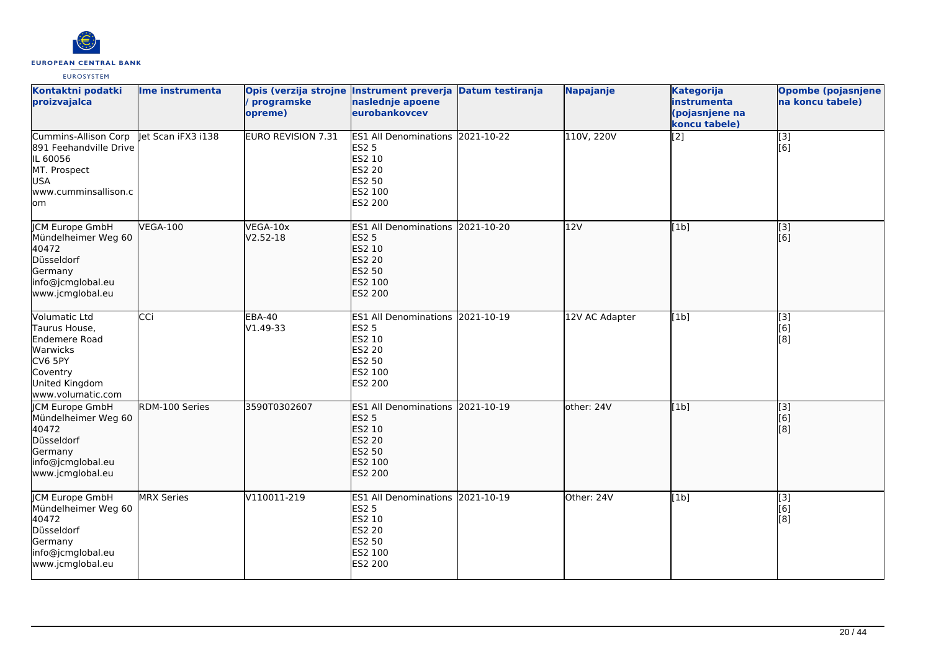

| Kontaktni podatki<br>proizvajalca                                                                                         | Ime instrumenta    | programske<br>opreme)     | Opis (verzija strojne Instrument preverja Datum testiranja<br>naslednje apoene<br>eurobankovcev                    | Napajanje      | <b>Kategorija</b><br>instrumenta<br>(pojasnjene na<br>koncu tabele) | Opombe (pojasnjene<br>na koncu tabele) |
|---------------------------------------------------------------------------------------------------------------------------|--------------------|---------------------------|--------------------------------------------------------------------------------------------------------------------|----------------|---------------------------------------------------------------------|----------------------------------------|
| Cummins-Allison Corp<br>891 Feehandville Drive<br>IL 60056<br>MT. Prospect<br><b>USA</b><br>www.cumminsallison.c<br>lom   | let Scan iFX3 i138 | <b>EURO REVISION 7.31</b> | ES1 All Denominations 2021-10-22<br><b>ES2 5</b><br>ES2 10<br>ES2 20<br>ES2 50<br>ES2 100<br>ES2 200               | 110V, 220V     | [2]                                                                 | [3]<br>[6]                             |
| JCM Europe GmbH<br>Mündelheimer Weg 60<br>40472<br>Düsseldorf<br>Germany<br>info@jcmglobal.eu<br>www.jcmglobal.eu         | <b>VEGA-100</b>    | VEGA-10x<br>$V2.52 - 18$  | ES1 All Denominations 2021-10-20<br><b>ES2 5</b><br>ES2 10<br><b>ES2 20</b><br>ES2 50<br>ES2 100<br><b>ES2 200</b> | 12V            | [1b]                                                                | [[3]<br>[6]                            |
| Volumatic Ltd<br>Taurus House.<br>Endemere Road<br>Warwicks<br>CV6 5PY<br>Coventry<br>United Kingdom<br>www.volumatic.com | CCi                | <b>EBA-40</b><br>V1.49-33 | ES1 All Denominations 2021-10-19<br><b>ES2 5</b><br>ES2 10<br><b>ES2 20</b><br>ES2 50<br>ES2 100<br>ES2 200        | 12V AC Adapter | [1b]                                                                | [3]<br>[6]<br>[8]                      |
| JCM Europe GmbH<br>Mündelheimer Weg 60<br>40472<br>Düsseldorf<br>Germany<br>info@jcmglobal.eu<br>www.jcmglobal.eu         | RDM-100 Series     | 3590T0302607              | ES1 All Denominations 2021-10-19<br><b>ES2 5</b><br>ES2 10<br><b>ES2 20</b><br>ES2 50<br>ES2 100<br>ES2 200        | other: 24V     | [1b]                                                                | [3]<br>[6]<br>[8]                      |
| <b>ICM Europe GmbH</b><br>Mündelheimer Weg 60<br>40472<br>Düsseldorf<br>Germany<br>info@jcmglobal.eu<br>www.jcmglobal.eu  | <b>MRX Series</b>  | V110011-219               | ES1 All Denominations 2021-10-19<br><b>ES2 5</b><br>ES2 10<br><b>ES2 20</b><br>ES2 50<br>ES2 100<br>ES2 200        | Other: 24V     | [1b]                                                                | [3]<br>[6]<br>[8]                      |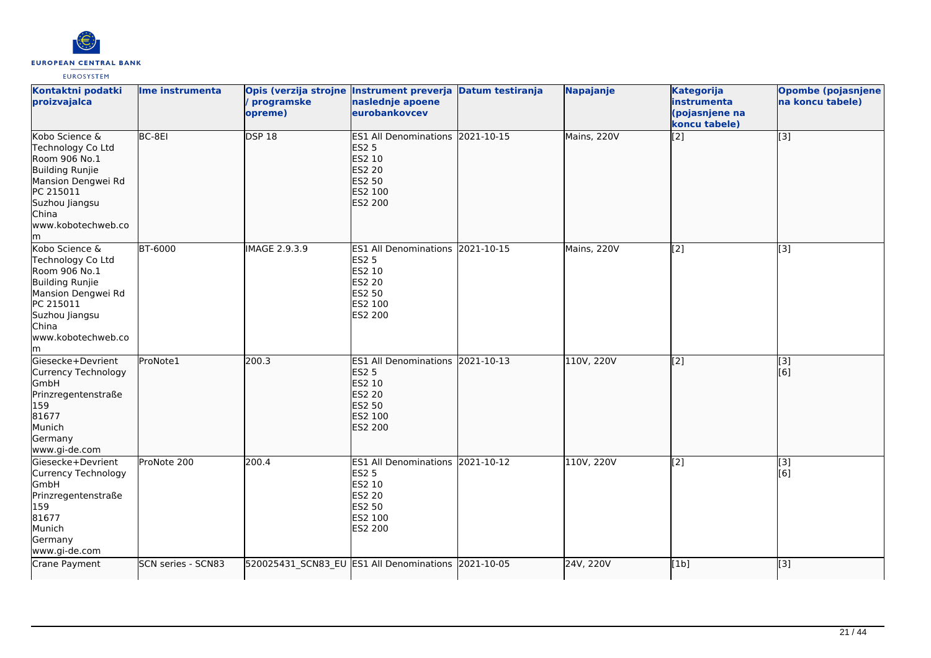

| Kontaktni podatki<br>proizvajalca                                                                                                                                        | Ime instrumenta    | Opis (verzija strojne Instrument preverja Datum testiranja<br>programske<br>opreme) | naslednje apoene<br>eurobankovcev                                                                                                | Napajanje   | Kategorija<br>instrumenta<br>(pojasnjene na<br>koncu tabele) | <b>Opombe (pojasnjene</b><br>na koncu tabele) |
|--------------------------------------------------------------------------------------------------------------------------------------------------------------------------|--------------------|-------------------------------------------------------------------------------------|----------------------------------------------------------------------------------------------------------------------------------|-------------|--------------------------------------------------------------|-----------------------------------------------|
| Kobo Science &<br>Technology Co Ltd<br>Room 906 No.1<br>Building Runjie<br>Mansion Dengwei Rd<br>PC 215011<br>Suzhou Jiangsu<br>China<br>www.kobotechweb.co<br>lm.       | BC-8EI             | <b>DSP 18</b>                                                                       | ES1 All Denominations 2021-10-15<br><b>ES2 5</b><br>ES2 10<br><b>ES2 20</b><br>ES2 50<br>ES2 100<br><b>ES2 200</b>               | Mains, 220V | $\left[2\right]$                                             | [3]                                           |
| Kobo Science &<br>Technology Co Ltd<br>Room 906 No.1<br><b>Building Runjie</b><br>Mansion Dengwei Rd<br>PC 215011<br>Suzhou Jiangsu<br>China<br>www.kobotechweb.co<br>lm | <b>BT-6000</b>     | <b>IMAGE 2.9.3.9</b>                                                                | ES1 All Denominations 2021-10-15<br><b>ES2 5</b><br>ES2 10<br>ES2 20<br>ES2 50<br>ES2 100<br>ES2 200                             | Mains, 220V | $\overline{[2]}$                                             | $\overline{[3]}$                              |
| Giesecke+Devrient<br>Currency Technology<br>GmbH<br>Prinzregentenstraße<br>159<br>81677<br>Munich<br>Germany<br>www.gi-de.com                                            | ProNote1           | 200.3                                                                               | ES1 All Denominations 2021-10-13<br><b>ES2 5</b><br><b>ES2 10</b><br><b>ES2 20</b><br><b>ES2 50</b><br>ES2 100<br><b>ES2 200</b> | 110V, 220V  | $\left[ \begin{matrix} 2 \end{matrix} \right]$               | $\sqrt{3}$<br>[6]                             |
| Giesecke+Devrient<br>Currency Technology<br>GmbH<br>Prinzregentenstraße<br>159<br>81677<br>Munich<br>Germany<br>www.gi-de.com                                            | ProNote 200        | 200.4                                                                               | ES1 All Denominations 2021-10-12<br><b>ES2 5</b><br>ES2 10<br>ES2 20<br><b>ES2 50</b><br>ES2 100<br>ES2 200                      | 110V, 220V  | $\overline{[2]}$                                             | $\overline{[3]}$<br>[6]                       |
| Crane Payment                                                                                                                                                            | SCN series - SCN83 |                                                                                     | 520025431_SCN83_EU ES1 All Denominations 2021-10-05                                                                              | 24V, 220V   | [1b]                                                         | $\overline{[3]}$                              |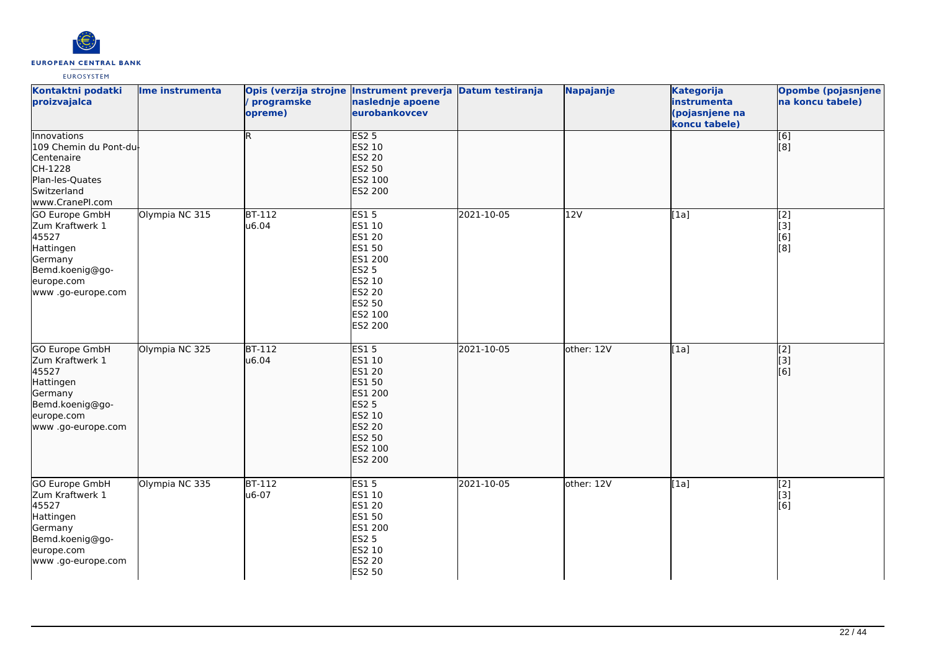

| Kontaktni podatki<br>proizvajalca                                                                                                | Ime instrumenta | Opis (verzija strojne Instrument preverja Datum testiranja<br>/ programske<br>opreme) | naslednje apoene<br>eurobankovcev                                                                                               |            | Napajanje  | <b>Kategorija</b><br>instrumenta<br>(pojasnjene na<br>koncu tabele) | Opombe (pojasnjene<br>na koncu tabele) |
|----------------------------------------------------------------------------------------------------------------------------------|-----------------|---------------------------------------------------------------------------------------|---------------------------------------------------------------------------------------------------------------------------------|------------|------------|---------------------------------------------------------------------|----------------------------------------|
| Innovations<br>109 Chemin du Pont-du<br>Centenaire<br>CH-1228<br>Plan-les-Quates<br>Switzerland<br>www.CranePI.com               |                 | R                                                                                     | <b>ES2 5</b><br>ES2 10<br><b>ES2 20</b><br>ES2 50<br>ES2 100<br>ES2 200                                                         |            |            |                                                                     | [6]<br>[8]                             |
| <b>GO Europe GmbH</b><br>Zum Kraftwerk 1<br>45527<br>Hattingen<br>Germany<br>Bemd.koenig@go-<br>europe.com<br>www.go-europe.com  | Olympia NC 315  | $BT-112$<br>u6.04                                                                     | <b>ES15</b><br>ES1 10<br>ES1 20<br>ES1 50<br>ES1 200<br><b>ES2 5</b><br>ES2 10<br>ES2 20<br>ES2 50<br>ES2 100<br>ES2 200        | 2021-10-05 | 12V        | [1a]                                                                | $\overline{[2]}$<br>[3]<br>[6]<br>[8]  |
| <b>GO Europe GmbH</b><br>Zum Kraftwerk 1<br>45527<br>Hattingen<br>Germany<br>Bemd.koenig@go-<br>europe.com<br>www .go-europe.com | Olympia NC 325  | $BT-112$<br>u6.04                                                                     | <b>ES15</b><br>ES1 10<br>ES1 20<br>ES1 50<br>ES1 200<br><b>ES2 5</b><br>ES2 10<br><b>ES2 20</b><br>ES2 50<br>ES2 100<br>ES2 200 | 2021-10-05 | other: 12V | [1a]                                                                | $\overline{[2]}$<br>[3]<br>[6]         |
| GO Europe GmbH<br>Zum Kraftwerk 1<br>45527<br>Hattingen<br>Germany<br>Bemd.koenig@go-<br>europe.com<br>www.go-europe.com         | Olympia NC 335  | $BT-112$<br>u6-07                                                                     | <b>ES15</b><br>ES1 10<br>ES1 20<br>ES1 50<br>ES1 200<br>ES2 5<br>ES2 10<br>ES2 20<br>ES2 50                                     | 2021-10-05 | other: 12V | [1a]                                                                | [2]<br>[3]<br>[6]                      |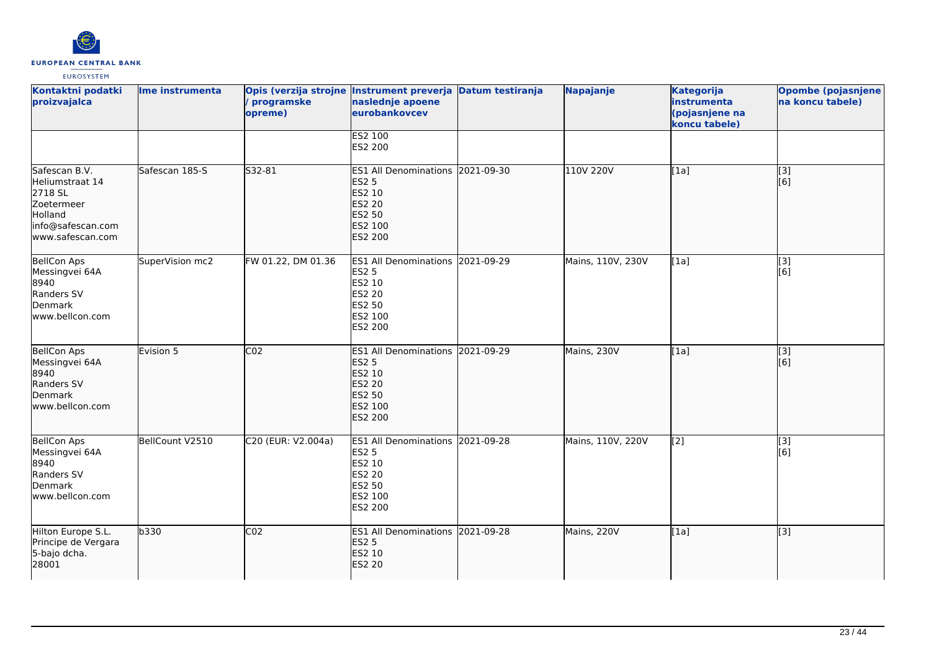

| Kontaktni podatki<br>proizvajalca                                                                             | Ime instrumenta | / programske<br>opreme) | Opis (verzija strojne Instrument preverja Datum testiranja<br>naslednje apoene<br>eurobankovcev                           |            | Napajanje         | <b>Kategorija</b><br>instrumenta<br>(pojasnjene na<br>koncu tabele) | <b>Opombe (pojasnjene</b><br>na koncu tabele) |
|---------------------------------------------------------------------------------------------------------------|-----------------|-------------------------|---------------------------------------------------------------------------------------------------------------------------|------------|-------------------|---------------------------------------------------------------------|-----------------------------------------------|
|                                                                                                               |                 |                         | <b>ES2 100</b><br>ES2 200                                                                                                 |            |                   |                                                                     |                                               |
| Safescan B.V.<br>Heliumstraat 14<br>2718 SL<br>Zoetermeer<br>Holland<br>info@safescan.com<br>www.safescan.com | Safescan 185-S  | S32-81                  | ES1 All Denominations 2021-09-30<br><b>ES2 5</b><br>ES2 10<br><b>ES2 20</b><br><b>ES2 50</b><br>ES2 100<br><b>ES2 200</b> |            | 110V 220V         | [1a]                                                                | $\overline{[}3]$<br>[6]                       |
| <b>BellCon Aps</b><br>Messingvei 64A<br>8940<br>Randers SV<br>Denmark<br>www.bellcon.com                      | SuperVision mc2 | FW 01.22, DM 01.36      | ES1 All Denominations 2021-09-29<br><b>ES2 5</b><br>ES2 10<br><b>ES2 20</b><br>ES2 50<br>ES2 100<br>ES2 200               |            | Mains, 110V, 230V | [1a]                                                                | $\overline{[3]}$<br>[6]                       |
| BellCon Aps<br>Messingvei 64A<br>8940<br>Randers SV<br>Denmark<br>www.bellcon.com                             | Evision 5       | CO <sub>2</sub>         | <b>ES1 All Denominations</b><br><b>ES2 5</b><br>ES2 10<br><b>ES2 20</b><br><b>ES2 50</b><br>ES2 100<br><b>ES2 200</b>     | 2021-09-29 | Mains, 230V       | [1a]                                                                | [3]<br>[[6]                                   |
| <b>BellCon Aps</b><br>Messingvei 64A<br>8940<br>Randers SV<br>Denmark<br>www.bellcon.com                      | BellCount V2510 | C20 (EUR: V2.004a)      | ES1 All Denominations 2021-09-28<br>ES2 5<br>ES2 10<br><b>ES2 20</b><br>ES2 50<br>ES2 100<br>ES2 200                      |            | Mains, 110V, 220V | $\overline{[2]}$                                                    | $\overline{[}3]$<br>[6]                       |
| Hilton Europe S.L.<br>Principe de Vergara<br>5-bajo dcha.<br>28001                                            | b330            | CO <sub>2</sub>         | ES1 All Denominations 2021-09-28<br><b>ES2 5</b><br>ES2 10<br><b>ES2 20</b>                                               |            | Mains, 220V       | [1a]                                                                | $\overline{[3]}$                              |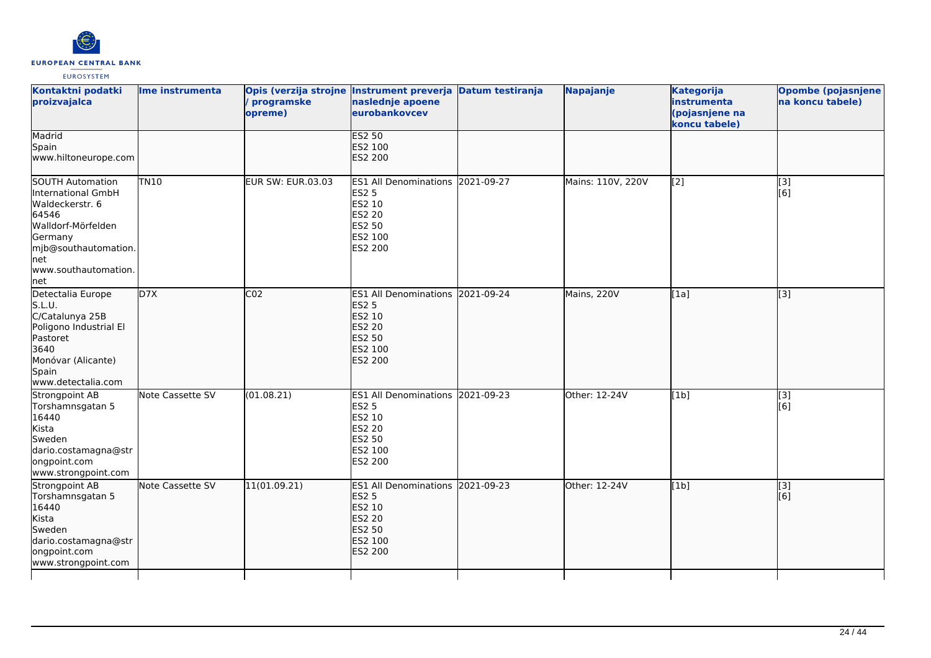

| Kontaktni podatki<br>proizvajalca                                                                                                                                                 | Ime instrumenta  | programske<br>opreme) | Opis (verzija strojne Instrument preverja Datum testiranja<br>naslednje apoene<br>eurobankovcev                    |            | Napajanje         | <b>Kategorija</b><br>instrumenta<br>(pojasnjene na<br>koncu tabele) | Opombe (pojasnjene<br>na koncu tabele) |
|-----------------------------------------------------------------------------------------------------------------------------------------------------------------------------------|------------------|-----------------------|--------------------------------------------------------------------------------------------------------------------|------------|-------------------|---------------------------------------------------------------------|----------------------------------------|
| Madrid<br>Spain<br>www.hiltoneurope.com                                                                                                                                           |                  |                       | <b>ES2 50</b><br>ES2 100<br>ES2 200                                                                                |            |                   |                                                                     |                                        |
| <b>SOUTH Automation</b><br>International GmbH<br>Waldeckerstr. 6<br>64546<br>Walldorf-Mörfelden<br>Germany<br>mjb@southautomation.<br><b>I</b> net<br>www.southautomation.<br>net | <b>TN10</b>      | EUR SW: EUR.03.03     | <b>ES1 All Denominations</b><br><b>ES2 5</b><br>ES2 10<br><b>ES2 20</b><br>ES2 50<br>ES2 100<br>ES2 200            | 2021-09-27 | Mains: 110V, 220V | [2]                                                                 | [3]<br>[6]                             |
| Detectalia Europe<br>S.L.U.<br>C/Catalunya 25B<br>Poligono Industrial El<br>Pastoret<br>3640<br>Monóvar (Alicante)<br>Spain<br>www.detectalia.com                                 | D7X              | CO <sub>2</sub>       | <b>ES1 All Denominations</b><br><b>ES2 5</b><br>ES2 10<br><b>ES2 20</b><br><b>ES2 50</b><br>ES2 100<br>ES2 200     | 2021-09-24 | Mains, 220V       | [1a]                                                                | $\overline{[3]}$                       |
| Strongpoint AB<br>Torshamnsgatan 5<br>16440<br>Kista<br>Sweden<br>dario.costamagna@str<br>ongpoint.com<br>www.strongpoint.com                                                     | Note Cassette SV | (01.08.21)            | ES1 All Denominations 2021-09-23<br><b>ES2 5</b><br>ES2 10<br><b>ES2 20</b><br><b>ES2 50</b><br>ES2 100<br>ES2 200 |            | Other: 12-24V     | [1b]                                                                | [3]<br>[6]                             |
| Strongpoint AB<br>Torshamnsgatan 5<br>16440<br>Kista<br>Sweden<br>dario.costamagna@str<br>ongpoint.com<br>www.strongpoint.com                                                     | Note Cassette SV | 11(01.09.21)          | <b>ES1 All Denominations</b><br><b>ES2 5</b><br>ES2 10<br><b>ES2 20</b><br>ES2 50<br>ES2 100<br><b>ES2 200</b>     | 2021-09-23 | Other: 12-24V     | [1b]                                                                | $\overline{[}3]$<br>[6]                |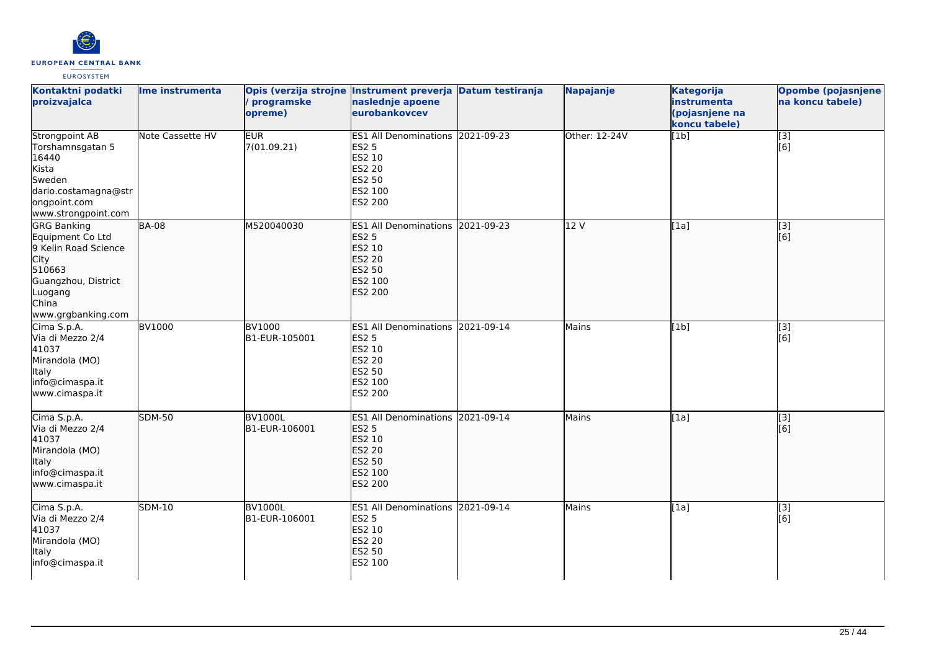

| Kontaktni podatki<br>proizvajalca                                                                                                                 | Ime instrumenta  | Opis (verzija strojne Instrument preverja Datum testiranja<br>/ programske<br>opreme) | naslednje apoene<br>eurobankovcev                                                                           | Napajanje     | <b>Kategorija</b><br>instrumenta<br>(pojasnjene na<br>koncu tabele) | Opombe (pojasnjene<br>na koncu tabele)          |
|---------------------------------------------------------------------------------------------------------------------------------------------------|------------------|---------------------------------------------------------------------------------------|-------------------------------------------------------------------------------------------------------------|---------------|---------------------------------------------------------------------|-------------------------------------------------|
| Strongpoint AB<br>Torshamnsgatan 5<br>16440<br>Kista<br>Sweden<br>dario.costamagna@str<br>ongpoint.com<br>www.strongpoint.com                     | Note Cassette HV | <b>EUR</b><br>7(01.09.21)                                                             | ES1 All Denominations 2021-09-23<br><b>ES2 5</b><br>ES2 10<br><b>ES2 20</b><br>ES2 50<br>ES2 100<br>ES2 200 | Other: 12-24V | [1b]                                                                | $\overline{[}3]$<br>[6]                         |
| <b>GRG Banking</b><br>Equipment Co Ltd<br>9 Kelin Road Science<br>City<br>510663<br>Guangzhou, District<br>Luogang<br>China<br>www.grgbanking.com | <b>BA-08</b>     | M520040030                                                                            | ES1 All Denominations 2021-09-23<br><b>ES2 5</b><br>ES2 10<br><b>ES2 20</b><br>ES2 50<br>ES2 100<br>ES2 200 | 12V           | [1a]                                                                | $\overline{[3]}$<br>$\overline{[}6\overline{)}$ |
| Cima S.p.A.<br>Via di Mezzo 2/4<br>41037<br>Mirandola (MO)<br>Italy<br>info@cimaspa.it<br>www.cimaspa.it                                          | <b>BV1000</b>    | <b>BV1000</b><br>B1-EUR-105001                                                        | ES1 All Denominations 2021-09-14<br><b>ES2 5</b><br>ES2 10<br><b>ES2 20</b><br>ES2 50<br>ES2 100<br>ES2 200 | Mains         | [1b]                                                                | $[3]$<br>[6]                                    |
| Cima S.p.A.<br>Via di Mezzo 2/4<br>41037<br>Mirandola (MO)<br>Italy<br>info@cimaspa.it<br>www.cimaspa.it                                          | <b>SDM-50</b>    | <b>BV1000L</b><br>B1-EUR-106001                                                       | ES1 All Denominations 2021-09-14<br><b>ES2 5</b><br>ES2 10<br>ES2 20<br>ES2 50<br>ES2 100<br>ES2 200        | Mains         | [1a]                                                                | $\overline{[3]}$<br>[6]                         |
| Cima S.p.A.<br>Via di Mezzo 2/4<br>41037<br>Mirandola (MO)<br>Italy<br>info@cimaspa.it                                                            | <b>SDM-10</b>    | <b>BV1000L</b><br>B1-EUR-106001                                                       | ES1 All Denominations 2021-09-14<br><b>ES2 5</b><br>ES2 10<br><b>ES2 20</b><br>ES2 50<br>ES2 100            | Mains         | [1a]                                                                | $\overline{[}3]$<br>[6]                         |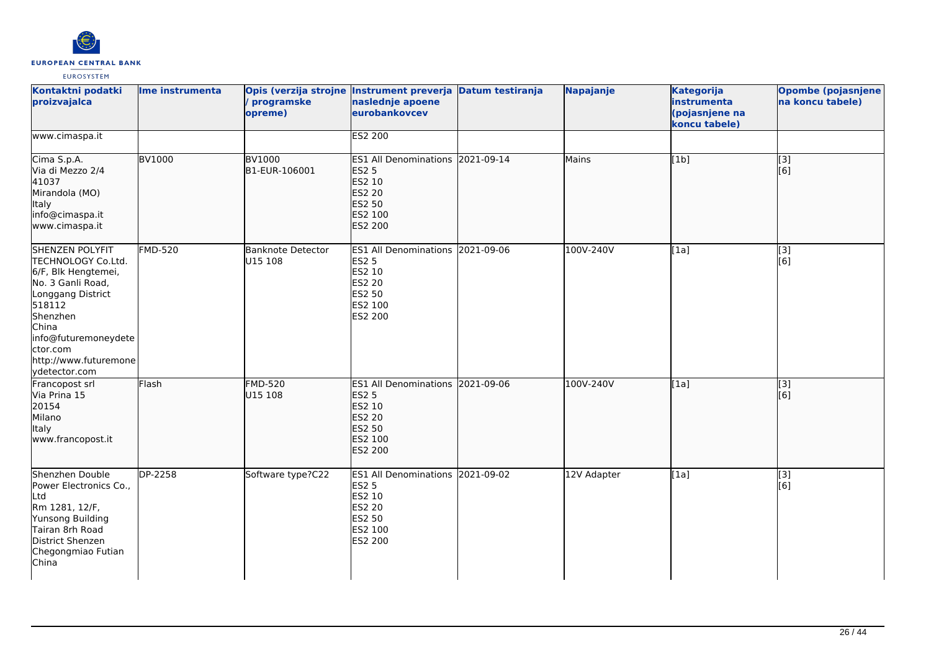

| Kontaktni podatki<br>proizvajalca                                                                                                                                                                                          | Ime instrumenta | programske<br>opreme)               | Opis (verzija strojne Instrument preverja Datum testiranja<br>naslednje apoene<br>eurobankovcev             | Napajanje   | <b>Kategorija</b><br>instrumenta<br>(pojasnjene na<br>koncu tabele) | <b>Opombe (pojasnjene)</b><br>na koncu tabele) |
|----------------------------------------------------------------------------------------------------------------------------------------------------------------------------------------------------------------------------|-----------------|-------------------------------------|-------------------------------------------------------------------------------------------------------------|-------------|---------------------------------------------------------------------|------------------------------------------------|
| www.cimaspa.it                                                                                                                                                                                                             |                 |                                     | ES2 200                                                                                                     |             |                                                                     |                                                |
| Cima S.p.A.<br>Via di Mezzo 2/4<br>41037<br>Mirandola (MO)<br>Italy<br>info@cimaspa.it<br>www.cimaspa.it                                                                                                                   | <b>BV1000</b>   | <b>BV1000</b><br>B1-EUR-106001      | ES1 All Denominations 2021-09-14<br><b>ES2 5</b><br>ES2 10<br>ES2 20<br>ES2 50<br>ES2 100<br>ES2 200        | Mains       | [1b]                                                                | $\overline{[3]}$<br>[[6]                       |
| <b>SHENZEN POLYFIT</b><br>TECHNOLOGY Co.Ltd.<br>6/F, Blk Hengtemei,<br>No. 3 Ganli Road,<br>Longgang District<br>518112<br>Shenzhen<br>China<br>info@futuremoneydete<br>ctor.com<br>http://www.futuremone<br>ydetector.com | <b>FMD-520</b>  | <b>Banknote Detector</b><br>U15 108 | ES1 All Denominations 2021-09-06<br><b>ES2 5</b><br>ES2 10<br>ES2 20<br>ES2 50<br>ES2 100<br>ES2 200        | 100V-240V   | [1a]                                                                | [3]<br>[6]                                     |
| Francopost srl<br>Via Prina 15<br>20154<br>Milano<br>Italy<br>www.francopost.it                                                                                                                                            | Flash           | <b>FMD-520</b><br>U15 108           | ES1 All Denominations 2021-09-06<br><b>ES2 5</b><br>ES2 10<br><b>ES2 20</b><br>ES2 50<br>ES2 100<br>ES2 200 | 100V-240V   | [1a]                                                                | $\overline{[3]}$<br>[6]                        |
| Shenzhen Double<br>Power Electronics Co.,<br>Ltd<br>Rm 1281, 12/F,<br>Yunsong Building<br>Tairan 8rh Road<br>District Shenzen<br>Chegongmiao Futian<br>China                                                               | DP-2258         | Software type?C22                   | ES1 All Denominations 2021-09-02<br><b>ES2 5</b><br>ES2 10<br>ES2 20<br>ES2 50<br>ES2 100<br>ES2 200        | 12V Adapter | [1a]                                                                | [3]<br>[6]                                     |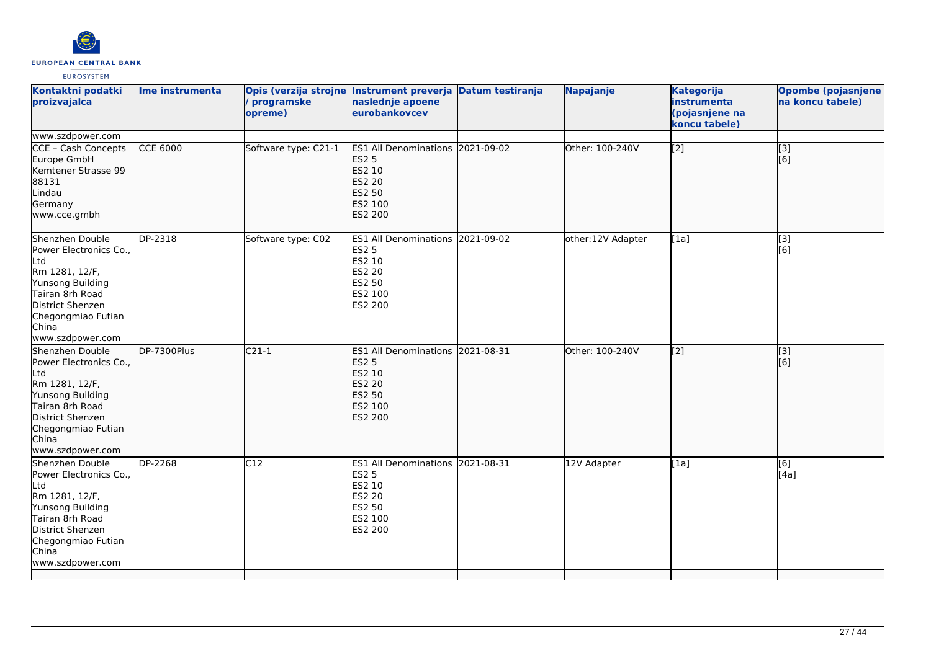

| Kontaktni podatki<br>proizvajalca                                                                                                                                                | Ime instrumenta           | Opis (verzija strojne Instrument preverja<br>programske<br>opreme) | naslednje apoene<br>eurobankovcev                                                                                  | <b>Datum testiranja</b> | Napajanje         | <b>Kategorija</b><br>instrumenta<br>(pojasnjene na<br>koncu tabele) | Opombe (pojasnjene<br>na koncu tabele) |
|----------------------------------------------------------------------------------------------------------------------------------------------------------------------------------|---------------------------|--------------------------------------------------------------------|--------------------------------------------------------------------------------------------------------------------|-------------------------|-------------------|---------------------------------------------------------------------|----------------------------------------|
| www.szdpower.com                                                                                                                                                                 |                           |                                                                    |                                                                                                                    |                         |                   |                                                                     |                                        |
| CCE - Cash Concepts<br>Europe GmbH<br>Kemtener Strasse 99<br>88131<br>Lindau<br>Germany<br>www.cce.gmbh                                                                          | <b>CCE 6000</b>           | Software type: C21-1                                               | ES1 All Denominations 2021-09-02<br><b>ES2 5</b><br>ES2 10<br><b>ES2 20</b><br><b>ES2 50</b><br>ES2 100<br>ES2 200 |                         | Other: 100-240V   | $\overline{[2]}$                                                    | [3]<br>[6]                             |
| Shenzhen Double<br>Power Electronics Co.,<br>Ltd<br>Rm 1281, 12/F,<br>Yunsong Building<br>Tairan 8rh Road<br>District Shenzen<br>Chegongmiao Futian<br>China<br>www.szdpower.com | DP-2318                   | Software type: C02                                                 | <b>ES1 All Denominations</b><br><b>ES2 5</b><br>ES2 10<br>ES2 20<br><b>ES2 50</b><br>ES2 100<br>ES2 200            | 2021-09-02              | other:12V Adapter | [1a]                                                                | $\overline{[3]}$<br>[6]                |
| Shenzhen Double<br>Power Electronics Co.,<br>Ltd<br>Rm 1281, 12/F,<br>Yunsong Building<br>Tairan 8rh Road<br>District Shenzen<br>Chegongmiao Futian<br>China<br>www.szdpower.com | $\overline{DP}$ -7300Plus | $C21-1$                                                            | <b>ES1 All Denominations</b><br><b>ES2 5</b><br>ES2 10<br>ES2 20<br>ES2 50<br>ES2 100<br><b>ES2 200</b>            | 2021-08-31              | Other: 100-240V   | $\overline{[2]}$                                                    | $\overline{[3]}$<br>[6]                |
| Shenzhen Double<br>Power Electronics Co.,<br>Ltd<br>Rm 1281, 12/F,<br>Yunsong Building<br>Tairan 8rh Road<br>District Shenzen<br>Chegongmiao Futian<br>China<br>www.szdpower.com | $\overline{DP-2268}$      | $\overline{C12}$                                                   | <b>ES1 All Denominations</b><br><b>ES2 5</b><br>ES2 10<br>ES2 20<br>ES2 50<br>ES2 100<br>ES2 200                   | 2021-08-31              | 12V Adapter       | [1a]                                                                | [6]<br>[4a]                            |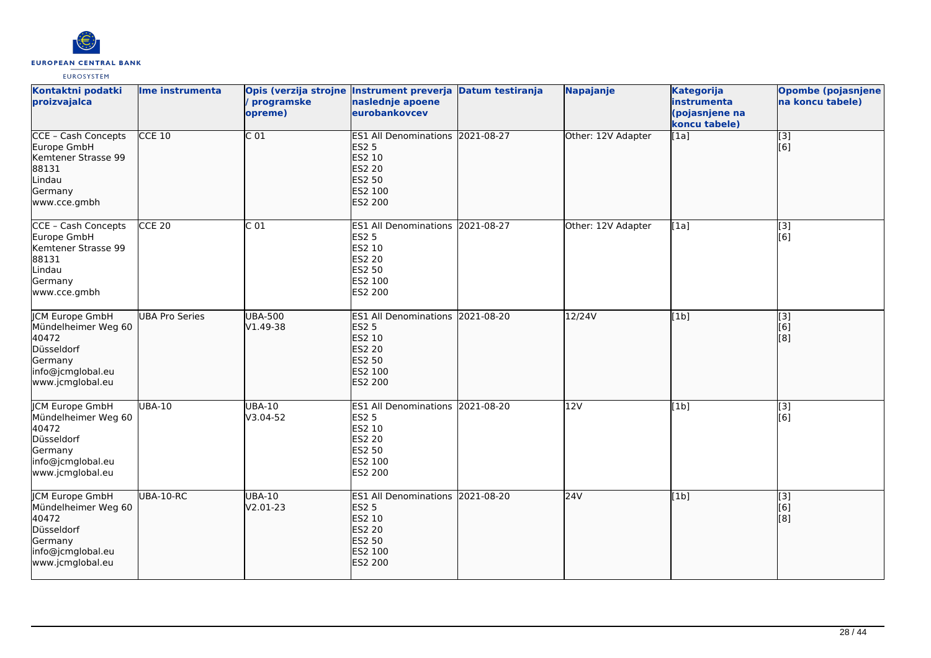

| Kontaktni podatki<br>proizvajalca                                                                                        | Ime instrumenta       | programske<br>opreme)      | Opis (verzija strojne Instrument preverja Datum testiranja<br>naslednje apoene<br>eurobankovcev                    |            | Napajanje          | <b>Kategorija</b><br>instrumenta<br>(pojasnjene na<br>koncu tabele) | Opombe (pojasnjene<br>na koncu tabele) |
|--------------------------------------------------------------------------------------------------------------------------|-----------------------|----------------------------|--------------------------------------------------------------------------------------------------------------------|------------|--------------------|---------------------------------------------------------------------|----------------------------------------|
| <b>CCE - Cash Concepts</b><br>Europe GmbH<br>Kemtener Strasse 99<br>88131<br>Lindau<br>Germany<br>www.cce.gmbh           | $CCE$ 10              | $\overline{C}$ 01          | ES1 All Denominations 2021-08-27<br><b>ES2 5</b><br>ES2 10<br><b>ES2 20</b><br>ES2 50<br>ES2 100<br><b>ES2 200</b> |            | Other: 12V Adapter | [1a]                                                                | $\overline{[}3]$<br>[6]                |
| CCE - Cash Concepts<br>Europe GmbH<br>Kemtener Strasse 99<br>88131<br>Lindau<br>Germany<br>www.cce.gmbh                  | <b>CCE 20</b>         | C <sub>01</sub>            | ES1 All Denominations 2021-08-27<br><b>ES2 5</b><br>ES2 10<br><b>ES2 20</b><br><b>ES2 50</b><br>ES2 100<br>ES2 200 |            | Other: 12V Adapter | [1a]                                                                | [3]<br>[6]                             |
| <b>JCM Europe GmbH</b><br>Mündelheimer Weg 60<br>40472<br>Düsseldorf<br>Germany<br>info@jcmglobal.eu<br>www.jcmglobal.eu | <b>UBA Pro Series</b> | <b>UBA-500</b><br>V1.49-38 | <b>ES1 All Denominations</b><br><b>ES2 5</b><br>ES2 10<br><b>ES2 20</b><br><b>ES2 50</b><br>ES2 100<br>ES2 200     | 2021-08-20 | 12/24V             | [1b]                                                                | $\sqrt{3}$<br>[6]<br>[8]               |
| <b>JCM Europe GmbH</b><br>Mündelheimer Weg 60<br>40472<br>Düsseldorf<br>Germany<br>info@jcmglobal.eu<br>www.jcmglobal.eu | <b>UBA-10</b>         | <b>UBA-10</b><br>V3.04-52  | ES1 All Denominations 2021-08-20<br><b>ES2 5</b><br>ES2 10<br><b>ES2 20</b><br>ES2 50<br>ES2 100<br>ES2 200        |            | 12V                | [1b]                                                                | [3]<br>[6]                             |
| <b>CM Europe GmbH</b><br>Mündelheimer Weg 60<br>40472<br>Düsseldorf<br>Germany<br>info@jcmglobal.eu<br>www.jcmglobal.eu  | UBA-10-RC             | <b>UBA-10</b><br>V2.01-23  | <b>ES1 All Denominations</b><br><b>ES2 5</b><br>ES2 10<br>ES2 20<br><b>ES2 50</b><br>ES2 100<br><b>ES2 200</b>     | 2021-08-20 | 24V                | [1b]                                                                | [3]<br>[6]<br>[8]                      |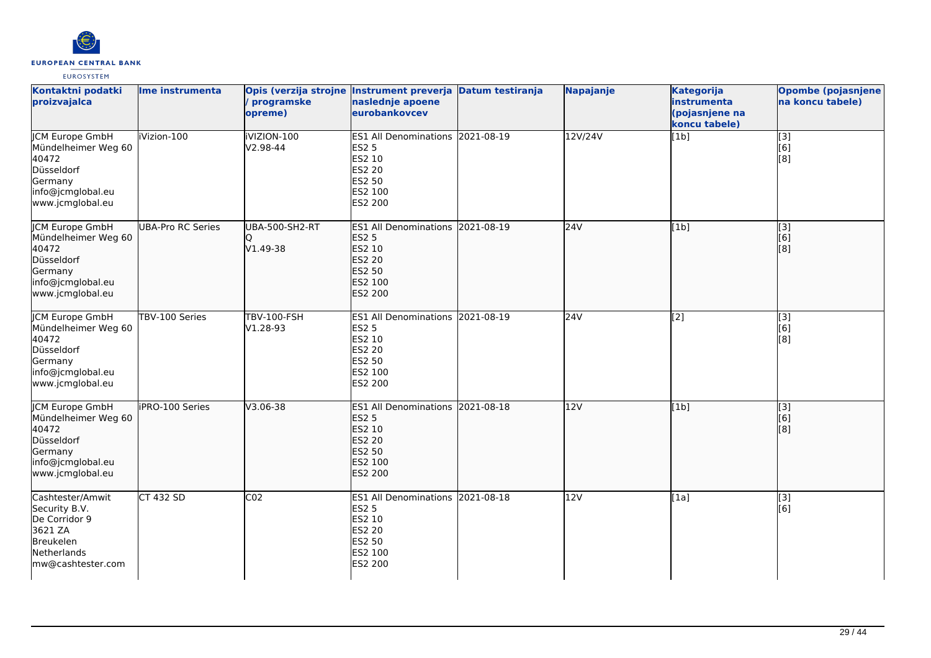

| Kontaktni podatki<br>proizvajalca                                                                                        | Ime instrumenta          | programske<br>opreme)             | Opis (verzija strojne Instrument preverja Datum testiranja<br>naslednje apoene<br>eurobankovcev                    |            | Napajanje | <b>Kategorija</b><br>instrumenta<br>(pojasnjene na<br>koncu tabele) | <b>Opombe (pojasnjene</b><br>na koncu tabele) |
|--------------------------------------------------------------------------------------------------------------------------|--------------------------|-----------------------------------|--------------------------------------------------------------------------------------------------------------------|------------|-----------|---------------------------------------------------------------------|-----------------------------------------------|
| <b>CM Europe GmbH</b><br>Mündelheimer Weg 60<br>40472<br>Düsseldorf<br>Germany<br>info@jcmglobal.eu<br>www.jcmglobal.eu  | iVizion-100              | iVIZION-100<br>V2.98-44           | ES1 All Denominations 2021-08-19<br><b>ES2 5</b><br>ES2 10<br>ES2 20<br>ES2 50<br>ES2 100<br>ES2 200               |            | 12V/24V   | [1b]                                                                | $\overline{[}3]$<br>[6]<br>[8]                |
| JCM Europe GmbH<br>Mündelheimer Weg 60<br>40472<br>Düsseldorf<br>Germany<br>info@jcmglobal.eu<br>www.jcmglobal.eu        | <b>UBA-Pro RC Series</b> | <b>UBA-500-SH2-RT</b><br>V1.49-38 | ES1 All Denominations 2021-08-19<br><b>ES2 5</b><br>ES2 10<br>ES2 20<br><b>ES2 50</b><br>ES2 100<br><b>ES2 200</b> |            | 24V       | [1b]                                                                | [3]<br>[6]<br>[8]                             |
| <b>JCM Europe GmbH</b><br>Mündelheimer Weg 60<br>40472<br>Düsseldorf<br>Germany<br>info@jcmglobal.eu<br>www.jcmglobal.eu | TBV-100 Series           | <b>TBV-100-FSH</b><br>V1.28-93    | <b>ES1 All Denominations</b><br>ES2 5<br>ES2 10<br>ES2 20<br>ES2 50<br>ES2 100<br>ES2 200                          | 2021-08-19 | 24V       | $\overline{[2]}$                                                    | $\overline{[3]}$<br>[6]<br>[8]                |
| <b>JCM Europe GmbH</b><br>Mündelheimer Weg 60<br>40472<br>Düsseldorf<br>Germany<br>info@jcmglobal.eu<br>www.jcmglobal.eu | <b>iPRO-100 Series</b>   | $V3.06 - 38$                      | ES1 All Denominations 2021-08-18<br><b>ES2 5</b><br>ES2 10<br><b>ES2 20</b><br>ES2 50<br>ES2 100<br><b>ES2 200</b> |            | 12V       | [1b]                                                                | $\overline{[}3]$<br>[6]<br>[8]                |
| Cashtester/Amwit<br>Security B.V.<br>De Corridor 9<br>3621 ZA<br>Breukelen<br>Netherlands<br>mw@cashtester.com           | <b>CT 432 SD</b>         | CO <sub>2</sub>                   | <b>ES1 All Denominations</b><br><b>ES2 5</b><br>ES2 10<br><b>ES2 20</b><br>ES2 50<br>ES2 100<br>ES2 200            | 2021-08-18 | 12V       | [1a]                                                                | [3]<br>[6]                                    |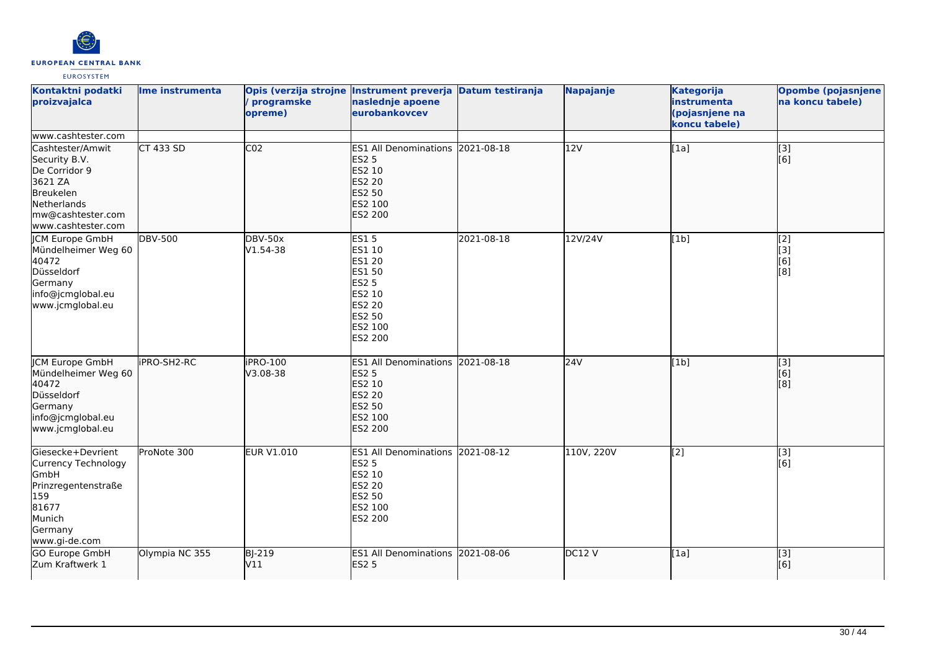

| Kontaktni podatki<br>proizvajalca                                                                                                    | Ime instrumenta | programske<br>opreme)      | Opis (verzija strojne Instrument preverja Datum testiranja<br>naslednje apoene<br>eurobankovcev                           |            | Napajanje  | <b>Kategorija</b><br>instrumenta<br>(pojasnjene na<br>koncu tabele) | Opombe (pojasnjene)<br>na koncu tabele)                      |
|--------------------------------------------------------------------------------------------------------------------------------------|-----------------|----------------------------|---------------------------------------------------------------------------------------------------------------------------|------------|------------|---------------------------------------------------------------------|--------------------------------------------------------------|
| www.cashtester.com                                                                                                                   |                 |                            |                                                                                                                           |            |            |                                                                     |                                                              |
| Cashtester/Amwit<br>Security B.V.<br>De Corridor 9<br>3621 ZA<br>Breukelen<br>Netherlands<br>mw@cashtester.com<br>www.cashtester.com | $CT$ 433 SD     | CO <sub>2</sub>            | ES1 All Denominations 2021-08-18<br><b>ES2 5</b><br>ES2 10<br>ES2 20<br>ES2 50<br>ES2 100<br>ES2 200                      |            | 12V        | [1a]                                                                | $\begin{bmatrix} 1 & 3 \\ 6 & 1 \end{bmatrix}$               |
| <b>CM Europe GmbH</b><br>Mündelheimer Weg 60<br>40472<br>Düsseldorf<br>Germany<br>info@jcmglobal.eu<br>www.jcmglobal.eu              | <b>DBV-500</b>  | <b>DBV-50x</b><br>V1.54-38 | <b>ES15</b><br>ES1 10<br>ES1 20<br>ES1 50<br>ES2 5<br>ES2 10<br>ES2 20<br>ES2 50<br>ES2 100<br>ES2 200                    | 2021-08-18 | 12V/24V    | [1b]                                                                | $\overline{[2]}$<br>Ēзj<br>[6]<br>[8]                        |
| <b>CM Europe GmbH</b><br>Mündelheimer Weg 60<br>40472<br>Düsseldorf<br>Germany<br>info@jcmglobal.eu<br>www.jcmglobal.eu              | iPRO-SH2-RC     | iPRO-100<br>V3.08-38       | ES1 All Denominations 2021-08-18<br><b>ES2 5</b><br>ES2 10<br><b>ES2 20</b><br><b>ES2 50</b><br>ES2 100<br><b>ES2 200</b> |            | 24V        | [1b]                                                                | $\left[ \begin{matrix} 3 \end{matrix} \right]$<br>[6]<br>[8] |
| Giesecke+Devrient<br>Currency Technology<br>GmbH<br>Prinzregentenstraße<br>159<br>81677<br>Munich<br>Germany<br>www.gi-de.com        | ProNote 300     | <b>EUR V1.010</b>          | ES1 All Denominations 2021-08-12<br><b>ES2 5</b><br>ES2 10<br>ES2 20<br>ES2 50<br>ES2 100<br>ES2 200                      |            | 110V, 220V | [2]                                                                 | [3]<br>[6]                                                   |
| <b>GO Europe GmbH</b><br>Zum Kraftwerk 1                                                                                             | Olympia NC 355  | <b>BJ-219</b><br>V11       | ES1 All Denominations 2021-08-06<br><b>ES2 5</b>                                                                          |            | DC12 V     | [1a]                                                                | $\overline{[3]}$<br>[6]                                      |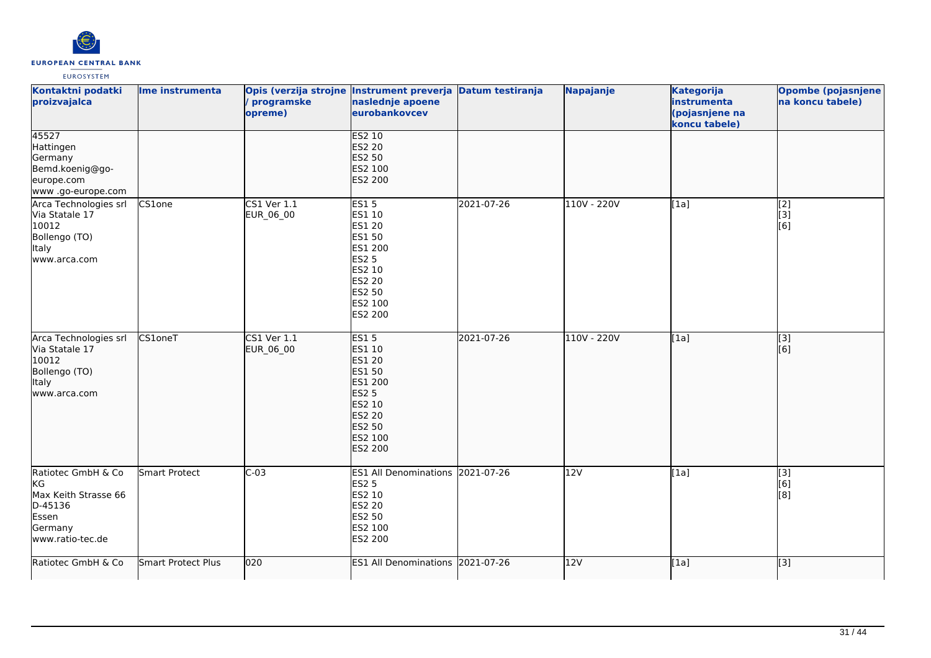

| Kontaktni podatki<br>proizvajalca                                                                   | Ime instrumenta    | / programske<br>opreme)  | Opis (verzija strojne Instrument preverja Datum testiranja<br>naslednje apoene<br>eurobankovcev                                 |            | Napajanje     | <b>Kategorija</b><br>instrumenta<br>(pojasnjene na<br>koncu tabele) | <b>Opombe (pojasnjene</b><br>na koncu tabele) |
|-----------------------------------------------------------------------------------------------------|--------------------|--------------------------|---------------------------------------------------------------------------------------------------------------------------------|------------|---------------|---------------------------------------------------------------------|-----------------------------------------------|
| 45527<br>Hattingen<br>Germany<br>Bemd.koenig@go-<br>europe.com<br>www .go-europe.com                |                    |                          | <b>ES2 10</b><br>ES2 20<br><b>ES2 50</b><br>ES2 100<br>ES2 200                                                                  |            |               |                                                                     |                                               |
| Arca Technologies srl<br>Via Statale 17<br>10012<br>Bollengo (TO)<br>Italy<br>www.arca.com          | CS1one             | CS1 Ver 1.1<br>EUR_06_00 | <b>ES15</b><br>ES1 10<br>ES1 20<br>ES1 50<br>ES1 200<br><b>ES2 5</b><br>ES2 10<br>ES2 20<br>ES2 50<br>ES2 100<br>ES2 200        | 2021-07-26 | 110V - 220V   | [1a]                                                                | [2]<br>[3]<br>[6]                             |
| Arca Technologies srl<br>Via Statale 17<br>10012<br>Bollengo (TO)<br>ltaly<br>www.arca.com          | CS1oneT            | CS1 Ver 1.1<br>EUR_06_00 | <b>ES15</b><br>ES1 10<br>ES1 20<br>ES1 50<br>ES1 200<br><b>ES2 5</b><br>ES2 10<br><b>ES2 20</b><br>ES2 50<br>ES2 100<br>ES2 200 | 2021-07-26 | $110V - 220V$ | [1a]                                                                | $\overline{[3]}$<br>[6]                       |
| Ratiotec GmbH & Co<br>KG<br>Max Keith Strasse 66<br>D-45136<br>Essen<br>Germany<br>www.ratio-tec.de | Smart Protect      | $C-03$                   | ES1 All Denominations 2021-07-26<br><b>ES2 5</b><br>ES2 10<br><b>ES2 20</b><br>ES2 50<br>ES2 100<br>ES2 200                     |            | 12V           | [1a]                                                                | $\overline{[3]}$<br>[6]<br>[8]                |
| Ratiotec GmbH & Co                                                                                  | Smart Protect Plus | 020                      | ES1 All Denominations 2021-07-26                                                                                                |            | 12V           | [1a]                                                                | [3]                                           |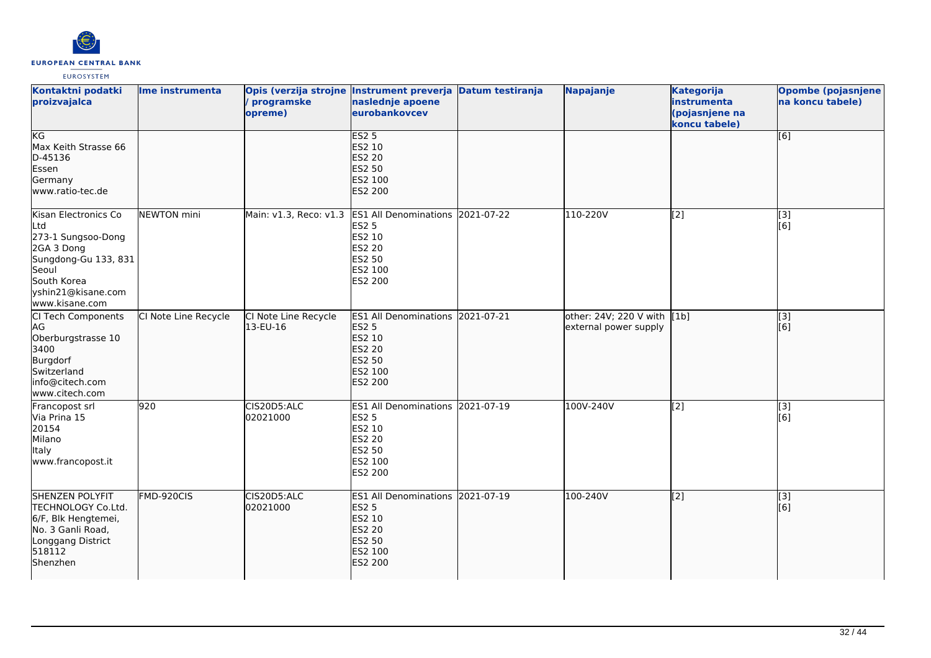

| Kontaktni podatki<br>proizvajalca                                                                                                                       | lme instrumenta      | programske<br>opreme)            | Opis (verzija strojne Instrument preverja Datum testiranja<br>naslednje apoene<br>eurobankovcev                    | Napajanje                                            | Kategorija<br>instrumenta<br>(pojasnjene na<br>koncu tabele) | <b>Opombe (pojasnjene</b><br>na koncu tabele) |
|---------------------------------------------------------------------------------------------------------------------------------------------------------|----------------------|----------------------------------|--------------------------------------------------------------------------------------------------------------------|------------------------------------------------------|--------------------------------------------------------------|-----------------------------------------------|
| KG<br>Max Keith Strasse 66<br>D-45136<br>Essen<br>Germany<br>www.ratio-tec.de                                                                           |                      |                                  | ES2 <sub>5</sub><br><b>ES2 10</b><br>ES2 20<br>ES2 50<br>ES2 100<br><b>ES2 200</b>                                 |                                                      |                                                              | [6]                                           |
| Kisan Electronics Co<br>Ltd<br>273-1 Sungsoo-Dong<br>2GA 3 Dong<br>Sungdong-Gu 133, 831<br>Seoul<br>South Korea<br>yshin21@kisane.com<br>www.kisane.com | NEWTON mini          | Main: v1.3, Reco: v1.3           | ES1 All Denominations 2021-07-22<br><b>ES2 5</b><br>ES2 10<br>ES2 20<br>ES2 50<br>ES2 100<br>ES2 200               | 110-220V                                             | $\overline{[2]}$                                             | $\overline{[3]}$<br>[6]                       |
| CI Tech Components<br>AG<br>Oberburgstrasse 10<br>3400<br>Burgdorf<br>Switzerland<br>info@citech.com<br>www.citech.com                                  | CI Note Line Recycle | CI Note Line Recycle<br>13-EU-16 | ES1 All Denominations 2021-07-21<br><b>ES2 5</b><br>ES2 10<br><b>ES2 20</b><br>ES2 50<br>ES2 100<br><b>ES2 200</b> | other: 24V; 220 V with [1b]<br>external power supply |                                                              | $\overline{[}3]$<br>[6]                       |
| Francopost srl<br>Via Prina 15<br>20154<br>Milano<br><b>Italy</b><br>www.francopost.it                                                                  | 920                  | CIS20D5:ALC<br>02021000          | ES1 All Denominations 2021-07-19<br><b>ES2 5</b><br>ES2 10<br>ES2 20<br>ES2 50<br>ES2 100<br>ES2 200               | 100V-240V                                            | $\overline{[2]}$                                             | [3]<br>[6]                                    |
| <b>SHENZEN POLYFIT</b><br>TECHNOLOGY Co.Ltd.<br>6/F, Blk Hengtemei,<br>No. 3 Ganli Road,<br>Longgang District<br>518112<br>Shenzhen                     | FMD-920CIS           | CIS20D5:ALC<br>02021000          | ES1 All Denominations 2021-07-19<br><b>ES2 5</b><br>ES2 10<br><b>ES2 20</b><br>ES2 50<br>ES2 100<br><b>ES2 200</b> | 100-240V                                             | $\left[ \begin{matrix} 2 \end{matrix} \right]$               | [3]<br>[6]                                    |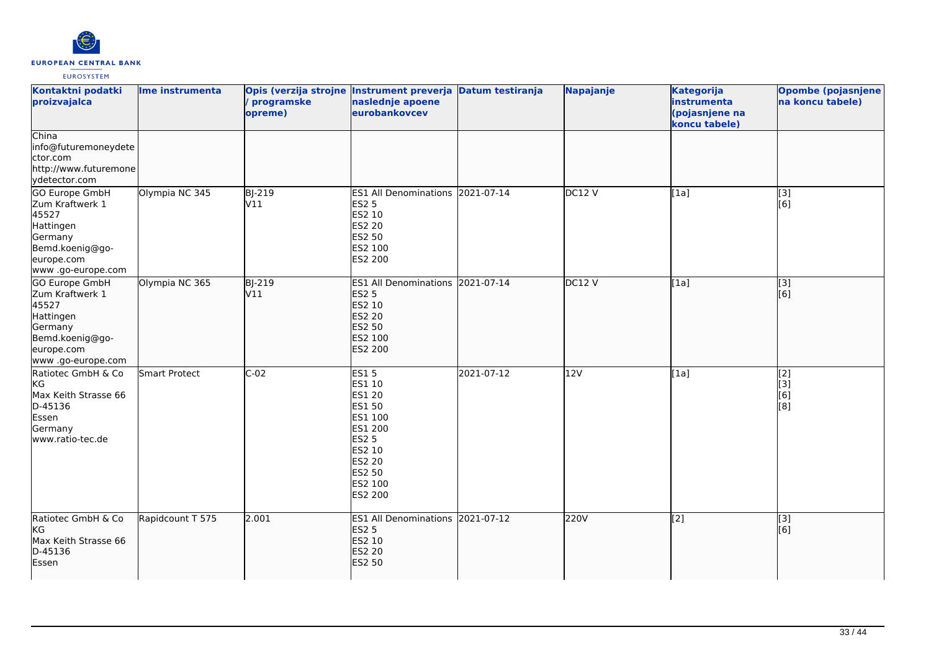

| Kontaktni podatki<br>proizvajalca                                                                                                | Ime instrumenta  | Opis (verzija strojne Instrument preverja Datum testiranja<br>programske<br>opreme) | naslednje apoene<br>eurobankovcev                                                                                                   |            | Napajanje | <b>Kategorija</b><br>instrumenta<br>(pojasnjene na<br>koncu tabele) | <b>Opombe (pojasnjene</b><br>na koncu tabele) |
|----------------------------------------------------------------------------------------------------------------------------------|------------------|-------------------------------------------------------------------------------------|-------------------------------------------------------------------------------------------------------------------------------------|------------|-----------|---------------------------------------------------------------------|-----------------------------------------------|
| China<br>info@futuremoneydete<br>ctor.com<br>http://www.futuremone<br>ydetector.com                                              |                  |                                                                                     |                                                                                                                                     |            |           |                                                                     |                                               |
| GO Europe GmbH<br>Zum Kraftwerk 1<br>45527<br>Hattingen<br>Germany<br>Bemd.koenig@go-<br>europe.com<br>www.go-europe.com         | Olympia NC 345   | BJ-219<br>V11                                                                       | ES1 All Denominations 2021-07-14<br>ES2 5<br>ES2 10<br><b>ES2 20</b><br>ES2 50<br>ES2 100<br>ES2 200                                |            | DC12V     | [1a]                                                                | [3]<br>$\overline{[}6\overline{]}$            |
| <b>GO Europe GmbH</b><br>Zum Kraftwerk 1<br>45527<br>Hattingen<br>Germany<br>Bemd.koenig@go-<br>europe.com<br>www .go-europe.com | Olympia NC 365   | <b>BJ-219</b><br>V11                                                                | ES1 All Denominations 2021-07-14<br><b>ES2 5</b><br><b>ES2 10</b><br>ES2 20<br>ES2 50<br>ES2 100<br>ES2 200                         |            | DC12 V    | [1a]                                                                | $\overline{[}3]$<br>[6]                       |
| Ratiotec GmbH & Co<br>KG<br>Max Keith Strasse 66<br>D-45136<br>Essen<br>Germany<br>www.ratio-tec.de                              | Smart Protect    | $C-02$                                                                              | <b>ES15</b><br>ES1 10<br>ES1 20<br>ES1 50<br>ES1 100<br>ES1 200<br><b>ES2 5</b><br>ES2 10<br>ES2 20<br>ES2 50<br>ES2 100<br>ES2 200 | 2021-07-12 | 12V       | [1a]                                                                | $\overline{[2]}$<br>[3]<br>[6]<br>[8]         |
| Ratiotec GmbH & Co<br>KG<br>Max Keith Strasse 66<br>D-45136<br>Essen                                                             | Rapidcount T 575 | 2.001                                                                               | ES1 All Denominations 2021-07-12<br><b>ES2 5</b><br>ES2 10<br><b>ES2 20</b><br><b>ES2 50</b>                                        |            | 220V      | $\overline{[2]}$                                                    | $\overline{[}3]$<br>[6]                       |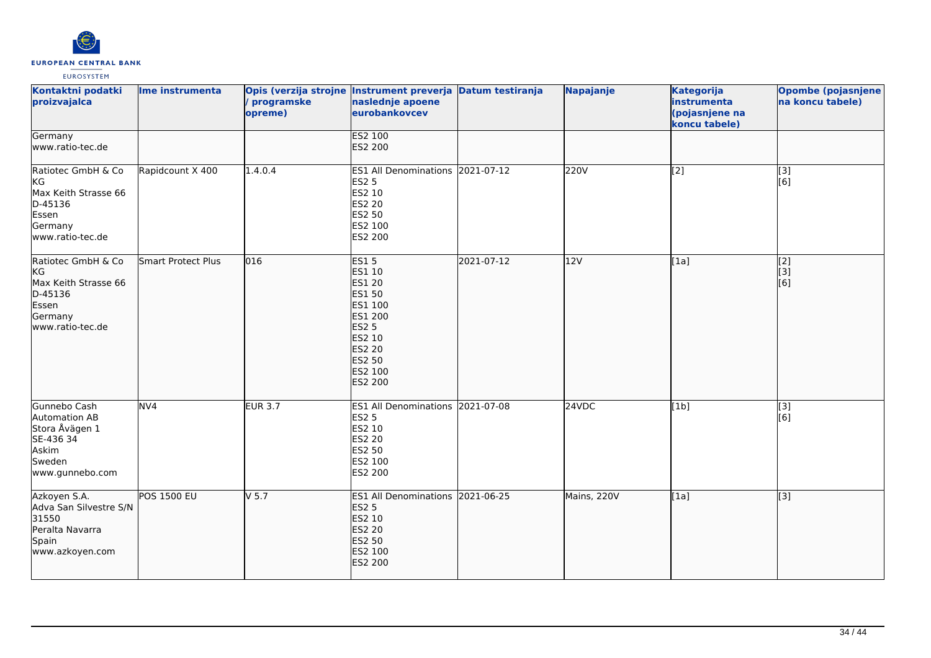

| Kontaktni podatki<br>proizvajalca                                                                   | Ime instrumenta    | programske<br>opreme) | Opis (verzija strojne Instrument preverja Datum testiranja<br>naslednje apoene<br>eurobankovcev                                                          |            | Napajanje   | <b>Kategorija</b><br>instrumenta<br>(pojasnjene na<br>koncu tabele) | <b>Opombe (pojasnjene</b><br>na koncu tabele) |
|-----------------------------------------------------------------------------------------------------|--------------------|-----------------------|----------------------------------------------------------------------------------------------------------------------------------------------------------|------------|-------------|---------------------------------------------------------------------|-----------------------------------------------|
| Germany<br>www.ratio-tec.de                                                                         |                    |                       | <b>ES2 100</b><br>ES2 200                                                                                                                                |            |             |                                                                     |                                               |
| Ratiotec GmbH & Co<br>KG<br>Max Keith Strasse 66<br>D-45136<br>Essen<br>Germany<br>www.ratio-tec.de | Rapidcount X 400   | 1.4.0.4               | ES1 All Denominations 2021-07-12<br><b>ES2 5</b><br>ES2 10<br><b>ES2 20</b><br>ES2 50<br>ES2 100<br>ES2 200                                              |            | 220V        | [2]                                                                 | [3]<br>[6]                                    |
| Ratiotec GmbH & Co<br>KG<br>Max Keith Strasse 66<br>D-45136<br>Essen<br>Germany<br>www.ratio-tec.de | Smart Protect Plus | 016                   | <b>ES15</b><br>ES1 10<br>ES1 20<br>ES1 50<br>ES1 100<br>ES1 200<br><b>ES2 5</b><br>ES2 10<br><b>ES2 20</b><br><b>ES2 50</b><br>ES2 100<br><b>ES2 200</b> | 2021-07-12 | 12V         | [1a]                                                                | $\overline{[2]}$<br>[[3]<br>[6]               |
| Gunnebo Cash<br>Automation AB<br>Stora Åvägen 1<br>SE-436 34<br>Askim<br>Sweden<br>www.gunnebo.com  | NV <sub>4</sub>    | <b>EUR 3.7</b>        | ES1 All Denominations 2021-07-08<br><b>ES2 5</b><br>ES2 10<br><b>ES2 20</b><br>ES2 50<br>ES2 100<br>ES2 200                                              |            | 24VDC       | [1b]                                                                | $\overline{[}3]$<br>[6]                       |
| Azkoyen S.A.<br>Adva San Silvestre S/N<br>31550<br>Peralta Navarra<br>Spain<br>www.azkoyen.com      | <b>POS 1500 EU</b> | $V$ 5.7               | ES1 All Denominations 2021-06-25<br><b>ES2 5</b><br>ES2 10<br><b>ES2 20</b><br><b>ES2 50</b><br>ES2 100<br>ES2 200                                       |            | Mains, 220V | [1a]                                                                | $\overline{[3]}$                              |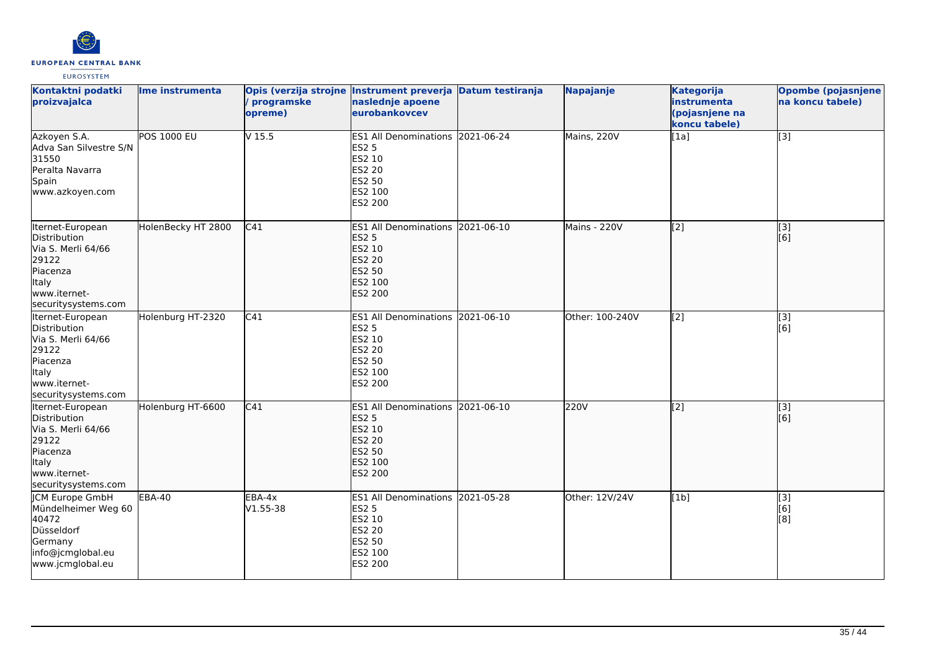

| Kontaktni podatki<br>proizvajalca                                                                                            | Ime instrumenta    | programske<br>opreme) | Opis (verzija strojne Instrument preverja Datum testiranja<br>naslednje apoene<br>eurobankovcev                    | Napajanje       | <b>Kategorija</b><br>instrumenta<br>(pojasnjene na<br>koncu tabele) | <b>Opombe (pojasnjene</b><br>na koncu tabele) |
|------------------------------------------------------------------------------------------------------------------------------|--------------------|-----------------------|--------------------------------------------------------------------------------------------------------------------|-----------------|---------------------------------------------------------------------|-----------------------------------------------|
| Azkoyen S.A.<br>Adva San Silvestre S/N<br>31550<br>Peralta Navarra<br>Spain<br>www.azkoyen.com                               | <b>POS 1000 EU</b> | $V$ 15.5              | ES1 All Denominations 2021-06-24<br><b>ES2 5</b><br>ES2 10<br><b>ES2 20</b><br>ES2 50<br>ES2 100<br>ES2 200        | Mains, 220V     | [1a]                                                                | [3]                                           |
| Iternet-European<br>Distribution<br>Via S. Merli 64/66<br>29122<br>Piacenza<br>Italy<br>lwww.iternet-<br>securitysystems.com | HolenBecky HT 2800 | C41                   | ES1 All Denominations 2021-06-10<br><b>ES2 5</b><br>ES2 10<br><b>ES2 20</b><br>ES2 50<br>ES2 100<br><b>ES2 200</b> | Mains - 220V    | $\left[ \begin{matrix} 2 \end{matrix} \right]$                      | $\overline{[}3]$<br>[6]                       |
| Iternet-European<br>Distribution<br>Via S. Merli 64/66<br>29122<br>Piacenza<br>Italy<br>www.iternet-<br>securitysystems.com  | Holenburg HT-2320  | C41                   | ES1 All Denominations 2021-06-10<br><b>ES2 5</b><br>ES2 10<br><b>ES2 20</b><br><b>ES2 50</b><br>ES2 100<br>ES2 200 | Other: 100-240V | $\overline{[2]}$                                                    | [3]<br>[6]                                    |
| Iternet-European<br>Distribution<br>Via S. Merli 64/66<br>29122<br>Piacenza<br>ltaly<br>www.iternet-<br>securitysystems.com  | Holenburg HT-6600  | C41                   | ES1 All Denominations 2021-06-10<br><b>ES2 5</b><br>ES2 10<br><b>ES2 20</b><br><b>ES2 50</b><br>ES2 100<br>ES2 200 | <b>220V</b>     | $\sqrt{2}$                                                          | $\overline{[}3]$<br>[6]                       |
| <b>ICM Europe GmbH</b><br>Mündelheimer Weg 60<br>40472<br>Düsseldorf<br>Germany<br>info@jcmglobal.eu<br>www.jcmglobal.eu     | <b>EBA-40</b>      | EBA-4x<br>V1.55-38    | ES1 All Denominations 2021-05-28<br><b>ES2 5</b><br>ES2 10<br><b>ES2 20</b><br>ES2 50<br>ES2 100<br>ES2 200        | Other: 12V/24V  | [1b]                                                                | $\overline{[3]}$<br>[6]<br>[8]                |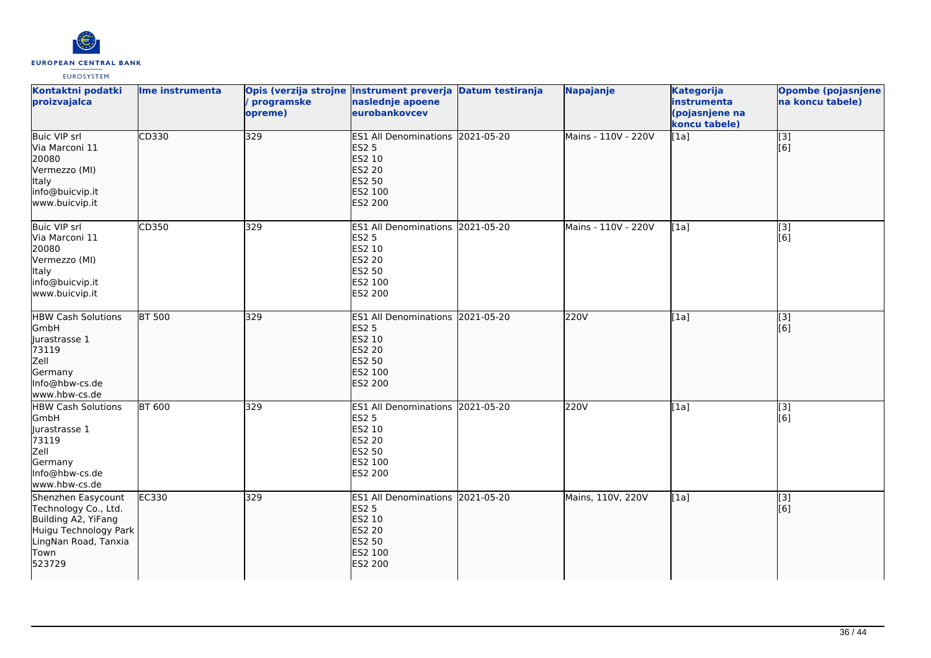

| Kontaktni podatki<br>proizvajalca                                                                                                    | Ime instrumenta | Opis (verzija strojne Instrument preverja Datum testiranja<br>programske<br>opreme) | naslednje apoene<br>eurobankovcev                                                                                  | Napajanje           | <b>Kategorija</b><br>instrumenta<br>(pojasnjene na<br>koncu tabele) | Opombe (pojasnjene<br>na koncu tabele) |
|--------------------------------------------------------------------------------------------------------------------------------------|-----------------|-------------------------------------------------------------------------------------|--------------------------------------------------------------------------------------------------------------------|---------------------|---------------------------------------------------------------------|----------------------------------------|
| <b>Buic VIP srl</b><br>Via Marconi 11<br>20080<br>Vermezzo (MI)<br>Italy<br>info@buicvip.it<br>www.buicvip.it                        | CD330           | 329                                                                                 | ES1 All Denominations 2021-05-20<br><b>ES2 5</b><br>ES2 10<br><b>ES2 20</b><br>ES2 50<br>ES2 100<br>ES2 200        | Mains - 110V - 220V | [1a]                                                                | $\overline{[3]}$<br>[6]                |
| Buic VIP srl<br>Via Marconi 11<br>20080<br>Vermezzo (MI)<br>Italy<br>info@buicvip.it<br>www.buicvip.it                               | CD350           | 329                                                                                 | ES1 All Denominations 2021-05-20<br><b>ES2 5</b><br>ES2 10<br><b>ES2 20</b><br>ES2 50<br>ES2 100<br>ES2 200        | Mains - 110V - 220V | [1a]                                                                | [3]<br>[6]                             |
| <b>HBW Cash Solutions</b><br>GmbH<br>Jurastrasse 1<br>73119<br>Zell<br>Germany<br>Info@hbw-cs.de<br>www.hbw-cs.de                    | <b>BT 500</b>   | 329                                                                                 | ES1 All Denominations 2021-05-20<br><b>ES2 5</b><br>ES2 10<br><b>ES2 20</b><br>ES2 50<br>ES2 100<br><b>ES2 200</b> | 220V                | [1a]                                                                | $\overline{[}3]$<br>[6]                |
| <b>HBW Cash Solutions</b><br>GmbH<br>Jurastrasse 1<br>73119<br>Zell<br>Germany<br>Info@hbw-cs.de<br>www.hbw-cs.de                    | <b>BT 600</b>   | 329                                                                                 | ES1 All Denominations 2021-05-20<br><b>ES2 5</b><br>ES2 10<br>ES2 20<br>ES2 50<br>ES2 100<br>ES2 200               | 220V                | [1a]                                                                | [3]<br>[6]                             |
| Shenzhen Easycount<br>Technology Co., Ltd.<br>Building A2, YiFang<br>Huigu Technology Park<br>LingNan Road, Tanxia<br>Town<br>523729 | EC330           | 329                                                                                 | ES1 All Denominations 2021-05-20<br><b>ES2 5</b><br>ES2 10<br><b>ES2 20</b><br>ES2 50<br>ES2 100<br>ES2 200        | Mains, 110V, 220V   | [1a]                                                                | [3]<br>[6]                             |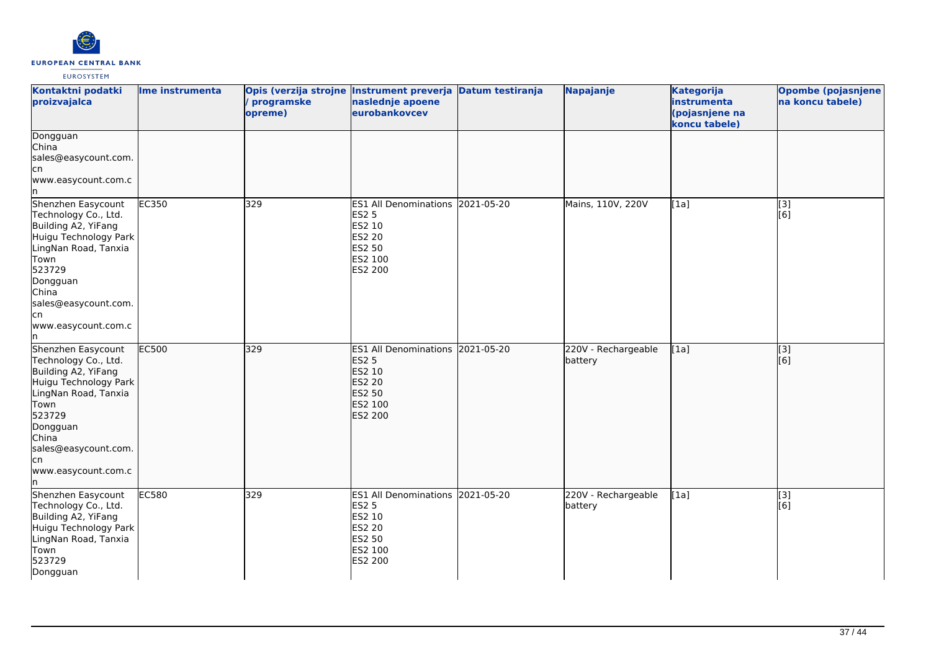

| Kontaktni podatki<br>proizvajalca                                                                                                                                                                                      | Ime instrumenta | Opis (verzija strojne Instrument preverja Datum testiranja<br>programske<br>opreme) | naslednje apoene<br>eurobankovcev                                                                           | Napajanje                      | <b>Kategorija</b><br>instrumenta<br>(pojasnjene na<br>koncu tabele) | Opombe (pojasnjene<br>na koncu tabele) |
|------------------------------------------------------------------------------------------------------------------------------------------------------------------------------------------------------------------------|-----------------|-------------------------------------------------------------------------------------|-------------------------------------------------------------------------------------------------------------|--------------------------------|---------------------------------------------------------------------|----------------------------------------|
| Dongguan<br>China<br>sales@easycount.com.<br>cn<br>www.easycount.com.c<br>ln.                                                                                                                                          |                 |                                                                                     |                                                                                                             |                                |                                                                     |                                        |
| Shenzhen Easycount<br>Technology Co., Ltd.<br>Building A2, YiFang<br>Huigu Technology Park<br>LingNan Road, Tanxia<br>Town<br>523729<br>Dongguan<br>China<br>sales@easycount.com.<br>lcn<br>www.easycount.com.c<br>In. | <b>EC350</b>    | 329                                                                                 | ES1 All Denominations 2021-05-20<br><b>ES2 5</b><br>ES2 10<br>ES2 20<br><b>ES2 50</b><br>ES2 100<br>ES2 200 | Mains, 110V, 220V              | [1a]                                                                | [3]<br>[6]                             |
| Shenzhen Easycount<br>Technology Co., Ltd.<br>Building A2, YiFang<br>Huigu Technology Park<br>LingNan Road, Tanxia<br>Town<br>523729<br>Dongguan<br>China<br>sales@easycount.com.<br>lcn<br>www.easycount.com.c<br>In. | <b>EC500</b>    | 329                                                                                 | ES1 All Denominations 2021-05-20<br><b>ES2 5</b><br>ES2 10<br><b>ES2 20</b><br>ES2 50<br>ES2 100<br>ES2 200 | 220V - Rechargeable<br>battery | [1a]                                                                | $\overline{[3]}$<br>[6]                |
| Shenzhen Easycount<br>Technology Co., Ltd.<br>Building A2, YiFang<br>Huigu Technology Park<br>LingNan Road, Tanxia<br>Town<br>523729<br>Dongguan                                                                       | <b>EC580</b>    | 329                                                                                 | ES1 All Denominations 2021-05-20<br><b>ES2 5</b><br>ES2 10<br>ES2 20<br>ES2 50<br>ES2 100<br>ES2 200        | 220V - Rechargeable<br>battery | [1a]                                                                | $\overline{[3]}$<br>[6]                |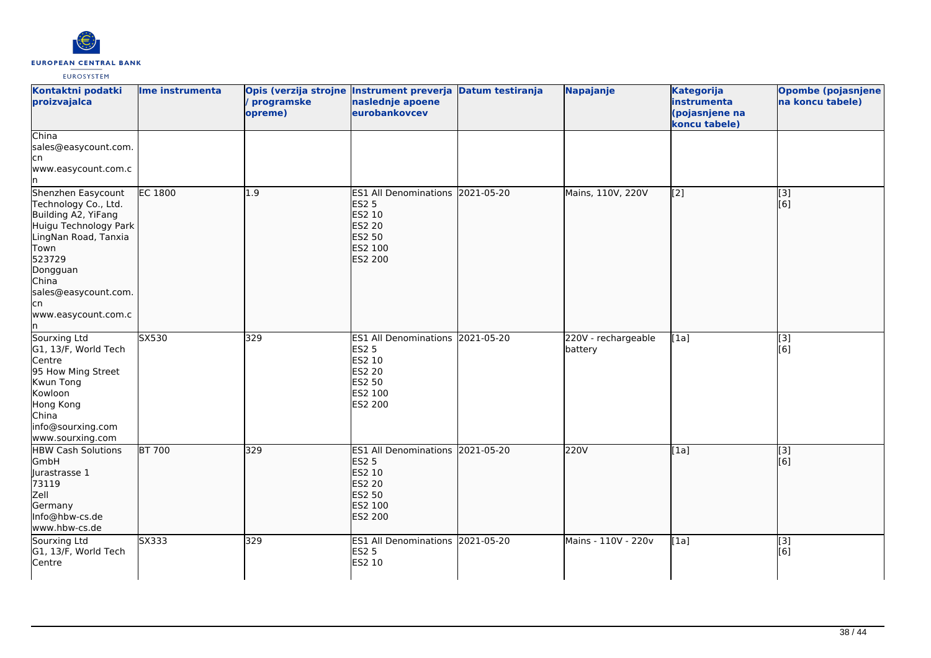

| Kontaktni podatki<br>proizvajalca                                                                                                                                                                               | Ime instrumenta | Opis (verzija strojne Instrument preverja Datum testiranja<br>programske<br>opreme) | naslednje apoene<br>eurobankovcev                                                                           | Napajanje                      | <b>Kategorija</b><br>instrumenta<br>(pojasnjene na<br>koncu tabele) | Opombe (pojasnjene<br>na koncu tabele) |
|-----------------------------------------------------------------------------------------------------------------------------------------------------------------------------------------------------------------|-----------------|-------------------------------------------------------------------------------------|-------------------------------------------------------------------------------------------------------------|--------------------------------|---------------------------------------------------------------------|----------------------------------------|
| China<br>sales@easycount.com.<br>cn<br>www.easycount.com.c                                                                                                                                                      |                 |                                                                                     |                                                                                                             |                                |                                                                     |                                        |
| Shenzhen Easycount<br>Technology Co., Ltd.<br>Building A2, YiFang<br>Huigu Technology Park<br>LingNan Road, Tanxia<br>Town<br>523729<br>Dongguan<br>China<br>sales@easycount.com.<br>lcn<br>www.easycount.com.c | EC 1800         | 1.9                                                                                 | ES1 All Denominations 2021-05-20<br><b>ES2 5</b><br>ES2 10<br><b>ES2 20</b><br>ES2 50<br>ES2 100<br>ES2 200 | Mains, 110V, 220V              | $\left[ \begin{matrix} 2 \end{matrix} \right]$                      | [3]<br>[6]                             |
| Sourxing Ltd<br>G1, 13/F, World Tech<br>Centre<br>95 How Ming Street<br>Kwun Tong<br>Kowloon<br>Hong Kong<br>China<br>info@sourxing.com<br>www.sourxing.com                                                     | SX530           | 329                                                                                 | ES1 All Denominations 2021-05-20<br>ES2 5<br>ES2 10<br>ES2 20<br>ES2 50<br>ES2 100<br>ES2 200               | 220V - rechargeable<br>battery | [1a]                                                                | [3]<br>[6]                             |
| <b>HBW Cash Solutions</b><br>GmbH<br>Jurastrasse 1<br>73119<br>Zell<br>Germany<br>Info@hbw-cs.de<br>www.hbw-cs.de                                                                                               | <b>BT 700</b>   | 329                                                                                 | ES1 All Denominations 2021-05-20<br><b>ES2 5</b><br>ES2 10<br><b>ES2 20</b><br>ES2 50<br>ES2 100<br>ES2 200 | 220V                           | [1a]                                                                | $\overline{[3]}$<br>[6]                |
| Sourxing Ltd<br>G1, 13/F, World Tech<br>Centre                                                                                                                                                                  | SX333           | 329                                                                                 | ES1 All Denominations 2021-05-20<br><b>ES2 5</b><br>ES2 10                                                  | Mains - 110V - 220v            | [1a]                                                                | $\overline{[3]}$<br>[6]                |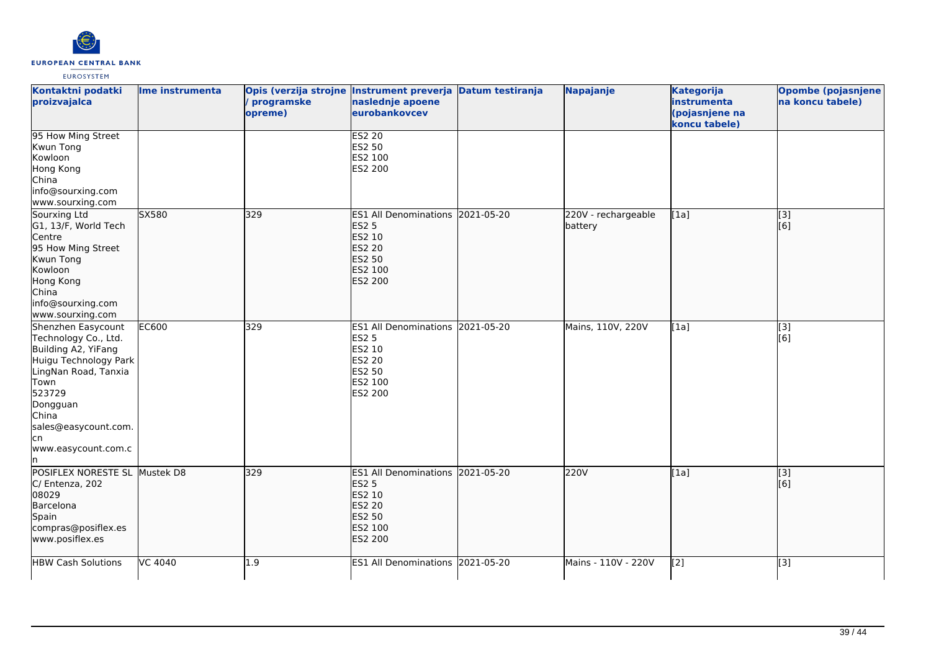

| Kontaktni podatki<br>proizvajalca                                                                                                                                                                               | Ime instrumenta | programske<br>opreme) | Opis (verzija strojne Instrument preverja Datum testiranja<br>naslednje apoene<br>eurobankovcev                    | Napajanje                      | <b>Kategorija</b><br>instrumenta<br>(pojasnjene na<br>koncu tabele) | <b>Opombe (pojasnjene</b><br>na koncu tabele) |
|-----------------------------------------------------------------------------------------------------------------------------------------------------------------------------------------------------------------|-----------------|-----------------------|--------------------------------------------------------------------------------------------------------------------|--------------------------------|---------------------------------------------------------------------|-----------------------------------------------|
| 95 How Ming Street<br>Kwun Tong<br>Kowloon<br>Hong Kong<br>China<br>info@sourxing.com<br>www.sourxing.com                                                                                                       |                 |                       | <b>ES2 20</b><br>ES2 50<br>ES2 100<br>ES2 200                                                                      |                                |                                                                     |                                               |
| Sourxing Ltd<br>G1, 13/F, World Tech<br>Centre<br>95 How Ming Street<br>Kwun Tong<br>Kowloon<br>Hong Kong<br>China<br>info@sourxing.com<br>www.sourxing.com                                                     | SX580           | 329                   | ES1 All Denominations 2021-05-20<br><b>ES2 5</b><br>ES2 10<br><b>ES2 20</b><br>ES2 50<br>ES2 100<br><b>ES2 200</b> | 220V - rechargeable<br>battery | [1a]                                                                | $\overline{[}3]$<br>[6]                       |
| Shenzhen Easycount<br>Technology Co., Ltd.<br>Building A2, YiFang<br>Huigu Technology Park<br>LingNan Road, Tanxia<br>Town<br>523729<br>Dongguan<br>China<br>sales@easycount.com.<br>lcn<br>www.easycount.com.c | EC600           | 329                   | ES1 All Denominations 2021-05-20<br><b>ES2 5</b><br>ES2 10<br><b>ES2 20</b><br>ES2 50<br>ES2 100<br>ES2 200        | Mains, 110V, 220V              | [1a]                                                                | [3]<br>[6]                                    |
| POSIFLEX NORESTE SL Mustek D8<br>C/ Entenza, 202<br>08029<br>Barcelona<br>Spain<br>compras@posiflex.es<br>www.posiflex.es                                                                                       |                 | 329                   | ES1 All Denominations 2021-05-20<br><b>ES2 5</b><br>ES2 10<br><b>ES2 20</b><br>ES2 50<br>ES2 100<br>ES2 200        | 220V                           | [1a]                                                                | $\overline{[}3]$<br>[6]                       |
| <b>HBW Cash Solutions</b>                                                                                                                                                                                       | <b>VC 4040</b>  | 1.9                   | ES1 All Denominations 2021-05-20                                                                                   | Mains - 110V - 220V            | $\left[2\right]$                                                    | [3]                                           |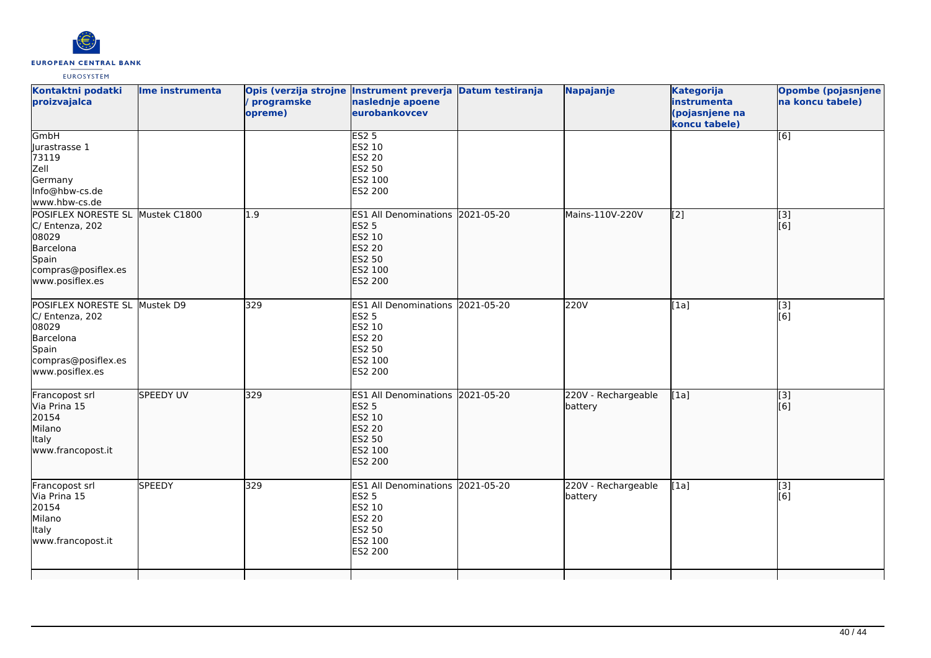

| Kontaktni podatki<br>proizvajalca                                                                                            | Ime instrumenta  | programske<br>opreme) | Opis (verzija strojne Instrument preverja Datum testiranja<br>naslednje apoene<br>eurobankovcev                    | Napajanje                      | <b>Kategorija</b><br>instrumenta<br>(pojasnjene na<br>koncu tabele) | Opombe (pojasnjene<br>na koncu tabele) |
|------------------------------------------------------------------------------------------------------------------------------|------------------|-----------------------|--------------------------------------------------------------------------------------------------------------------|--------------------------------|---------------------------------------------------------------------|----------------------------------------|
| GmbH<br>Jurastrasse 1<br>73119<br>Zell<br>Germany<br>Info@hbw-cs.de<br>www.hbw-cs.de                                         |                  |                       | ES2 <sub>5</sub><br>ES2 10<br><b>ES2 20</b><br>ES2 50<br>ES2 100<br>ES2 200                                        |                                |                                                                     | [6]                                    |
| POSIFLEX NORESTE SL Mustek C1800<br>C/ Entenza, 202<br>08029<br>Barcelona<br>Spain<br>compras@posiflex.es<br>www.posiflex.es |                  | 1.9                   | ES1 All Denominations 2021-05-20<br><b>ES2 5</b><br>ES2 10<br>ES2 20<br>ES2 50<br>ES2 100<br>ES2 200               | Mains-110V-220V                | $\overline{[2]}$                                                    | $\overline{[3]}$<br>[6]                |
| POSIFLEX NORESTE SL Mustek D9<br>C/ Entenza, 202<br>08029<br>Barcelona<br>Spain<br>compras@posiflex.es<br>www.posiflex.es    |                  | 329                   | ES1 All Denominations 2021-05-20<br><b>ES2 5</b><br>ES2 10<br><b>ES2 20</b><br><b>ES2 50</b><br>ES2 100<br>ES2 200 | 220V                           | [1a]                                                                | [3]<br>[6]                             |
| Francopost srl<br>Via Prina 15<br>20154<br>Milano<br>Italy<br>www.francopost.it                                              | <b>SPEEDY UV</b> | 329                   | ES1 All Denominations 2021-05-20<br><b>ES2 5</b><br>ES2 10<br><b>ES2 20</b><br><b>ES2 50</b><br>ES2 100<br>ES2 200 | 220V - Rechargeable<br>battery | [1a]                                                                | $\overline{[}3]$<br>[6]                |
| Francopost srl<br>Via Prina 15<br>20154<br>Milano<br>Italy<br>www.francopost.it                                              | <b>SPEEDY</b>    | 329                   | ES1 All Denominations 2021-05-20<br><b>ES2 5</b><br>ES2 10<br>ES2 20<br>ES2 50<br>ES2 100<br>ES2 200               | 220V - Rechargeable<br>battery | [1a]                                                                | [3]<br>[6]                             |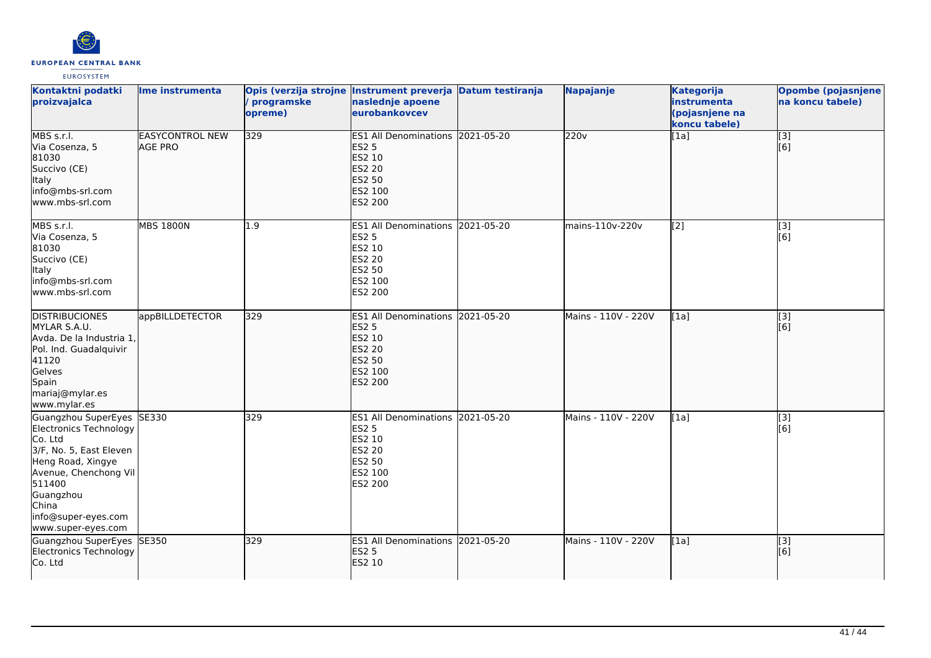

| Kontaktni podatki<br>proizvajalca                                                                                                                                                                                    | Ime instrumenta                          | Opis (verzija strojne Instrument preverja Datum testiranja<br>programske<br>opreme) | naslednje apoene<br>eurobankovcev                                                                                  | Napajanje           | <b>Kategorija</b><br>instrumenta<br>(pojasnjene na<br>koncu tabele) | <b>Opombe (pojasnjene</b><br>na koncu tabele) |
|----------------------------------------------------------------------------------------------------------------------------------------------------------------------------------------------------------------------|------------------------------------------|-------------------------------------------------------------------------------------|--------------------------------------------------------------------------------------------------------------------|---------------------|---------------------------------------------------------------------|-----------------------------------------------|
| MBS s.r.l.<br>Via Cosenza, 5<br>81030<br>Succivo (CE)<br>Italy<br>info@mbs-srl.com<br>lwww.mbs-srl.com                                                                                                               | <b>EASYCONTROL NEW</b><br><b>AGE PRO</b> | $\overline{329}$                                                                    | ES1 All Denominations 2021-05-20<br><b>ES2 5</b><br>ES2 10<br><b>ES2 20</b><br><b>ES2 50</b><br>ES2 100<br>ES2 200 | 220v                | [1a]                                                                | $\overline{[}3]$<br>[6]                       |
| MBS s.r.l.<br>Via Cosenza, 5<br>81030<br>Succivo (CE)<br><b>Italy</b><br>info@mbs-srl.com<br>www.mbs-srl.com                                                                                                         | <b>MBS 1800N</b>                         | 1.9                                                                                 | ES1 All Denominations 2021-05-20<br><b>ES2 5</b><br>ES2 10<br>ES2 20<br>ES2 50<br>ES2 100<br>ES2 200               | mains-110v-220v     | [2]                                                                 | [3]<br>[6]                                    |
| <b>DISTRIBUCIONES</b><br>MYLAR S.A.U.<br>Avda. De la Industria 1,<br>Pol. Ind. Guadalquivir<br>41120<br>Gelves<br>Spain<br>mariaj@mylar.es<br>www.mylar.es                                                           | appBILLDETECTOR                          | 329                                                                                 | ES1 All Denominations 2021-05-20<br><b>ES2 5</b><br>ES2 10<br>ES2 20<br>ES2 50<br>ES2 100<br><b>ES2 200</b>        | Mains - 110V - 220V | [1a]                                                                | $\overline{[}3]$<br>[6]                       |
| Guangzhou SuperEyes SE330<br>Electronics Technology<br>Co. Ltd<br>3/F, No. 5, East Eleven<br>Heng Road, Xingye<br>Avenue, Chenchong Vil<br>511400<br>Guangzhou<br>China<br>info@super-eyes.com<br>www.super-eyes.com |                                          | 329                                                                                 | <b>ES1 All Denominations 2021-05-20</b><br><b>ES2 5</b><br>ES2 10<br><b>ES2 20</b><br>ES2 50<br>ES2 100<br>ES2 200 | Mains - 110V - 220V | [1a]                                                                | [3]<br>[6]                                    |
| Guangzhou SuperEyes SE350<br>Electronics Technology<br>Co. Ltd                                                                                                                                                       |                                          | 329                                                                                 | ES1 All Denominations 2021-05-20<br><b>ES2 5</b><br>ES2 10                                                         | Mains - 110V - 220V | [1a]                                                                | $\overline{[}3]$<br>[[6]                      |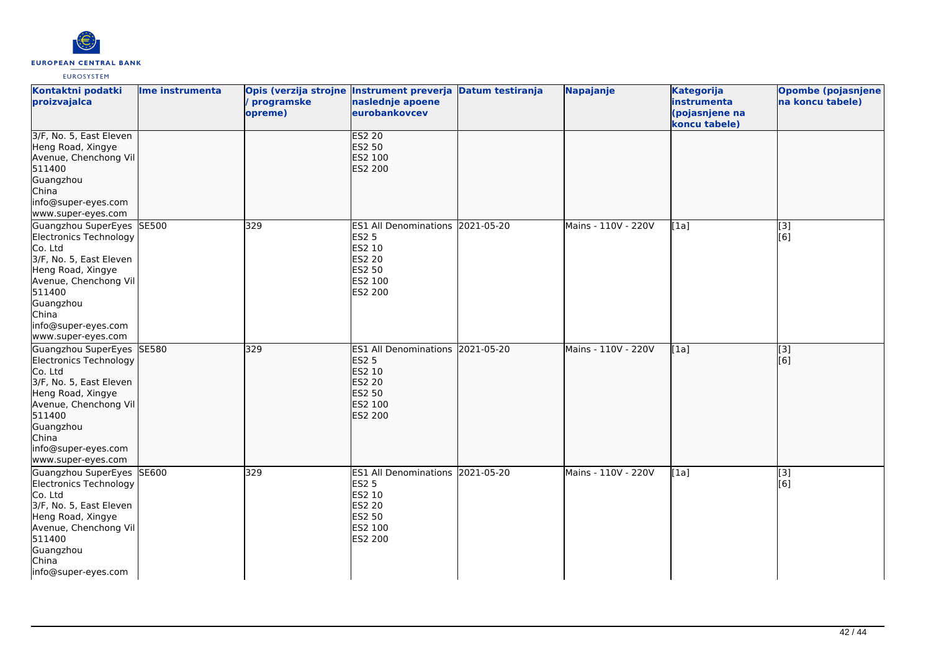

| Kontaktni podatki<br>proizvajalca                                                                                                                                                                                     | Ime instrumenta | Opis (verzija strojne Instrument preverja Datum testiranja<br>/ programske<br>opreme) | naslednje apoene<br>eurobankovcev                                                                                         |            | Napajanje           | <b>Kategorija</b><br>instrumenta<br>(pojasnjene na<br>koncu tabele) | <b>Opombe (pojasnjene</b><br>na koncu tabele) |
|-----------------------------------------------------------------------------------------------------------------------------------------------------------------------------------------------------------------------|-----------------|---------------------------------------------------------------------------------------|---------------------------------------------------------------------------------------------------------------------------|------------|---------------------|---------------------------------------------------------------------|-----------------------------------------------|
| 3/F, No. 5, East Eleven<br>Heng Road, Xingye<br>Avenue, Chenchong Vil<br>511400<br>Guangzhou<br>China<br>info@super-eyes.com<br>www.super-eyes.com                                                                    |                 |                                                                                       | <b>ES2 20</b><br>ES2 50<br>ES2 100<br>ES2 200                                                                             |            |                     |                                                                     |                                               |
| Guangzhou SuperEyes<br><b>Electronics Technology</b><br>Co. Ltd<br>3/F, No. 5, East Eleven<br>Heng Road, Xingye<br>Avenue, Chenchong Vil<br>511400<br>Guangzhou<br>China<br>info@super-eyes.com<br>www.super-eyes.com | <b>SE500</b>    | 329                                                                                   | <b>ES1 All Denominations</b><br><b>ES2 5</b><br>ES2 10<br><b>ES2 20</b><br>ES2 50<br>ES2 100<br>ES2 200                   | 2021-05-20 | Mains - 110V - 220V | [1a]                                                                | [3]<br>[6]                                    |
| Guangzhou SuperEyes SE580<br>Electronics Technology<br>Co. Ltd<br>3/F, No. 5, East Eleven<br>Heng Road, Xingye<br>Avenue, Chenchong Vil<br>511400<br>Guangzhou<br>China<br>info@super-eyes.com<br>www.super-eyes.com  |                 | 329                                                                                   | ES1 All Denominations 2021-05-20<br><b>ES2 5</b><br>ES2 10<br><b>ES2 20</b><br><b>ES2 50</b><br>ES2 100<br><b>ES2 200</b> |            | Mains - 110V - 220V | [1a]                                                                | $\overline{[}3]$<br>[6]                       |
| Guangzhou SuperEyes<br>Electronics Technology<br>Co. Ltd<br>3/F, No. 5, East Eleven<br>Heng Road, Xingye<br>Avenue, Chenchong Vil<br>511400<br>Guangzhou<br>China<br>info@super-eyes.com                              | SE600           | 329                                                                                   | ES1 All Denominations 2021-05-20<br><b>ES2 5</b><br>ES2 10<br><b>ES2 20</b><br>ES2 50<br>ES2 100<br>ES2 200               |            | Mains - 110V - 220V | [1a]                                                                | [3]<br>[6]                                    |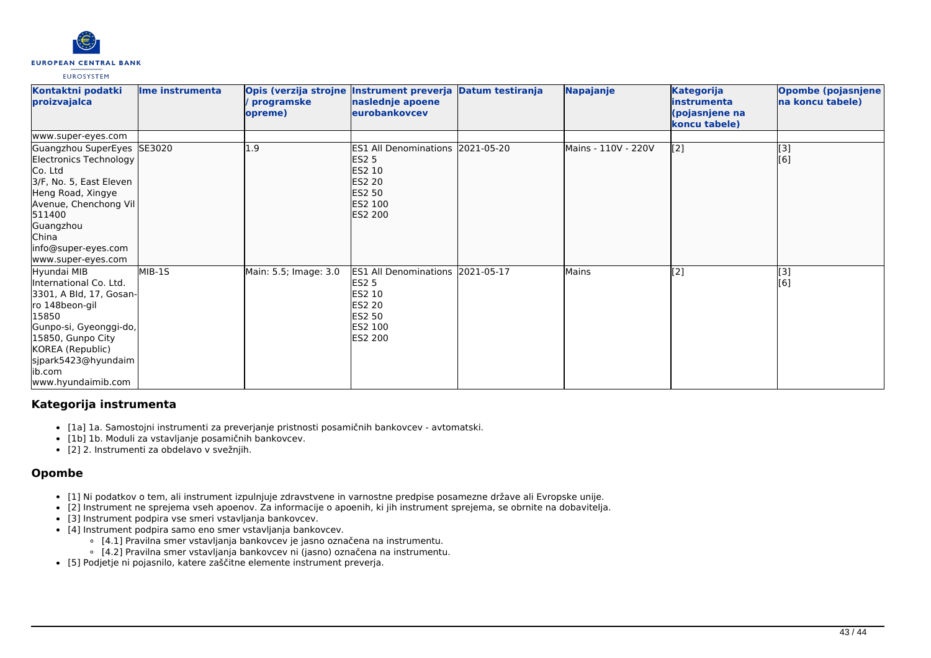# **EUROPEAN CENTRAL BANK**

#### **EUROSYSTEM**

| Kontaktni podatki<br>proizvajalca                                                                                                                                                                                      | lme instrumenta | Opis (verzija strojne<br>programske<br>opreme) | Instrument preverja Datum testiranja<br>naslednje apoene<br>eurobankovcev                                             |            | Napajanje           | <b>Kategorija</b><br>linstrumenta<br>(pojasnjene na<br>koncu tabele) | Opombe (pojasnjene<br>na koncu tabele) |
|------------------------------------------------------------------------------------------------------------------------------------------------------------------------------------------------------------------------|-----------------|------------------------------------------------|-----------------------------------------------------------------------------------------------------------------------|------------|---------------------|----------------------------------------------------------------------|----------------------------------------|
| www.super-eyes.com                                                                                                                                                                                                     |                 |                                                |                                                                                                                       |            |                     |                                                                      |                                        |
| Guangzhou SuperEyes SE3020<br>Electronics Technology<br>Co. Ltd<br>3/F, No. 5, East Eleven<br>Heng Road, Xingye<br>Avenue, Chenchong Vil<br>511400<br>Guangzhou<br>China<br>info@super-eyes.com<br>www.super-eyes.com  |                 | L.9                                            | <b>ES1 All Denominations</b><br><b>ES2 5</b><br><b>ES2 10</b><br><b>ES2 20</b><br><b>ES2 50</b><br>ES2 100<br>ES2 200 | 2021-05-20 | Mains - 110V - 220V | $\sqrt{2}$                                                           | [3]<br>[6]                             |
| Hyundai MIB<br>International Co. Ltd.<br>3301, A Bld, 17, Gosan-<br>ro 148beon-gil<br>15850<br>Gunpo-si, Gyeonggi-do,<br>15850, Gunpo City<br>KOREA (Republic)<br>sjpark5423@hyundaim<br>lib.com<br>www.hyundaimib.com | MIB-1S          | Main: 5.5; Image: 3.0                          | <b>ES1 All Denominations</b><br><b>ES2 5</b><br>ES2 10<br>ES2 20<br><b>ES2 50</b><br>ES2 100<br>ES2 200               | 2021-05-17 | <b>Mains</b>        | $\left[$ [2]                                                         | [3]<br>[6]                             |

# **Kategorija instrumenta**

- [1a] 1a. Samostojni instrumenti za preverjanje pristnosti posamičnih bankovcev avtomatski.
- [1b] 1b. Moduli za vstavljanje posamičnih bankovcev.
- [2] 2. Instrumenti za obdelavo v svežnjih.

# **Opombe**

- [1] Ni podatkov o tem, ali instrument izpulnjuje zdravstvene in varnostne predpise posamezne države ali Evropske unije.
- [2] Instrument ne sprejema vseh apoenov. Za informacije o apoenih, ki jih instrument sprejema, se obrnite na dobavitelja.
- [3] Instrument podpira vse smeri vstavljanja bankovcev.
- [4] Instrument podpira samo eno smer vstavljanja bankovcev.
	- [4.1] Pravilna smer vstavljanja bankovcev je jasno označena na instrumentu.
	- [4.2] Pravilna smer vstavljanja bankovcev ni (jasno) označena na instrumentu.
- [5] Podietie ni pojasnilo, katere zaščitne elemente instrument preveria.